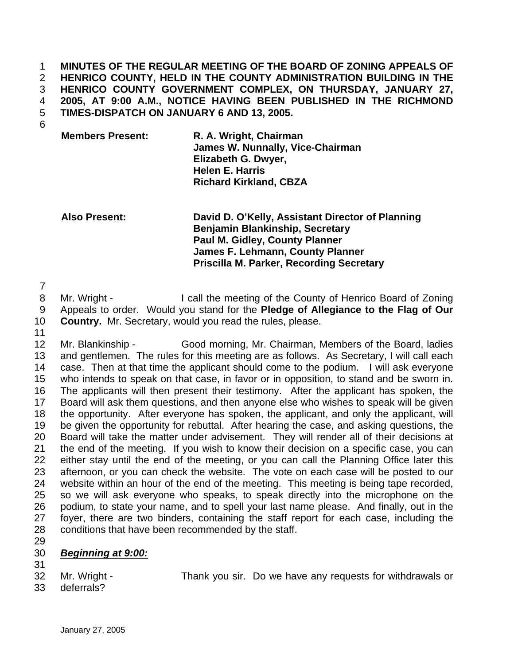**MINUTES OF THE REGULAR MEETING OF THE BOARD OF ZONING APPEALS OF HENRICO COUNTY, HELD IN THE COUNTY ADMINISTRATION BUILDING IN THE HENRICO COUNTY GOVERNMENT COMPLEX, ON THURSDAY, JANUARY 27, 2005, AT 9:00 A.M., NOTICE HAVING BEEN PUBLISHED IN THE RICHMOND TIMES-DISPATCH ON JANUARY 6 AND 13, 2005.**  1 2 3 4 5

6

**Members Present: R. A. Wright, Chairman James W. Nunnally, Vice-Chairman Elizabeth G. Dwyer, Helen E. Harris Richard Kirkland, CBZA** 

**Also Present: David D. O'Kelly, Assistant Director of Planning Benjamin Blankinship, Secretary Paul M. Gidley, County Planner James F. Lehmann, County Planner Priscilla M. Parker, Recording Secretary** 

7

8 9 10 Mr. Wright - I call the meeting of the County of Henrico Board of Zoning Appeals to order. Would you stand for the **Pledge of Allegiance to the Flag of Our Country.** Mr. Secretary, would you read the rules, please.

11

12 13 14 15 16 17 18 19 20 21 22 23 24 25 26 27 28 Mr. Blankinship - Good morning, Mr. Chairman, Members of the Board, ladies and gentlemen. The rules for this meeting are as follows. As Secretary, I will call each case. Then at that time the applicant should come to the podium. I will ask everyone who intends to speak on that case, in favor or in opposition, to stand and be sworn in. The applicants will then present their testimony. After the applicant has spoken, the Board will ask them questions, and then anyone else who wishes to speak will be given the opportunity. After everyone has spoken, the applicant, and only the applicant, will be given the opportunity for rebuttal. After hearing the case, and asking questions, the Board will take the matter under advisement. They will render all of their decisions at the end of the meeting. If you wish to know their decision on a specific case, you can either stay until the end of the meeting, or you can call the Planning Office later this afternoon, or you can check the website. The vote on each case will be posted to our website within an hour of the end of the meeting. This meeting is being tape recorded, so we will ask everyone who speaks, to speak directly into the microphone on the podium, to state your name, and to spell your last name please. And finally, out in the foyer, there are two binders, containing the staff report for each case, including the conditions that have been recommended by the staff.

29

## 30 *Beginning at 9:00:*

31 32

Mr. Wright - Thank you sir. Do we have any requests for withdrawals or

33 deferrals?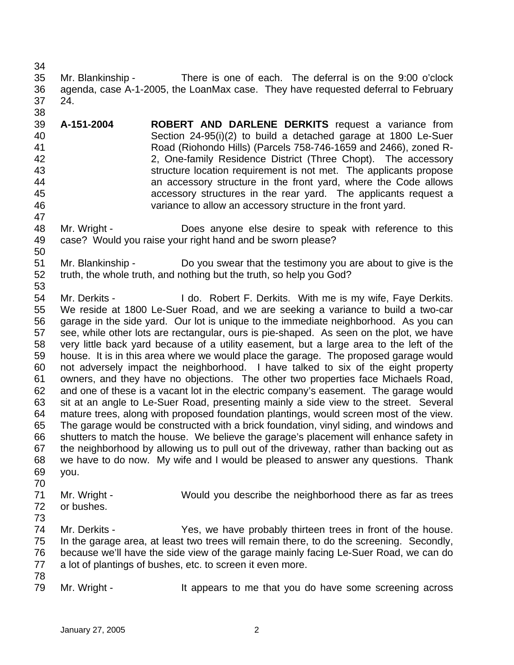35 36 37 38 Mr. Blankinship - There is one of each. The deferral is on the 9:00 o'clock agenda, case A-1-2005, the LoanMax case. They have requested deferral to February 24.

- 39 40 41 42 43 44 45 46 47 **A-151-2004 ROBERT AND DARLENE DERKITS** request a variance from Section 24-95(i)(2) to build a detached garage at 1800 Le-Suer Road (Riohondo Hills) (Parcels 758-746-1659 and 2466), zoned R-2, One-family Residence District (Three Chopt). The accessory structure location requirement is not met. The applicants propose an accessory structure in the front yard, where the Code allows accessory structures in the rear yard. The applicants request a variance to allow an accessory structure in the front yard.
- 48 49 50 Mr. Wright - Does anyone else desire to speak with reference to this case? Would you raise your right hand and be sworn please?
- 51 52 53 Mr. Blankinship - Do you swear that the testimony you are about to give is the truth, the whole truth, and nothing but the truth, so help you God?
- 54 55 56 57 58 59 60 61 62 63 64 65 66 67 68 69 Mr. Derkits - **I** do. Robert F. Derkits. With me is my wife, Faye Derkits. We reside at 1800 Le-Suer Road, and we are seeking a variance to build a two-car garage in the side yard. Our lot is unique to the immediate neighborhood. As you can see, while other lots are rectangular, ours is pie-shaped. As seen on the plot, we have very little back yard because of a utility easement, but a large area to the left of the house. It is in this area where we would place the garage. The proposed garage would not adversely impact the neighborhood. I have talked to six of the eight property owners, and they have no objections. The other two properties face Michaels Road, and one of these is a vacant lot in the electric company's easement. The garage would sit at an angle to Le-Suer Road, presenting mainly a side view to the street. Several mature trees, along with proposed foundation plantings, would screen most of the view. The garage would be constructed with a brick foundation, vinyl siding, and windows and shutters to match the house. We believe the garage's placement will enhance safety in the neighborhood by allowing us to pull out of the driveway, rather than backing out as we have to do now. My wife and I would be pleased to answer any questions. Thank you.
- 71 Mr. Wright - Would you describe the neighborhood there as far as trees
- 72 73 or bushes.
- 74 75 76 77 Mr. Derkits - Yes, we have probably thirteen trees in front of the house. In the garage area, at least two trees will remain there, to do the screening. Secondly, because we'll have the side view of the garage mainly facing Le-Suer Road, we can do a lot of plantings of bushes, etc. to screen it even more.
- 78

70

34

79 Mr. Wright - The It appears to me that you do have some screening across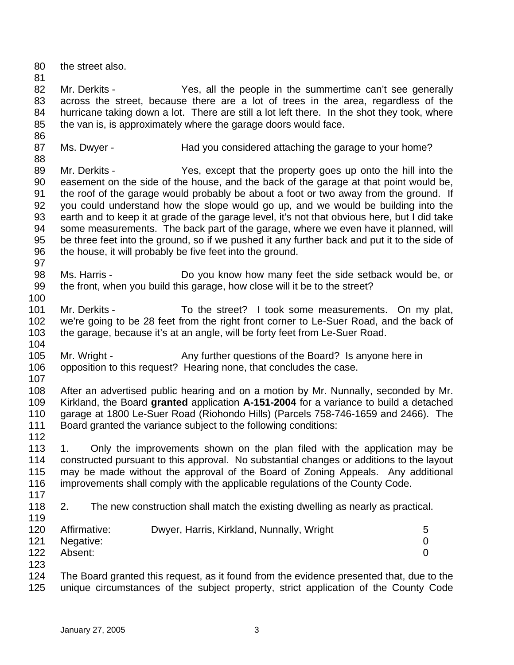80 81 82 83 84 85 86 87 88 89 90 91 92 93 94 95 96 97 98 99 100 101 102 103 104 105 106 107 108 109 110 111 112 113 114 115 116 117 118 119 120 121 122 123 124 125 the street also. Mr. Derkits - Yes, all the people in the summertime can't see generally across the street, because there are a lot of trees in the area, regardless of the hurricane taking down a lot. There are still a lot left there. In the shot they took, where the van is, is approximately where the garage doors would face. Ms. Dwyer - Thad you considered attaching the garage to your home? Mr. Derkits - Yes, except that the property goes up onto the hill into the easement on the side of the house, and the back of the garage at that point would be, the roof of the garage would probably be about a foot or two away from the ground. If you could understand how the slope would go up, and we would be building into the earth and to keep it at grade of the garage level, it's not that obvious here, but I did take some measurements. The back part of the garage, where we even have it planned, will be three feet into the ground, so if we pushed it any further back and put it to the side of the house, it will probably be five feet into the ground. Ms. Harris - **Do** you know how many feet the side setback would be, or the front, when you build this garage, how close will it be to the street? Mr. Derkits - To the street? I took some measurements. On my plat, we're going to be 28 feet from the right front corner to Le-Suer Road, and the back of the garage, because it's at an angle, will be forty feet from Le-Suer Road. Mr. Wright - Any further questions of the Board? Is anyone here in opposition to this request? Hearing none, that concludes the case. After an advertised public hearing and on a motion by Mr. Nunnally, seconded by Mr. Kirkland, the Board **granted** application **A-151-2004** for a variance to build a detached garage at 1800 Le-Suer Road (Riohondo Hills) (Parcels 758-746-1659 and 2466). The Board granted the variance subject to the following conditions: 1. Only the improvements shown on the plan filed with the application may be constructed pursuant to this approval. No substantial changes or additions to the layout may be made without the approval of the Board of Zoning Appeals. Any additional improvements shall comply with the applicable regulations of the County Code. 2. The new construction shall match the existing dwelling as nearly as practical. Affirmative: Dwyer, Harris, Kirkland, Nunnally, Wright 5 Negative: 0 Absent: 0 The Board granted this request, as it found from the evidence presented that, due to the unique circumstances of the subject property, strict application of the County Code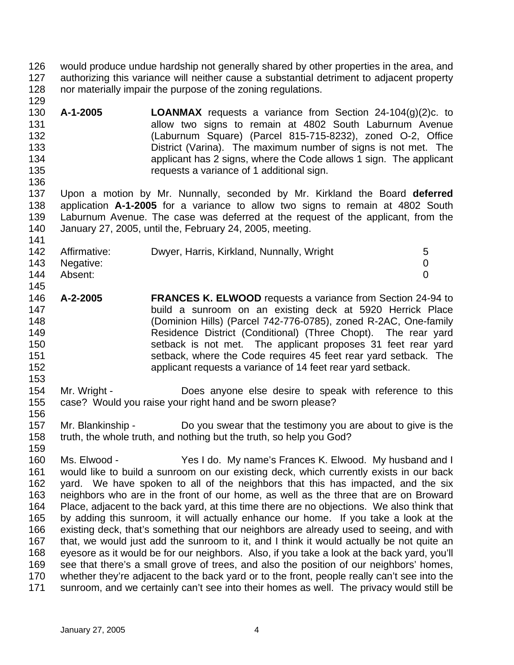- 126 127 128 would produce undue hardship not generally shared by other properties in the area, and authorizing this variance will neither cause a substantial detriment to adjacent property nor materially impair the purpose of the zoning regulations.
- 130 131 132 133 134 135 **A-1-2005 LOANMAX** requests a variance from Section 24-104(g)(2)c. to allow two signs to remain at 4802 South Laburnum Avenue (Laburnum Square) (Parcel 815-715-8232), zoned O-2, Office District (Varina). The maximum number of signs is not met. The applicant has 2 signs, where the Code allows 1 sign. The applicant requests a variance of 1 additional sign.
- 137 138 139 140 141 Upon a motion by Mr. Nunnally, seconded by Mr. Kirkland the Board **deferred** application **A-1-2005** for a variance to allow two signs to remain at 4802 South Laburnum Avenue. The case was deferred at the request of the applicant, from the January 27, 2005, until the, February 24, 2005, meeting.

| 142 | Affirmative: | Dwyer, Harris, Kirkland, Nunnally, Wright | 5 |
|-----|--------------|-------------------------------------------|---|
| 143 | Negative:    |                                           |   |
| 144 | Absent:      |                                           |   |
| 145 |              |                                           |   |

- 146 147 148 149 150 151 152 **A-2-2005 FRANCES K. ELWOOD** requests a variance from Section 24-94 to build a sunroom on an existing deck at 5920 Herrick Place (Dominion Hills) (Parcel 742-776-0785), zoned R-2AC, One-family Residence District (Conditional) (Three Chopt). The rear yard setback is not met. The applicant proposes 31 feet rear yard setback, where the Code requires 45 feet rear vard setback. The applicant requests a variance of 14 feet rear yard setback.
- 154 155 Mr. Wright - Does anyone else desire to speak with reference to this case? Would you raise your right hand and be sworn please?
- 157 158 Mr. Blankinship - Do you swear that the testimony you are about to give is the truth, the whole truth, and nothing but the truth, so help you God?
- 160 161 162 163 164 165 166 167 168 169 170 171 Ms. Elwood - Yes I do. My name's Frances K. Elwood. My husband and I would like to build a sunroom on our existing deck, which currently exists in our back yard. We have spoken to all of the neighbors that this has impacted, and the six neighbors who are in the front of our home, as well as the three that are on Broward Place, adjacent to the back yard, at this time there are no objections. We also think that by adding this sunroom, it will actually enhance our home. If you take a look at the existing deck, that's something that our neighbors are already used to seeing, and with that, we would just add the sunroom to it, and I think it would actually be not quite an eyesore as it would be for our neighbors. Also, if you take a look at the back yard, you'll see that there's a small grove of trees, and also the position of our neighbors' homes, whether they're adjacent to the back yard or to the front, people really can't see into the sunroom, and we certainly can't see into their homes as well. The privacy would still be

129

136

153

156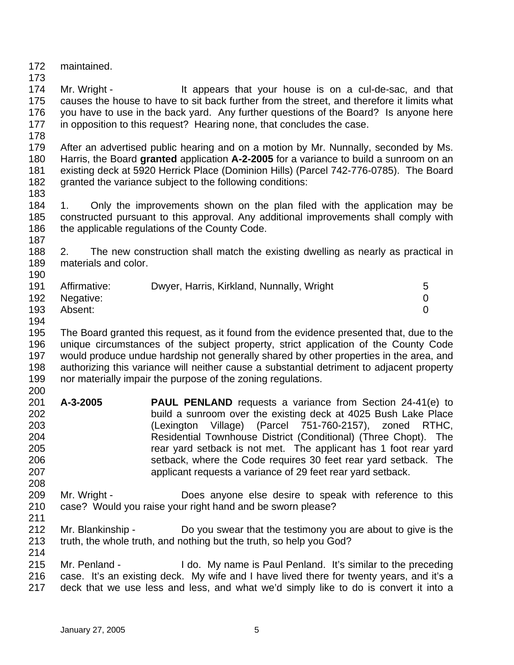172 maintained.

174 175 176 177 Mr. Wright - The It appears that your house is on a cul-de-sac, and that causes the house to have to sit back further from the street, and therefore it limits what you have to use in the back yard. Any further questions of the Board? Is anyone here in opposition to this request? Hearing none, that concludes the case.

178

173

179 180 181 182 After an advertised public hearing and on a motion by Mr. Nunnally, seconded by Ms. Harris, the Board **granted** application **A-2-2005** for a variance to build a sunroom on an existing deck at 5920 Herrick Place (Dominion Hills) (Parcel 742-776-0785). The Board granted the variance subject to the following conditions:

183

184 185 186 1. Only the improvements shown on the plan filed with the application may be constructed pursuant to this approval. Any additional improvements shall comply with the applicable regulations of the County Code.

187

188 189 190 2. The new construction shall match the existing dwelling as nearly as practical in materials and color.

| 191 | Affirmative: | Dwyer, Harris, Kirkland, Nunnally, Wright |  |
|-----|--------------|-------------------------------------------|--|
| 192 | Negative:    |                                           |  |
| 193 | Absent:      |                                           |  |

194

195 196 197 198 199 200 The Board granted this request, as it found from the evidence presented that, due to the unique circumstances of the subject property, strict application of the County Code would produce undue hardship not generally shared by other properties in the area, and authorizing this variance will neither cause a substantial detriment to adjacent property nor materially impair the purpose of the zoning regulations.

- 201 202 203 204 205 206 207 **A-3-2005 PAUL PENLAND** requests a variance from Section 24-41(e) to build a sunroom over the existing deck at 4025 Bush Lake Place (Lexington Village) (Parcel 751-760-2157), zoned RTHC, Residential Townhouse District (Conditional) (Three Chopt). The rear yard setback is not met. The applicant has 1 foot rear yard setback, where the Code requires 30 feet rear yard setback. The applicant requests a variance of 29 feet rear yard setback.
- 209 210 Mr. Wright - Does anyone else desire to speak with reference to this case? Would you raise your right hand and be sworn please?
- 211

- 212 213 214 Mr. Blankinship - Do you swear that the testimony you are about to give is the truth, the whole truth, and nothing but the truth, so help you God?
- 215 216 217 Mr. Penland - I do. My name is Paul Penland. It's similar to the preceding case. It's an existing deck. My wife and I have lived there for twenty years, and it's a deck that we use less and less, and what we'd simply like to do is convert it into a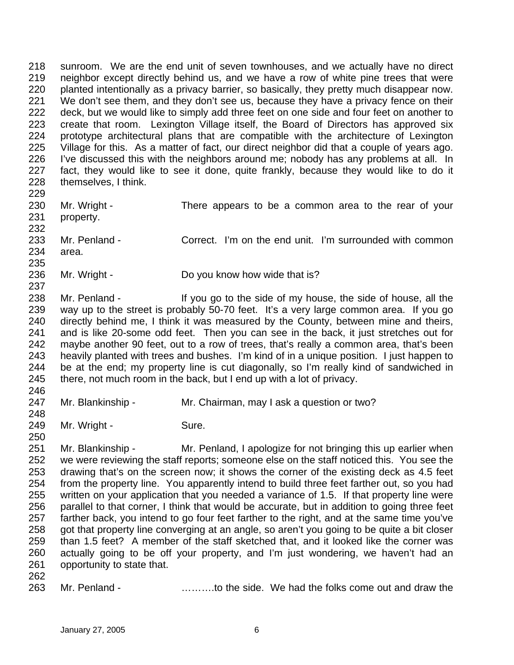218 219 220 221 222 223 224 225 226 227 228 229 sunroom. We are the end unit of seven townhouses, and we actually have no direct neighbor except directly behind us, and we have a row of white pine trees that were planted intentionally as a privacy barrier, so basically, they pretty much disappear now. We don't see them, and they don't see us, because they have a privacy fence on their deck, but we would like to simply add three feet on one side and four feet on another to create that room. Lexington Village itself, the Board of Directors has approved six prototype architectural plans that are compatible with the architecture of Lexington Village for this. As a matter of fact, our direct neighbor did that a couple of years ago. I've discussed this with the neighbors around me; nobody has any problems at all. In fact, they would like to see it done, quite frankly, because they would like to do it themselves, I think.

| 231<br>232 | 230 Mr. Wright -<br>property. | There appears to be a common area to the rear of your    |
|------------|-------------------------------|----------------------------------------------------------|
| 234<br>235 | 233 Mr. Penland -<br>area.    | Correct. I'm on the end unit. I'm surrounded with common |

236 Mr. Wright - Do you know how wide that is?

238 239 240 241 242 243 244 245 Mr. Penland - If you go to the side of my house, the side of house, all the way up to the street is probably 50-70 feet. It's a very large common area. If you go directly behind me, I think it was measured by the County, between mine and theirs, and is like 20-some odd feet. Then you can see in the back, it just stretches out for maybe another 90 feet, out to a row of trees, that's really a common area, that's been heavily planted with trees and bushes. I'm kind of in a unique position. I just happen to be at the end; my property line is cut diagonally, so I'm really kind of sandwiched in there, not much room in the back, but I end up with a lot of privacy.

246 247

248

237

Mr. Blankinship - Mr. Chairman, may I ask a question or two?

249 Mr. Wright - Sure.

250 251

252 253 254 255 256 257 258 259 260 261 Mr. Blankinship - Mr. Penland, I apologize for not bringing this up earlier when we were reviewing the staff reports; someone else on the staff noticed this. You see the drawing that's on the screen now; it shows the corner of the existing deck as 4.5 feet from the property line. You apparently intend to build three feet farther out, so you had written on your application that you needed a variance of 1.5. If that property line were parallel to that corner, I think that would be accurate, but in addition to going three feet farther back, you intend to go four feet farther to the right, and at the same time you've got that property line converging at an angle, so aren't you going to be quite a bit closer than 1.5 feet? A member of the staff sketched that, and it looked like the corner was actually going to be off your property, and I'm just wondering, we haven't had an opportunity to state that.

262

263 Mr. Penland - ……….to the side. We had the folks come out and draw the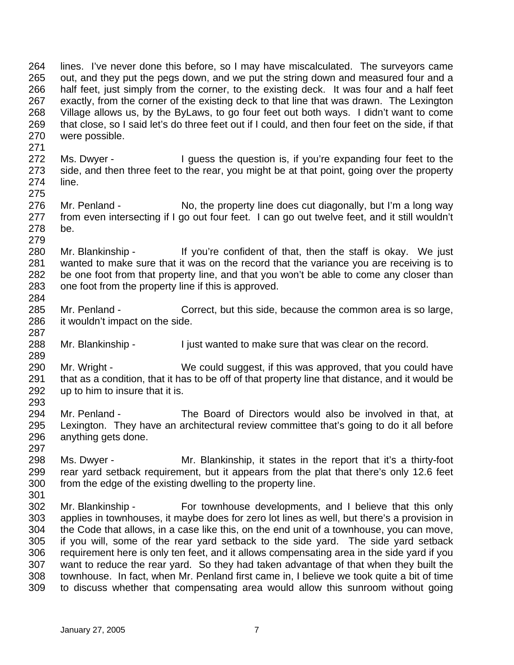264 265 266 267 268 269 270 271 lines. I've never done this before, so I may have miscalculated. The surveyors came out, and they put the pegs down, and we put the string down and measured four and a half feet, just simply from the corner, to the existing deck. It was four and a half feet exactly, from the corner of the existing deck to that line that was drawn. The Lexington Village allows us, by the ByLaws, to go four feet out both ways. I didn't want to come that close, so I said let's do three feet out if I could, and then four feet on the side, if that were possible.

- 272 273 274 Ms. Dwyer - I guess the question is, if you're expanding four feet to the side, and then three feet to the rear, you might be at that point, going over the property line.
- 276 277 278 279 Mr. Penland - No, the property line does cut diagonally, but I'm a long way from even intersecting if I go out four feet. I can go out twelve feet, and it still wouldn't be.
- 280 281 282 283 284 Mr. Blankinship - If you're confident of that, then the staff is okay. We just wanted to make sure that it was on the record that the variance you are receiving is to be one foot from that property line, and that you won't be able to come any closer than one foot from the property line if this is approved.
- 285 286 Mr. Penland - Correct, but this side, because the common area is so large, it wouldn't impact on the side.
- 288 Mr. Blankinship - I just wanted to make sure that was clear on the record.
- 290 291 292 293 Mr. Wright - We could suggest, if this was approved, that you could have that as a condition, that it has to be off of that property line that distance, and it would be up to him to insure that it is.
- 294 295 296 Mr. Penland - The Board of Directors would also be involved in that, at Lexington. They have an architectural review committee that's going to do it all before anything gets done.
- 298 299 300 301 Ms. Dwyer - Mr. Blankinship, it states in the report that it's a thirty-foot rear yard setback requirement, but it appears from the plat that there's only 12.6 feet from the edge of the existing dwelling to the property line.
- 302 303 304 305 306 307 308 309 Mr. Blankinship - For townhouse developments, and I believe that this only applies in townhouses, it maybe does for zero lot lines as well, but there's a provision in the Code that allows, in a case like this, on the end unit of a townhouse, you can move, if you will, some of the rear yard setback to the side yard. The side yard setback requirement here is only ten feet, and it allows compensating area in the side yard if you want to reduce the rear yard. So they had taken advantage of that when they built the townhouse. In fact, when Mr. Penland first came in, I believe we took quite a bit of time to discuss whether that compensating area would allow this sunroom without going

275

287

289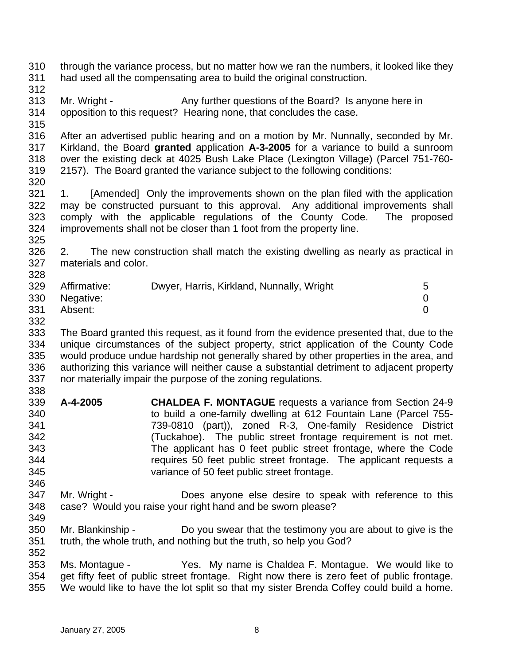310 311 312 313 314 315 316 317 318 319 320 321 322 323 324 325 326 327 328 329 330 331 332 333 334 335 336 337 338 339 340 341 342 343 344 345 346 347 348 349 350 351 352 353 354 355 through the variance process, but no matter how we ran the numbers, it looked like they had used all the compensating area to build the original construction. Mr. Wright - Any further questions of the Board? Is anyone here in opposition to this request? Hearing none, that concludes the case. After an advertised public hearing and on a motion by Mr. Nunnally, seconded by Mr. Kirkland, the Board **granted** application **A-3-2005** for a variance to build a sunroom over the existing deck at 4025 Bush Lake Place (Lexington Village) (Parcel 751-760- 2157). The Board granted the variance subject to the following conditions: 1. [Amended] Only the improvements shown on the plan filed with the application may be constructed pursuant to this approval. Any additional improvements shall comply with the applicable regulations of the County Code. The proposed improvements shall not be closer than 1 foot from the property line. 2. The new construction shall match the existing dwelling as nearly as practical in materials and color. Affirmative: Dwyer, Harris, Kirkland, Nunnally, Wright 5 Negative: 0 Absent: 0 The Board granted this request, as it found from the evidence presented that, due to the unique circumstances of the subject property, strict application of the County Code would produce undue hardship not generally shared by other properties in the area, and authorizing this variance will neither cause a substantial detriment to adjacent property nor materially impair the purpose of the zoning regulations. **A-4-2005 CHALDEA F. MONTAGUE** requests a variance from Section 24-9 to build a one-family dwelling at 612 Fountain Lane (Parcel 755- 739-0810 (part)), zoned R-3, One-family Residence District (Tuckahoe). The public street frontage requirement is not met. The applicant has 0 feet public street frontage, where the Code requires 50 feet public street frontage. The applicant requests a variance of 50 feet public street frontage. Mr. Wright - **Does anyone else desire to speak with reference to this** case? Would you raise your right hand and be sworn please? Mr. Blankinship - Do you swear that the testimony you are about to give is the truth, the whole truth, and nothing but the truth, so help you God? Ms. Montague - Yes. My name is Chaldea F. Montague. We would like to get fifty feet of public street frontage. Right now there is zero feet of public frontage. We would like to have the lot split so that my sister Brenda Coffey could build a home.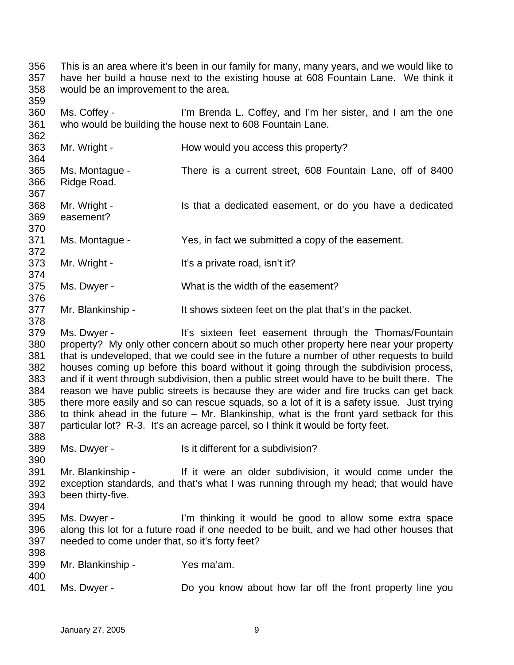356 357 358 This is an area where it's been in our family for many, many years, and we would like to have her build a house next to the existing house at 608 Fountain Lane. We think it would be an improvement to the area.

359 360 361 Ms. Coffey - I'm Brenda L. Coffey, and I'm her sister, and I am the one who would be building the house next to 608 Fountain Lane.

363 364 365 366 367 368 369 370 371 372 373 374 375 Mr. Wright - The How would you access this property? Ms. Montague - There is a current street, 608 Fountain Lane, off of 8400 Ridge Road. Mr. Wright - Is that a dedicated easement, or do you have a dedicated easement? Ms. Montague - Yes, in fact we submitted a copy of the easement. Mr. Wright - It's a private road, isn't it? Ms. Dwyer - What is the width of the easement?

377 Mr. Blankinship - It shows sixteen feet on the plat that's in the packet.

379 380 381 382 383 384 385 386 387 388 Ms. Dwyer - The It's sixteen feet easement through the Thomas/Fountain property? My only other concern about so much other property here near your property that is undeveloped, that we could see in the future a number of other requests to build houses coming up before this board without it going through the subdivision process, and if it went through subdivision, then a public street would have to be built there. The reason we have public streets is because they are wider and fire trucks can get back there more easily and so can rescue squads, so a lot of it is a safety issue. Just trying to think ahead in the future – Mr. Blankinship, what is the front yard setback for this particular lot? R-3. It's an acreage parcel, so I think it would be forty feet.

389 Ms. Dwyer - Is it different for a subdivision?

391 392 393 Mr. Blankinship - If it were an older subdivision, it would come under the exception standards, and that's what I was running through my head; that would have been thirty-five.

394 395 396 397 Ms. Dwyer - I'm thinking it would be good to allow some extra space along this lot for a future road if one needed to be built, and we had other houses that needed to come under that, so it's forty feet?

399 Mr. Blankinship - Yes ma'am.

401 Ms. Dwyer - **Do you know about how far off the front property line you** 

362

376

378

390

398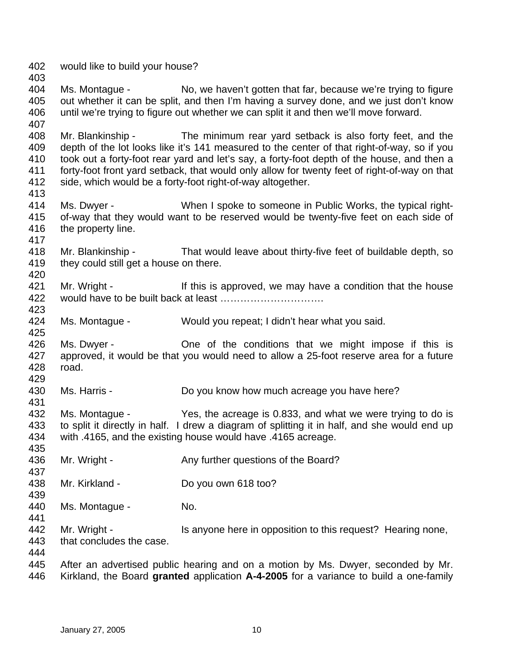402 would like to build your house?

403

407

413

417

420

425

431

435

437

439

441

404 405 406 Ms. Montague - No, we haven't gotten that far, because we're trying to figure out whether it can be split, and then I'm having a survey done, and we just don't know until we're trying to figure out whether we can split it and then we'll move forward.

408 409 410 411 412 Mr. Blankinship - The minimum rear yard setback is also forty feet, and the depth of the lot looks like it's 141 measured to the center of that right-of-way, so if you took out a forty-foot rear yard and let's say, a forty-foot depth of the house, and then a forty-foot front yard setback, that would only allow for twenty feet of right-of-way on that side, which would be a forty-foot right-of-way altogether.

- 414 415 416 Ms. Dwyer - When I spoke to someone in Public Works, the typical rightof-way that they would want to be reserved would be twenty-five feet on each side of the property line.
- 418 419 Mr. Blankinship - That would leave about thirty-five feet of buildable depth, so they could still get a house on there.
- 421 422 423 Mr. Wright - If this is approved, we may have a condition that the house would have to be built back at least ………………………….
- 424 Ms. Montague - Would you repeat; I didn't hear what you said.
- 426 427 428 429 Ms. Dwyer - One of the conditions that we might impose if this is approved, it would be that you would need to allow a 25-foot reserve area for a future road.
- 430 Ms. Harris - **Do you know how much acreage you have here?**
- 432 433 434 Ms. Montague - Yes, the acreage is 0.833, and what we were trying to do is to split it directly in half. I drew a diagram of splitting it in half, and she would end up with .4165, and the existing house would have .4165 acreage.
- 436 Mr. Wright - Any further questions of the Board?
- 438 Mr. Kirkland - Do you own 618 too?
- 440 Ms. Montague - No.
- 442 443 Mr. Wright - Is anyone here in opposition to this request? Hearing none, that concludes the case.

444

445 446 After an advertised public hearing and on a motion by Ms. Dwyer, seconded by Mr. Kirkland, the Board **granted** application **A-4-2005** for a variance to build a one-family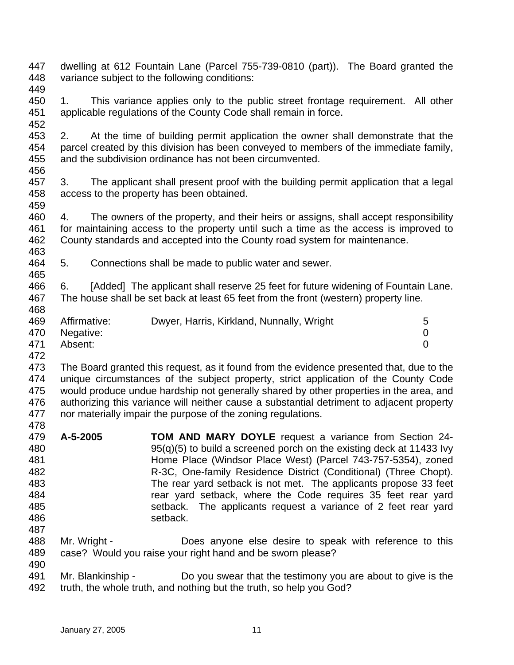- 447 448 dwelling at 612 Fountain Lane (Parcel 755-739-0810 (part)). The Board granted the variance subject to the following conditions:
- 449
- 450 451 1. This variance applies only to the public street frontage requirement. All other applicable regulations of the County Code shall remain in force.
- 452 453 454 455 2. At the time of building permit application the owner shall demonstrate that the parcel created by this division has been conveyed to members of the immediate family, and the subdivision ordinance has not been circumvented.
- 456
- 457 458 459 3. The applicant shall present proof with the building permit application that a legal access to the property has been obtained.
- 460 461 462 463 4. The owners of the property, and their heirs or assigns, shall accept responsibility for maintaining access to the property until such a time as the access is improved to County standards and accepted into the County road system for maintenance.
- 464 465 5. Connections shall be made to public water and sewer.
- 466 467 468 6. [Added] The applicant shall reserve 25 feet for future widening of Fountain Lane. The house shall be set back at least 65 feet from the front (western) property line.
- 469 470 471 Affirmative: Dwyer, Harris, Kirkland, Nunnally, Wright 5 Negative: 0 Absent: 0
- 472
- 473 474 475 476 477 478 The Board granted this request, as it found from the evidence presented that, due to the unique circumstances of the subject property, strict application of the County Code would produce undue hardship not generally shared by other properties in the area, and authorizing this variance will neither cause a substantial detriment to adjacent property nor materially impair the purpose of the zoning regulations.
- 479 480 481 482 483 484 485 486 487 **A-5-2005 TOM AND MARY DOYLE** request a variance from Section 24- 95(q)(5) to build a screened porch on the existing deck at 11433 Ivy Home Place (Windsor Place West) (Parcel 743-757-5354), zoned R-3C, One-family Residence District (Conditional) (Three Chopt). The rear yard setback is not met. The applicants propose 33 feet rear yard setback, where the Code requires 35 feet rear yard setback. The applicants request a variance of 2 feet rear yard setback.
- 488 489 490 Mr. Wright - Does anyone else desire to speak with reference to this case? Would you raise your right hand and be sworn please?
- 491 492 Mr. Blankinship - Do you swear that the testimony you are about to give is the truth, the whole truth, and nothing but the truth, so help you God?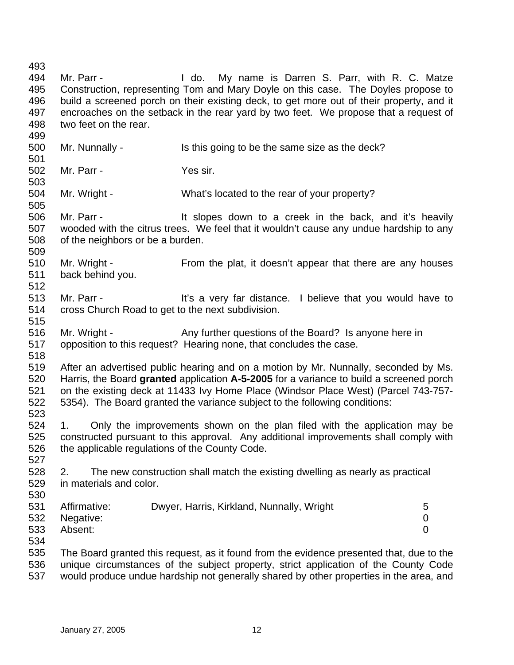493 494 495 496 497 498 499 500 501 502 503 504 505 506 507 508 509 510 511 512 513 514 515 516 517 518 519 520 521 522 523 524 525 526 527 528 529 530 531 532 533 534 535 536 537 Mr. Parr - The Mull do. My name is Darren S. Parr, with R. C. Matze Construction, representing Tom and Mary Doyle on this case. The Doyles propose to build a screened porch on their existing deck, to get more out of their property, and it encroaches on the setback in the rear yard by two feet. We propose that a request of two feet on the rear. Mr. Nunnally - Is this going to be the same size as the deck? Mr. Parr - Yes sir. Mr. Wright - What's located to the rear of your property? Mr. Parr - The Supes down to a creek in the back, and it's heavily wooded with the citrus trees. We feel that it wouldn't cause any undue hardship to any of the neighbors or be a burden. Mr. Wright - From the plat, it doesn't appear that there are any houses back behind you. Mr. Parr - The Music entity a very far distance. I believe that you would have to cross Church Road to get to the next subdivision. Mr. Wright - Any further questions of the Board? Is anyone here in opposition to this request? Hearing none, that concludes the case. After an advertised public hearing and on a motion by Mr. Nunnally, seconded by Ms. Harris, the Board **granted** application **A-5-2005** for a variance to build a screened porch on the existing deck at 11433 Ivy Home Place (Windsor Place West) (Parcel 743-757- 5354). The Board granted the variance subject to the following conditions: 1. Only the improvements shown on the plan filed with the application may be constructed pursuant to this approval. Any additional improvements shall comply with the applicable regulations of the County Code. 2. The new construction shall match the existing dwelling as nearly as practical in materials and color. Affirmative: Dwyer, Harris, Kirkland, Nunnally, Wright 5 Negative: 0 Absent: 0 The Board granted this request, as it found from the evidence presented that, due to the unique circumstances of the subject property, strict application of the County Code would produce undue hardship not generally shared by other properties in the area, and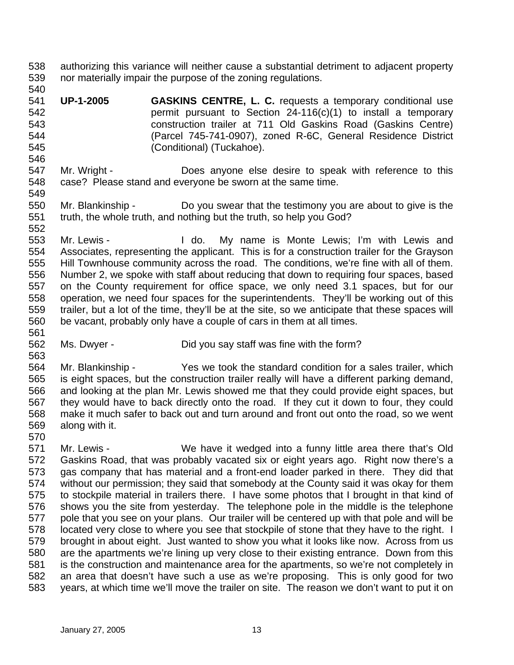- 538 539 authorizing this variance will neither cause a substantial detriment to adjacent property nor materially impair the purpose of the zoning regulations.
- 540 541 542 543 544 545 **UP-1-2005 GASKINS CENTRE, L. C.** requests a temporary conditional use permit pursuant to Section 24-116(c)(1) to install a temporary construction trailer at 711 Old Gaskins Road (Gaskins Centre) (Parcel 745-741-0907), zoned R-6C, General Residence District (Conditional) (Tuckahoe).
- 547 548 549 Mr. Wright - **Does anyone else desire to speak with reference to this** case? Please stand and everyone be sworn at the same time.
- 550 551 552 Mr. Blankinship - Do you swear that the testimony you are about to give is the truth, the whole truth, and nothing but the truth, so help you God?
- 553 554 555 556 557 558 559 560 561 Mr. Lewis - The Mull do. My name is Monte Lewis; I'm with Lewis and Associates, representing the applicant. This is for a construction trailer for the Grayson Hill Townhouse community across the road. The conditions, we're fine with all of them. Number 2, we spoke with staff about reducing that down to requiring four spaces, based on the County requirement for office space, we only need 3.1 spaces, but for our operation, we need four spaces for the superintendents. They'll be working out of this trailer, but a lot of the time, they'll be at the site, so we anticipate that these spaces will be vacant, probably only have a couple of cars in them at all times.
- 562 Ms. Dwyer - Did you say staff was fine with the form?
- 564 565 566 567 568 569 Mr. Blankinship - Yes we took the standard condition for a sales trailer, which is eight spaces, but the construction trailer really will have a different parking demand, and looking at the plan Mr. Lewis showed me that they could provide eight spaces, but they would have to back directly onto the road. If they cut it down to four, they could make it much safer to back out and turn around and front out onto the road, so we went along with it.
- 570 571 572 573 574 575 576 577 578 579 580 581 582 583 Mr. Lewis - We have it wedged into a funny little area there that's Old Gaskins Road, that was probably vacated six or eight years ago. Right now there's a gas company that has material and a front-end loader parked in there. They did that without our permission; they said that somebody at the County said it was okay for them to stockpile material in trailers there. I have some photos that I brought in that kind of shows you the site from yesterday. The telephone pole in the middle is the telephone pole that you see on your plans. Our trailer will be centered up with that pole and will be located very close to where you see that stockpile of stone that they have to the right. I brought in about eight. Just wanted to show you what it looks like now. Across from us are the apartments we're lining up very close to their existing entrance. Down from this is the construction and maintenance area for the apartments, so we're not completely in an area that doesn't have such a use as we're proposing. This is only good for two years, at which time we'll move the trailer on site. The reason we don't want to put it on

546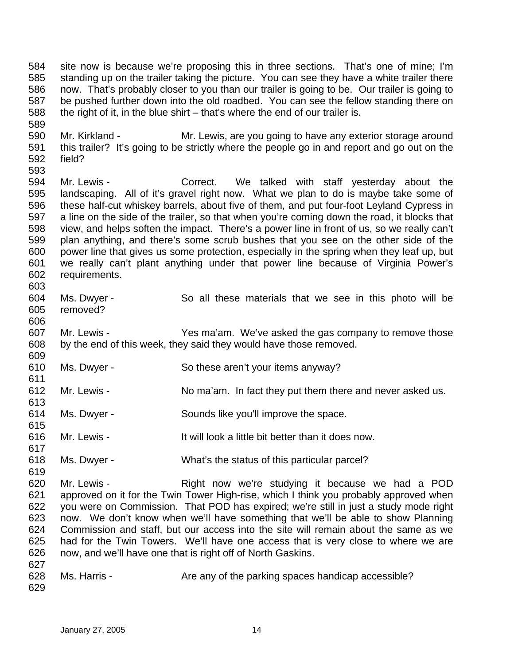584 585 586 587 588 site now is because we're proposing this in three sections. That's one of mine; I'm standing up on the trailer taking the picture. You can see they have a white trailer there now. That's probably closer to you than our trailer is going to be. Our trailer is going to be pushed further down into the old roadbed. You can see the fellow standing there on the right of it, in the blue shirt – that's where the end of our trailer is.

590 591 592 593 Mr. Kirkland - The Mr. Lewis, are you going to have any exterior storage around this trailer? It's going to be strictly where the people go in and report and go out on the field?

594 595 596 597 598 599 600 601 602 603 Mr. Lewis - The Correct. We talked with staff yesterday about the landscaping. All of it's gravel right now. What we plan to do is maybe take some of these half-cut whiskey barrels, about five of them, and put four-foot Leyland Cypress in a line on the side of the trailer, so that when you're coming down the road, it blocks that view, and helps soften the impact. There's a power line in front of us, so we really can't plan anything, and there's some scrub bushes that you see on the other side of the power line that gives us some protection, especially in the spring when they leaf up, but we really can't plant anything under that power line because of Virginia Power's requirements.

- 604 605 Ms. Dwyer - So all these materials that we see in this photo will be removed?
- 607 608 609 Mr. Lewis - The Yes ma'am. We've asked the gas company to remove those by the end of this week, they said they would have those removed.
- 610 Ms. Dwyer - So these aren't your items anyway?
- 612 613 Mr. Lewis - No ma'am. In fact they put them there and never asked us.
- 614 Ms. Dwyer - Sounds like you'll improve the space.
- 616 Mr. Lewis - The Mull look a little bit better than it does now.
- 618 Ms. Dwyer - What's the status of this particular parcel?

620 621 622 623 624 625 626 627 Mr. Lewis - The Right now we're studying it because we had a POD approved on it for the Twin Tower High-rise, which I think you probably approved when you were on Commission. That POD has expired; we're still in just a study mode right now. We don't know when we'll have something that we'll be able to show Planning Commission and staff, but our access into the site will remain about the same as we had for the Twin Towers. We'll have one access that is very close to where we are now, and we'll have one that is right off of North Gaskins.

628 629 Ms. Harris - Are any of the parking spaces handicap accessible?

589

606

611

615

617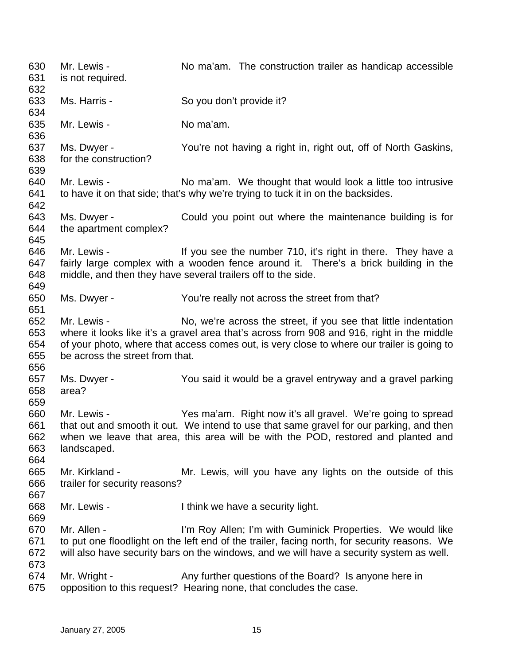| 630<br>631<br>632               | Mr. Lewis -<br>is not required.                 | No ma'am. The construction trailer as handicap accessible                                                                                                                                                                                                   |
|---------------------------------|-------------------------------------------------|-------------------------------------------------------------------------------------------------------------------------------------------------------------------------------------------------------------------------------------------------------------|
| 633<br>634                      | Ms. Harris -                                    | So you don't provide it?                                                                                                                                                                                                                                    |
| 635<br>636                      | Mr. Lewis -                                     | No ma'am.                                                                                                                                                                                                                                                   |
| 637<br>638<br>639               | Ms. Dwyer -<br>for the construction?            | You're not having a right in, right out, off of North Gaskins,                                                                                                                                                                                              |
| 640<br>641<br>642               | Mr. Lewis -                                     | No ma'am. We thought that would look a little too intrusive<br>to have it on that side; that's why we're trying to tuck it in on the backsides.                                                                                                             |
| 643<br>644<br>645               | Ms. Dwyer -<br>the apartment complex?           | Could you point out where the maintenance building is for                                                                                                                                                                                                   |
| 646<br>647<br>648<br>649        | Mr. Lewis -                                     | If you see the number 710, it's right in there. They have a<br>fairly large complex with a wooden fence around it. There's a brick building in the<br>middle, and then they have several trailers off to the side.                                          |
| 650<br>651                      | Ms. Dwyer -                                     | You're really not across the street from that?                                                                                                                                                                                                              |
| 652<br>653<br>654<br>655<br>656 | Mr. Lewis -<br>be across the street from that.  | No, we're across the street, if you see that little indentation<br>where it looks like it's a gravel area that's across from 908 and 916, right in the middle<br>of your photo, where that access comes out, is very close to where our trailer is going to |
| 657<br>658<br>659               | Ms. Dwyer -<br>area?                            | You said it would be a gravel entryway and a gravel parking                                                                                                                                                                                                 |
| 660<br>661<br>662<br>663<br>664 | Mr. Lewis -<br>landscaped.                      | Yes ma'am. Right now it's all gravel. We're going to spread<br>that out and smooth it out. We intend to use that same gravel for our parking, and then<br>when we leave that area, this area will be with the POD, restored and planted and                 |
| 665<br>666<br>667               | Mr. Kirkland -<br>trailer for security reasons? | Mr. Lewis, will you have any lights on the outside of this                                                                                                                                                                                                  |
| 668<br>669                      | Mr. Lewis -                                     | I think we have a security light.                                                                                                                                                                                                                           |
| 670<br>671<br>672<br>673        | Mr. Allen -                                     | I'm Roy Allen; I'm with Guminick Properties. We would like<br>to put one floodlight on the left end of the trailer, facing north, for security reasons. We<br>will also have security bars on the windows, and we will have a security system as well.      |
| 674<br>675                      | Mr. Wright -                                    | Any further questions of the Board? Is anyone here in<br>opposition to this request? Hearing none, that concludes the case.                                                                                                                                 |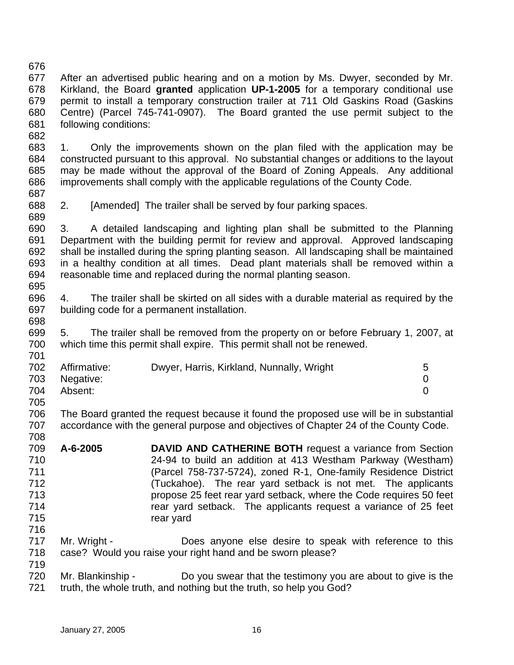676 677 678 679 680 681 After an advertised public hearing and on a motion by Ms. Dwyer, seconded by Mr. Kirkland, the Board **granted** application **UP-1-2005** for a temporary conditional use permit to install a temporary construction trailer at 711 Old Gaskins Road (Gaskins Centre) (Parcel 745-741-0907). The Board granted the use permit subject to the following conditions:

683 684 685 686 687 1. Only the improvements shown on the plan filed with the application may be constructed pursuant to this approval. No substantial changes or additions to the layout may be made without the approval of the Board of Zoning Appeals. Any additional improvements shall comply with the applicable regulations of the County Code.

688 2. [Amended] The trailer shall be served by four parking spaces.

690 691 692 693 694 695 3. A detailed landscaping and lighting plan shall be submitted to the Planning Department with the building permit for review and approval. Approved landscaping shall be installed during the spring planting season. All landscaping shall be maintained in a healthy condition at all times. Dead plant materials shall be removed within a reasonable time and replaced during the normal planting season.

696 697 4. The trailer shall be skirted on all sides with a durable material as required by the building code for a permanent installation.

699 700 5. The trailer shall be removed from the property on or before February 1, 2007, at which time this permit shall expire. This permit shall not be renewed.

| 702 | Affirmative: | Dwyer, Harris, Kirkland, Nunnally, Wright | 5 |
|-----|--------------|-------------------------------------------|---|
| 703 | Negative:    |                                           |   |
| 704 | Absent:      |                                           |   |
| 705 |              |                                           |   |

706 707 The Board granted the request because it found the proposed use will be in substantial accordance with the general purpose and objectives of Chapter 24 of the County Code.

- 709 710 711 712 713 714 715 **A-6-2005 DAVID AND CATHERINE BOTH** request a variance from Section 24-94 to build an addition at 413 Westham Parkway (Westham) (Parcel 758-737-5724), zoned R-1, One-family Residence District (Tuckahoe). The rear yard setback is not met. The applicants propose 25 feet rear yard setback, where the Code requires 50 feet rear yard setback. The applicants request a variance of 25 feet rear yard
- 717 718 Mr. Wright - Does anyone else desire to speak with reference to this case? Would you raise your right hand and be sworn please?

720 721 Mr. Blankinship - Do you swear that the testimony you are about to give is the truth, the whole truth, and nothing but the truth, so help you God?

682

689

698

701

708

716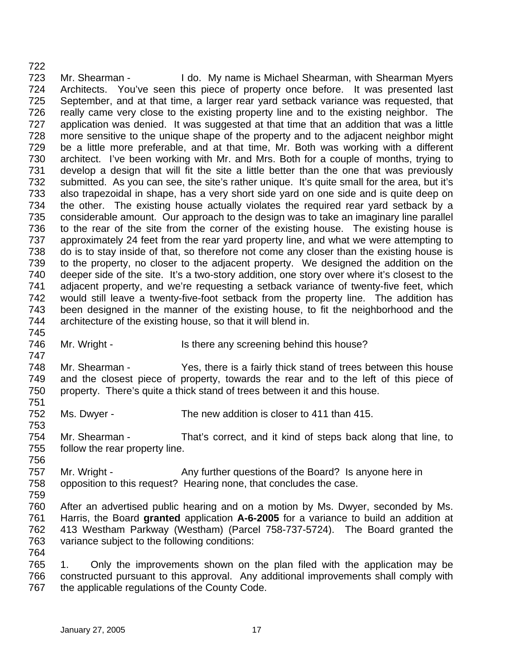722 723 724 725 726 727 728 729 730 731 732 733 734 735 736 737 738 739 740 741 742 743 744 Mr. Shearman - I do. My name is Michael Shearman, with Shearman Myers Architects. You've seen this piece of property once before. It was presented last September, and at that time, a larger rear yard setback variance was requested, that really came very close to the existing property line and to the existing neighbor. The application was denied. It was suggested at that time that an addition that was a little more sensitive to the unique shape of the property and to the adjacent neighbor might be a little more preferable, and at that time, Mr. Both was working with a different architect. I've been working with Mr. and Mrs. Both for a couple of months, trying to develop a design that will fit the site a little better than the one that was previously submitted. As you can see, the site's rather unique. It's quite small for the area, but it's also trapezoidal in shape, has a very short side yard on one side and is quite deep on the other. The existing house actually violates the required rear yard setback by a considerable amount. Our approach to the design was to take an imaginary line parallel to the rear of the site from the corner of the existing house. The existing house is approximately 24 feet from the rear yard property line, and what we were attempting to do is to stay inside of that, so therefore not come any closer than the existing house is to the property, no closer to the adjacent property. We designed the addition on the deeper side of the site. It's a two-story addition, one story over where it's closest to the adjacent property, and we're requesting a setback variance of twenty-five feet, which would still leave a twenty-five-foot setback from the property line. The addition has been designed in the manner of the existing house, to fit the neighborhood and the architecture of the existing house, so that it will blend in.

745 746 747

756

759

764

Mr. Wright - Is there any screening behind this house?

748 749 750 751 Mr. Shearman - Yes, there is a fairly thick stand of trees between this house and the closest piece of property, towards the rear and to the left of this piece of property. There's quite a thick stand of trees between it and this house.

752 753 Ms. Dwyer - The new addition is closer to 411 than 415.

754 755 Mr. Shearman - That's correct, and it kind of steps back along that line, to follow the rear property line.

757 758 Mr. Wright - Any further questions of the Board? Is anyone here in opposition to this request? Hearing none, that concludes the case.

760 761 762 763 After an advertised public hearing and on a motion by Ms. Dwyer, seconded by Ms. Harris, the Board **granted** application **A-6-2005** for a variance to build an addition at 413 Westham Parkway (Westham) (Parcel 758-737-5724). The Board granted the variance subject to the following conditions:

765 766 767 1. Only the improvements shown on the plan filed with the application may be constructed pursuant to this approval. Any additional improvements shall comply with the applicable regulations of the County Code.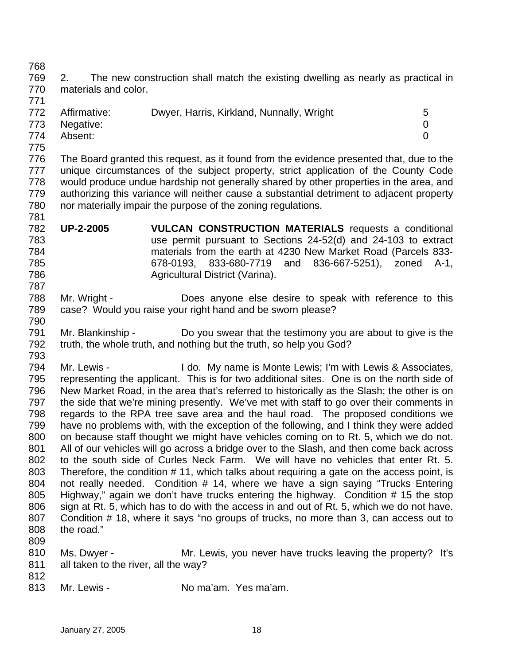769 770 2. The new construction shall match the existing dwelling as nearly as practical in materials and color.

| .   |               |                                           |   |
|-----|---------------|-------------------------------------------|---|
| 772 | Affirmative:  | Dwyer, Harris, Kirkland, Nunnally, Wright | 5 |
|     | 773 Negative: |                                           |   |
| 774 | Absent:       |                                           |   |
| 775 |               |                                           |   |

- 776 777 778 779 780 781 The Board granted this request, as it found from the evidence presented that, due to the unique circumstances of the subject property, strict application of the County Code would produce undue hardship not generally shared by other properties in the area, and authorizing this variance will neither cause a substantial detriment to adjacent property nor materially impair the purpose of the zoning regulations.
- 782 783 784 785 786 **UP-2-2005 VULCAN CONSTRUCTION MATERIALS** requests a conditional use permit pursuant to Sections 24-52(d) and 24-103 to extract materials from the earth at 4230 New Market Road (Parcels 833- 678-0193, 833-680-7719 and 836-667-5251), zoned A-1, Agricultural District (Varina).
- 788 789 Mr. Wright - Does anyone else desire to speak with reference to this case? Would you raise your right hand and be sworn please?
- 791 792 793 Mr. Blankinship - Do you swear that the testimony you are about to give is the truth, the whole truth, and nothing but the truth, so help you God?
- 794 795 796 797 798 799 800 801 802 803 804 805 806 807 808 809 Mr. Lewis - The My name is Monte Lewis; I'm with Lewis & Associates, representing the applicant. This is for two additional sites. One is on the north side of New Market Road, in the area that's referred to historically as the Slash; the other is on the side that we're mining presently. We've met with staff to go over their comments in regards to the RPA tree save area and the haul road. The proposed conditions we have no problems with, with the exception of the following, and I think they were added on because staff thought we might have vehicles coming on to Rt. 5, which we do not. All of our vehicles will go across a bridge over to the Slash, and then come back across to the south side of Curles Neck Farm. We will have no vehicles that enter Rt. 5. Therefore, the condition # 11, which talks about requiring a gate on the access point, is not really needed. Condition # 14, where we have a sign saying "Trucks Entering Highway," again we don't have trucks entering the highway. Condition # 15 the stop sign at Rt. 5, which has to do with the access in and out of Rt. 5, which we do not have. Condition # 18, where it says "no groups of trucks, no more than 3, can access out to the road."
- 810 811 Ms. Dwyer - **Mr. Lewis, you never have trucks leaving the property?** It's all taken to the river, all the way?
- 812

768

771

787

790

813 Mr. Lewis - The Moma'am. Yes ma'am.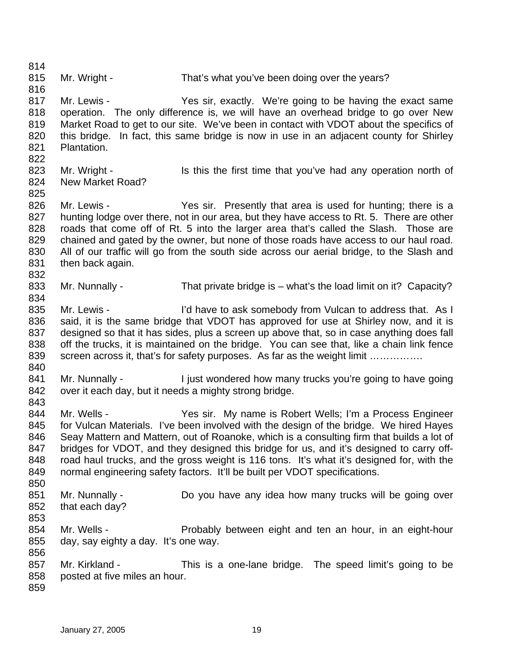814 815 816 817 818 819 820 821 822 823 824 825 826 827 828 829 830 831 832 833 834 835 836 837 838 839 840 841 842 843 844 845 846 847 848 849 850 851 852 853 854 855 856 857 858 859 Mr. Wright - That's what you've been doing over the years? Mr. Lewis - The Yes sir, exactly. We're going to be having the exact same operation. The only difference is, we will have an overhead bridge to go over New Market Road to get to our site. We've been in contact with VDOT about the specifics of this bridge. In fact, this same bridge is now in use in an adjacent county for Shirley Plantation. Mr. Wright - Is this the first time that you've had any operation north of New Market Road? Mr. Lewis - The Yes sir. Presently that area is used for hunting; there is a hunting lodge over there, not in our area, but they have access to Rt. 5. There are other roads that come off of Rt. 5 into the larger area that's called the Slash. Those are chained and gated by the owner, but none of those roads have access to our haul road. All of our traffic will go from the south side across our aerial bridge, to the Slash and then back again. Mr. Nunnally - That private bridge is – what's the load limit on it? Capacity? Mr. Lewis - I'd have to ask somebody from Vulcan to address that. As I said, it is the same bridge that VDOT has approved for use at Shirley now, and it is designed so that it has sides, plus a screen up above that, so in case anything does fall off the trucks, it is maintained on the bridge. You can see that, like a chain link fence screen across it, that's for safety purposes. As far as the weight limit ............... Mr. Nunnally - I just wondered how many trucks you're going to have going over it each day, but it needs a mighty strong bridge. Mr. Wells - Yes sir. My name is Robert Wells; I'm a Process Engineer for Vulcan Materials. I've been involved with the design of the bridge. We hired Hayes Seay Mattern and Mattern, out of Roanoke, which is a consulting firm that builds a lot of bridges for VDOT, and they designed this bridge for us, and it's designed to carry offroad haul trucks, and the gross weight is 116 tons. It's what it's designed for, with the normal engineering safety factors. It'll be built per VDOT specifications. Mr. Nunnally - Do you have any idea how many trucks will be going over that each day? Mr. Wells - **Probably between eight and ten an hour, in an eight-hour** day, say eighty a day. It's one way. Mr. Kirkland - This is a one-lane bridge. The speed limit's going to be posted at five miles an hour.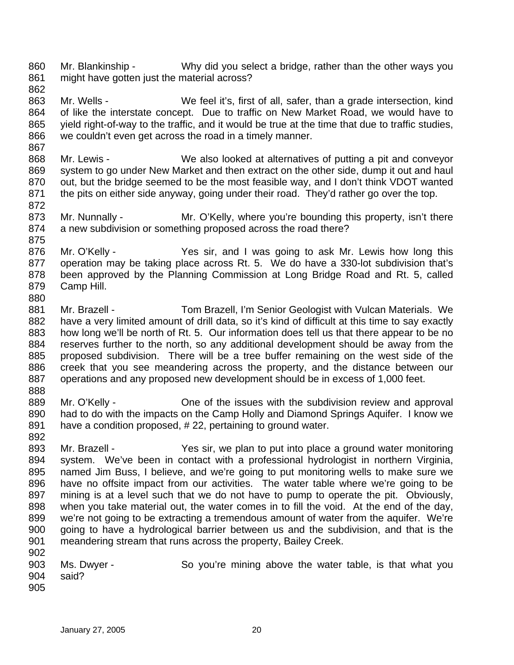860 861 862 Mr. Blankinship - Why did you select a bridge, rather than the other ways you might have gotten just the material across?

- 863 864 865 866 Mr. Wells - We feel it's, first of all, safer, than a grade intersection, kind of like the interstate concept. Due to traffic on New Market Road, we would have to yield right-of-way to the traffic, and it would be true at the time that due to traffic studies, we couldn't even get across the road in a timely manner.
- 867 868 869 870 871 Mr. Lewis - We also looked at alternatives of putting a pit and conveyor system to go under New Market and then extract on the other side, dump it out and haul out, but the bridge seemed to be the most feasible way, and I don't think VDOT wanted the pits on either side anyway, going under their road. They'd rather go over the top.
- 873 874 Mr. Nunnally - Mr. O'Kelly, where you're bounding this property, isn't there a new subdivision or something proposed across the road there?
- 876 877 878 879 880 Mr. O'Kelly - The Yes sir, and I was going to ask Mr. Lewis how long this operation may be taking place across Rt. 5. We do have a 330-lot subdivision that's been approved by the Planning Commission at Long Bridge Road and Rt. 5, called Camp Hill.
- 881 882 883 884 885 886 887 Mr. Brazell - Tom Brazell, I'm Senior Geologist with Vulcan Materials. We have a very limited amount of drill data, so it's kind of difficult at this time to say exactly how long we'll be north of Rt. 5. Our information does tell us that there appear to be no reserves further to the north, so any additional development should be away from the proposed subdivision. There will be a tree buffer remaining on the west side of the creek that you see meandering across the property, and the distance between our operations and any proposed new development should be in excess of 1,000 feet.
- 888 889 890 891 Mr. O'Kelly - Che of the issues with the subdivision review and approval had to do with the impacts on the Camp Holly and Diamond Springs Aquifer. I know we have a condition proposed, #22, pertaining to ground water.
- 892

872

- 893 894 895 896 897 898 899 900 901 902 Mr. Brazell - Yes sir, we plan to put into place a ground water monitoring system. We've been in contact with a professional hydrologist in northern Virginia, named Jim Buss, I believe, and we're going to put monitoring wells to make sure we have no offsite impact from our activities. The water table where we're going to be mining is at a level such that we do not have to pump to operate the pit. Obviously, when you take material out, the water comes in to fill the void. At the end of the day, we're not going to be extracting a tremendous amount of water from the aquifer. We're going to have a hydrological barrier between us and the subdivision, and that is the meandering stream that runs across the property, Bailey Creek.
- 903 904 Ms. Dwyer - So you're mining above the water table, is that what you said?
- 905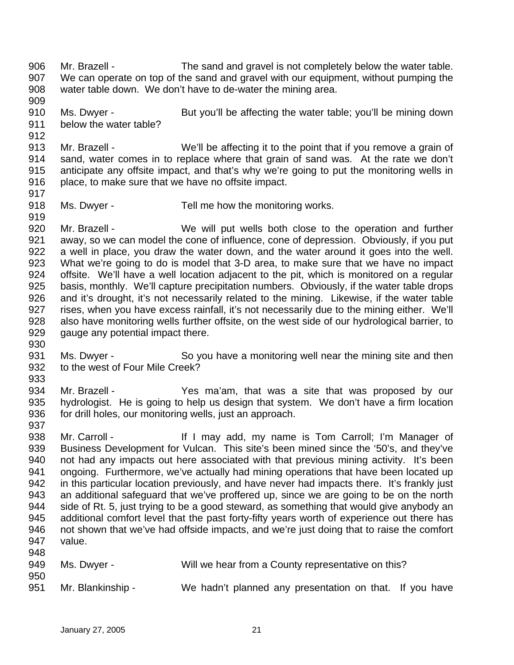906 907 908 909 Mr. Brazell - The sand and gravel is not completely below the water table. We can operate on top of the sand and gravel with our equipment, without pumping the water table down. We don't have to de-water the mining area.

910 911 Ms. Dwyer - But you'll be affecting the water table; you'll be mining down below the water table?

913 914 915 916 Mr. Brazell - We'll be affecting it to the point that if you remove a grain of sand, water comes in to replace where that grain of sand was. At the rate we don't anticipate any offsite impact, and that's why we're going to put the monitoring wells in place, to make sure that we have no offsite impact.

918 Ms. Dwyer - Tell me how the monitoring works.

920 921 922 923 924 925 926 927 928 929 Mr. Brazell - We will put wells both close to the operation and further away, so we can model the cone of influence, cone of depression. Obviously, if you put a well in place, you draw the water down, and the water around it goes into the well. What we're going to do is model that 3-D area, to make sure that we have no impact offsite. We'll have a well location adjacent to the pit, which is monitored on a regular basis, monthly. We'll capture precipitation numbers. Obviously, if the water table drops and it's drought, it's not necessarily related to the mining. Likewise, if the water table rises, when you have excess rainfall, it's not necessarily due to the mining either. We'll also have monitoring wells further offsite, on the west side of our hydrological barrier, to gauge any potential impact there.

931 932 Ms. Dwyer - So you have a monitoring well near the mining site and then to the west of Four Mile Creek?

933

912

917

919

930

934 935 936 937 Mr. Brazell - The Yes ma'am, that was a site that was proposed by our hydrologist. He is going to help us design that system. We don't have a firm location for drill holes, our monitoring wells, just an approach.

938 939 940 941 942 943 944 945 946 947 948 Mr. Carroll - The Music of It I may add, my name is Tom Carroll; I'm Manager of Business Development for Vulcan. This site's been mined since the '50's, and they've not had any impacts out here associated with that previous mining activity. It's been ongoing. Furthermore, we've actually had mining operations that have been located up in this particular location previously, and have never had impacts there. It's frankly just an additional safeguard that we've proffered up, since we are going to be on the north side of Rt. 5, just trying to be a good steward, as something that would give anybody an additional comfort level that the past forty-fifty years worth of experience out there has not shown that we've had offside impacts, and we're just doing that to raise the comfort value.

| 949        | Ms. Dwyer -       | Will we hear from a County representative on this?      |  |  |
|------------|-------------------|---------------------------------------------------------|--|--|
| 950<br>951 | Mr. Blankinship - | We hadn't planned any presentation on that. If you have |  |  |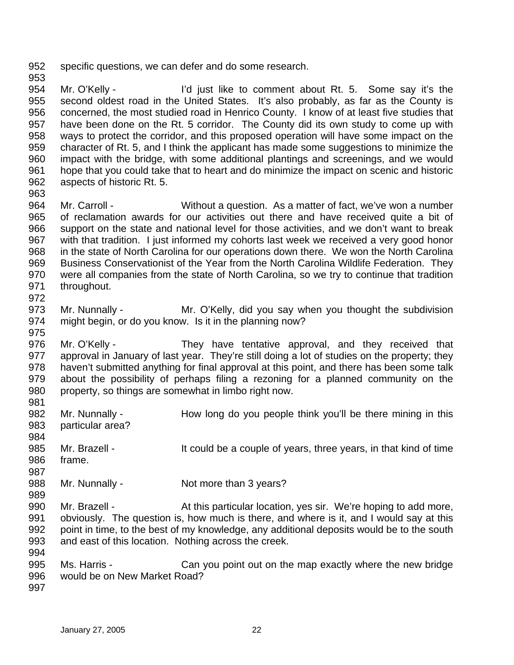952 specific questions, we can defer and do some research.

954 955 956 957 958 959 960 961 962 Mr. O'Kelly - I'd just like to comment about Rt. 5. Some say it's the second oldest road in the United States. It's also probably, as far as the County is concerned, the most studied road in Henrico County. I know of at least five studies that have been done on the Rt. 5 corridor. The County did its own study to come up with ways to protect the corridor, and this proposed operation will have some impact on the character of Rt. 5, and I think the applicant has made some suggestions to minimize the impact with the bridge, with some additional plantings and screenings, and we would hope that you could take that to heart and do minimize the impact on scenic and historic aspects of historic Rt. 5.

964 965 966 967 968 969 970 971 972 Mr. Carroll - Without a question. As a matter of fact, we've won a number of reclamation awards for our activities out there and have received quite a bit of support on the state and national level for those activities, and we don't want to break with that tradition. I just informed my cohorts last week we received a very good honor in the state of North Carolina for our operations down there. We won the North Carolina Business Conservationist of the Year from the North Carolina Wildlife Federation. They were all companies from the state of North Carolina, so we try to continue that tradition throughout.

973 974 975 Mr. Nunnally - Mr. O'Kelly, did you say when you thought the subdivision might begin, or do you know. Is it in the planning now?

976 977 978 979 980 Mr. O'Kelly - They have tentative approval, and they received that approval in January of last year. They're still doing a lot of studies on the property; they haven't submitted anything for final approval at this point, and there has been some talk about the possibility of perhaps filing a rezoning for a planned community on the property, so things are somewhat in limbo right now.

- 981 982 983 984 985 986 987 Mr. Nunnally - How long do you people think you'll be there mining in this particular area? Mr. Brazell - It could be a couple of years, three years, in that kind of time frame.
- 988 Mr. Nunnally - Not more than 3 years?
- 990 991 992 993 994 Mr. Brazell - At this particular location, yes sir. We're hoping to add more, obviously. The question is, how much is there, and where is it, and I would say at this point in time, to the best of my knowledge, any additional deposits would be to the south and east of this location. Nothing across the creek.
- 995 996 Ms. Harris - Can you point out on the map exactly where the new bridge would be on New Market Road?
- 997

989

953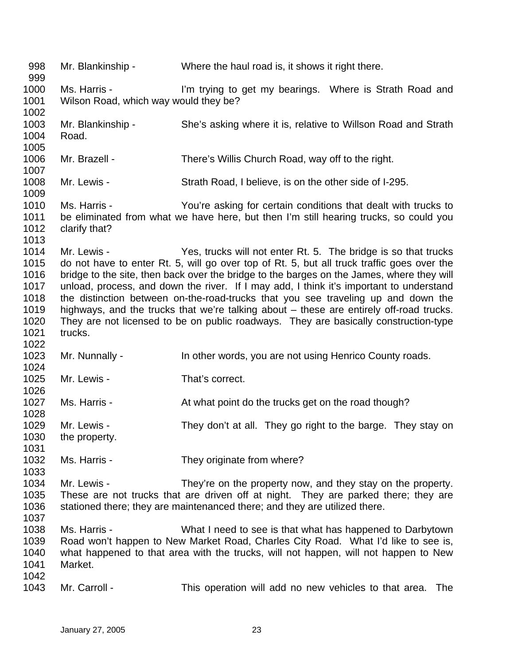998 999 1000 1001 1002 1003 1004 1005 1006 1007 1008 1009 1010 1011 1012 1013 1014 1015 1016 1017 1018 1019 1020 1021 1022 1023 1024 1025 1026 1027 1028 1029 1030 1031 1032 1033 1034 1035 1036 1037 1038 1039 1040 1041 1042 1043 Mr. Blankinship - Where the haul road is, it shows it right there. Ms. Harris - I'm trying to get my bearings. Where is Strath Road and Wilson Road, which way would they be? Mr. Blankinship - She's asking where it is, relative to Willson Road and Strath Road. Mr. Brazell - There's Willis Church Road, way off to the right. Mr. Lewis - Strath Road, I believe, is on the other side of I-295. Ms. Harris - The You're asking for certain conditions that dealt with trucks to be eliminated from what we have here, but then I'm still hearing trucks, so could you clarify that? Mr. Lewis - Yes, trucks will not enter Rt. 5. The bridge is so that trucks do not have to enter Rt. 5, will go over top of Rt. 5, but all truck traffic goes over the bridge to the site, then back over the bridge to the barges on the James, where they will unload, process, and down the river. If I may add, I think it's important to understand the distinction between on-the-road-trucks that you see traveling up and down the highways, and the trucks that we're talking about – these are entirely off-road trucks. They are not licensed to be on public roadways. They are basically construction-type trucks. Mr. Nunnally - In other words, you are not using Henrico County roads. Mr. Lewis - That's correct. Ms. Harris - At what point do the trucks get on the road though? Mr. Lewis - They don't at all. They go right to the barge. They stay on the property. Ms. Harris - They originate from where? Mr. Lewis - They're on the property now, and they stay on the property. These are not trucks that are driven off at night. They are parked there; they are stationed there; they are maintenanced there; and they are utilized there. Ms. Harris - What I need to see is that what has happened to Darbytown Road won't happen to New Market Road, Charles City Road. What I'd like to see is, what happened to that area with the trucks, will not happen, will not happen to New Market. Mr. Carroll - This operation will add no new vehicles to that area. The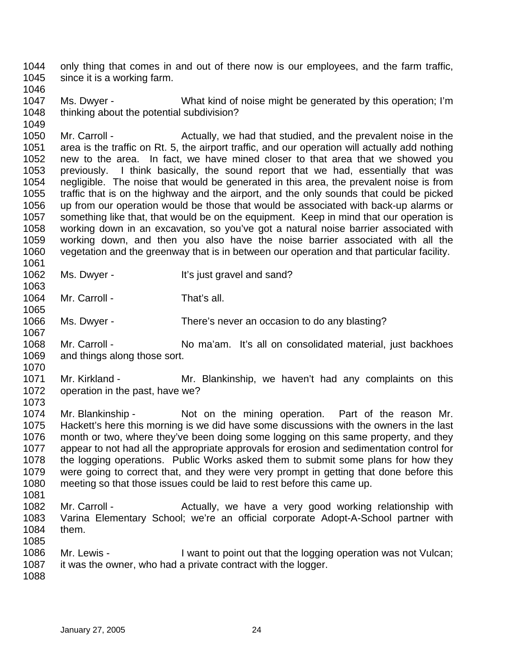1044 1045 only thing that comes in and out of there now is our employees, and the farm traffic, since it is a working farm.

1046

1049

1063

1065

1070

1047 1048 Ms. Dwyer - What kind of noise might be generated by this operation; I'm thinking about the potential subdivision?

1050 1051 1052 1053 1054 1055 1056 1057 1058 1059 1060 1061 Mr. Carroll - Actually, we had that studied, and the prevalent noise in the area is the traffic on Rt. 5, the airport traffic, and our operation will actually add nothing new to the area. In fact, we have mined closer to that area that we showed you previously. I think basically, the sound report that we had, essentially that was negligible. The noise that would be generated in this area, the prevalent noise is from traffic that is on the highway and the airport, and the only sounds that could be picked up from our operation would be those that would be associated with back-up alarms or something like that, that would be on the equipment. Keep in mind that our operation is working down in an excavation, so you've got a natural noise barrier associated with working down, and then you also have the noise barrier associated with all the vegetation and the greenway that is in between our operation and that particular facility.

1062 Ms. Dwyer - It's just gravel and sand?

1064 Mr. Carroll - That's all.

1066 1067 Ms. Dwyer - There's never an occasion to do any blasting?

1068 1069 Mr. Carroll - No ma'am. It's all on consolidated material, just backhoes and things along those sort.

1071 1072 1073 Mr. Kirkland - The Mr. Blankinship, we haven't had any complaints on this operation in the past, have we?

1074 1075 1076 1077 1078 1079 1080 1081 Mr. Blankinship - Not on the mining operation. Part of the reason Mr. Hackett's here this morning is we did have some discussions with the owners in the last month or two, where they've been doing some logging on this same property, and they appear to not had all the appropriate approvals for erosion and sedimentation control for the logging operations. Public Works asked them to submit some plans for how they were going to correct that, and they were very prompt in getting that done before this meeting so that those issues could be laid to rest before this came up.

- 1082 1083 1084 1085 Mr. Carroll - The Actually, we have a very good working relationship with Varina Elementary School; we're an official corporate Adopt-A-School partner with them.
- 1086 1087 Mr. Lewis - I want to point out that the logging operation was not Vulcan; it was the owner, who had a private contract with the logger.
- 1088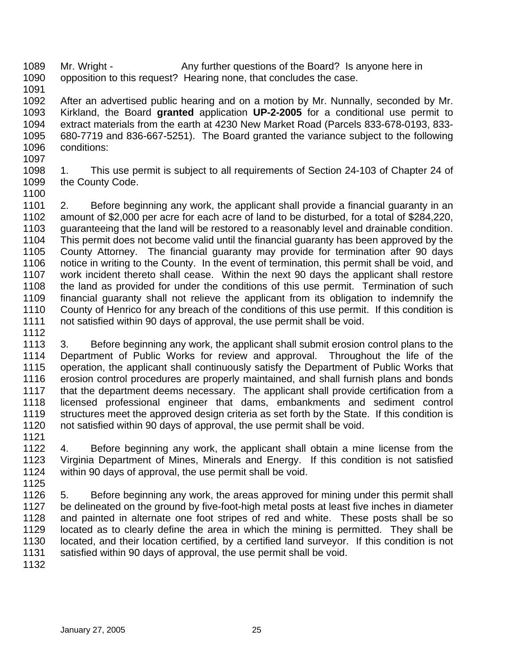1089 1090 Mr. Wright - Any further questions of the Board? Is anyone here in opposition to this request? Hearing none, that concludes the case.

1091

1092 1093 1094 1095 1096 After an advertised public hearing and on a motion by Mr. Nunnally, seconded by Mr. Kirkland, the Board **granted** application **UP-2-2005** for a conditional use permit to extract materials from the earth at 4230 New Market Road (Parcels 833-678-0193, 833- 680-7719 and 836-667-5251). The Board granted the variance subject to the following conditions:

1097

1098 1099 1. This use permit is subject to all requirements of Section 24-103 of Chapter 24 of the County Code.

1100

1101 1102 1103 1104 1105 1106 1107 1108 1109 1110 1111 2. Before beginning any work, the applicant shall provide a financial guaranty in an amount of \$2,000 per acre for each acre of land to be disturbed, for a total of \$284,220, guaranteeing that the land will be restored to a reasonably level and drainable condition. This permit does not become valid until the financial guaranty has been approved by the County Attorney. The financial guaranty may provide for termination after 90 days notice in writing to the County. In the event of termination, this permit shall be void, and work incident thereto shall cease. Within the next 90 days the applicant shall restore the land as provided for under the conditions of this use permit. Termination of such financial guaranty shall not relieve the applicant from its obligation to indemnify the County of Henrico for any breach of the conditions of this use permit. If this condition is not satisfied within 90 days of approval, the use permit shall be void.

1112

1113 1114 1115 1116 1117 1118 1119 1120 3. Before beginning any work, the applicant shall submit erosion control plans to the Department of Public Works for review and approval. Throughout the life of the operation, the applicant shall continuously satisfy the Department of Public Works that erosion control procedures are properly maintained, and shall furnish plans and bonds that the department deems necessary. The applicant shall provide certification from a licensed professional engineer that dams, embankments and sediment control structures meet the approved design criteria as set forth by the State. If this condition is not satisfied within 90 days of approval, the use permit shall be void.

1121

1122 1123 1124 4. Before beginning any work, the applicant shall obtain a mine license from the Virginia Department of Mines, Minerals and Energy. If this condition is not satisfied within 90 days of approval, the use permit shall be void.

1125

1126 1127 1128 1129 1130 1131 5. Before beginning any work, the areas approved for mining under this permit shall be delineated on the ground by five-foot-high metal posts at least five inches in diameter and painted in alternate one foot stripes of red and white. These posts shall be so located as to clearly define the area in which the mining is permitted. They shall be located, and their location certified, by a certified land surveyor. If this condition is not satisfied within 90 days of approval, the use permit shall be void.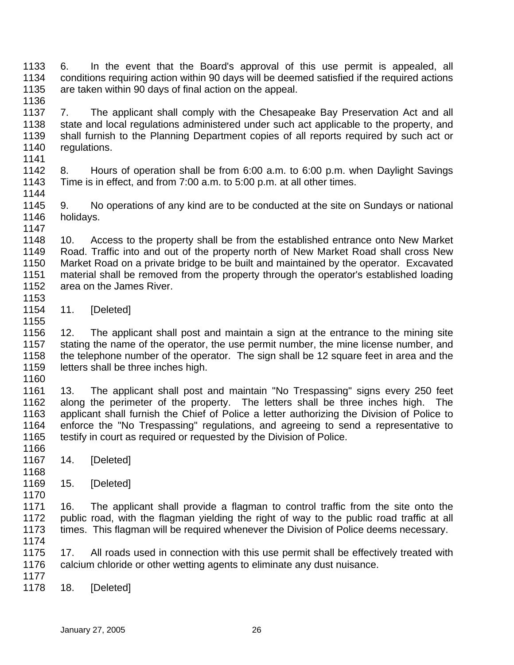1133 1134 1135 1136 6. In the event that the Board's approval of this use permit is appealed, all conditions requiring action within 90 days will be deemed satisfied if the required actions are taken within 90 days of final action on the appeal.

1137 1138 1139 1140 7. The applicant shall comply with the Chesapeake Bay Preservation Act and all state and local regulations administered under such act applicable to the property, and shall furnish to the Planning Department copies of all reports required by such act or regulations.

1142 1143 1144 8. Hours of operation shall be from 6:00 a.m. to 6:00 p.m. when Daylight Savings Time is in effect, and from 7:00 a.m. to 5:00 p.m. at all other times.

1145 1146 1147 9. No operations of any kind are to be conducted at the site on Sundays or national holidays.

1148 1149 1150 1151 1152 1153 10. Access to the property shall be from the established entrance onto New Market Road. Traffic into and out of the property north of New Market Road shall cross New Market Road on a private bridge to be built and maintained by the operator. Excavated material shall be removed from the property through the operator's established loading area on the James River.

1154 11. [Deleted]

1156 1157 1158 1159 12. The applicant shall post and maintain a sign at the entrance to the mining site stating the name of the operator, the use permit number, the mine license number, and the telephone number of the operator. The sign shall be 12 square feet in area and the letters shall be three inches high.

1160

1155

1141

1161 1162 1163 1164 1165 1166 13. The applicant shall post and maintain "No Trespassing" signs every 250 feet along the perimeter of the property. The letters shall be three inches high. The applicant shall furnish the Chief of Police a letter authorizing the Division of Police to enforce the "No Trespassing" regulations, and agreeing to send a representative to testify in court as required or requested by the Division of Police.

- 1167 14. [Deleted]
- 1168 1169 15. [Deleted]

1171 1172 1173 1174 16. The applicant shall provide a flagman to control traffic from the site onto the public road, with the flagman yielding the right of way to the public road traffic at all times. This flagman will be required whenever the Division of Police deems necessary.

1175 1176 17. All roads used in connection with this use permit shall be effectively treated with calcium chloride or other wetting agents to eliminate any dust nuisance.

1177

1170

1178 18. [Deleted]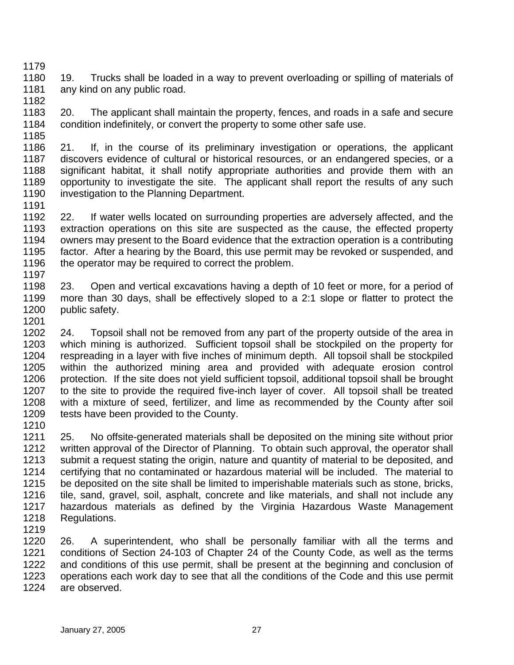- 1180 1181 1182 19. Trucks shall be loaded in a way to prevent overloading or spilling of materials of any kind on any public road.
- 1183 1184 1185 20. The applicant shall maintain the property, fences, and roads in a safe and secure condition indefinitely, or convert the property to some other safe use.
- 1186 1187 1188 1189 1190 21. If, in the course of its preliminary investigation or operations, the applicant discovers evidence of cultural or historical resources, or an endangered species, or a significant habitat, it shall notify appropriate authorities and provide them with an opportunity to investigate the site. The applicant shall report the results of any such investigation to the Planning Department.
- 1192 1193 1194 1195 1196 1197 22. If water wells located on surrounding properties are adversely affected, and the extraction operations on this site are suspected as the cause, the effected property owners may present to the Board evidence that the extraction operation is a contributing factor. After a hearing by the Board, this use permit may be revoked or suspended, and the operator may be required to correct the problem.
- 1198 1199 1200 1201 23. Open and vertical excavations having a depth of 10 feet or more, for a period of more than 30 days, shall be effectively sloped to a 2:1 slope or flatter to protect the public safety.
- 1202 1203 1204 1205 1206 1207 1208 1209 24. Topsoil shall not be removed from any part of the property outside of the area in which mining is authorized. Sufficient topsoil shall be stockpiled on the property for respreading in a layer with five inches of minimum depth. All topsoil shall be stockpiled within the authorized mining area and provided with adequate erosion control protection. If the site does not yield sufficient topsoil, additional topsoil shall be brought to the site to provide the required five-inch layer of cover. All topsoil shall be treated with a mixture of seed, fertilizer, and lime as recommended by the County after soil tests have been provided to the County.
- 1210

1179

1191

1211 1212 1213 1214 1215 1216 1217 1218 1219 25. No offsite-generated materials shall be deposited on the mining site without prior written approval of the Director of Planning. To obtain such approval, the operator shall submit a request stating the origin, nature and quantity of material to be deposited, and certifying that no contaminated or hazardous material will be included. The material to be deposited on the site shall be limited to imperishable materials such as stone, bricks, tile, sand, gravel, soil, asphalt, concrete and like materials, and shall not include any hazardous materials as defined by the Virginia Hazardous Waste Management Regulations.

1220 1221 1222 1223 1224 26. A superintendent, who shall be personally familiar with all the terms and conditions of Section 24-103 of Chapter 24 of the County Code, as well as the terms and conditions of this use permit, shall be present at the beginning and conclusion of operations each work day to see that all the conditions of the Code and this use permit are observed.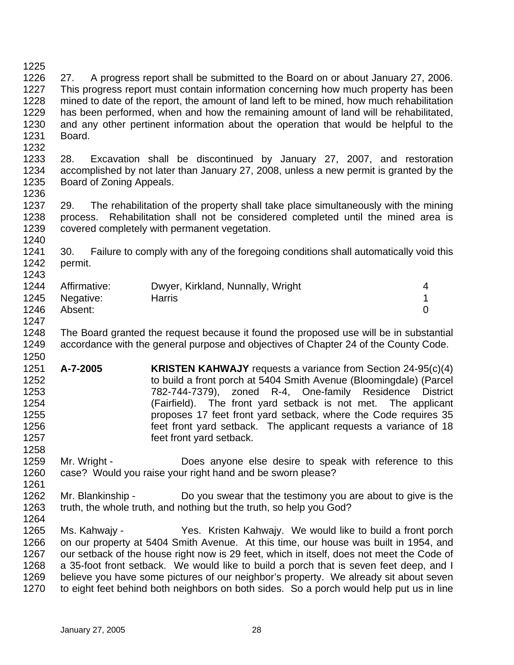1225 1226 1227 1228 1229 1230 1231 1232 1233 1234 1235 1236 1237 1238 1239 1240 1241 1242 1243 1244 1245 1246 1247 1248 1249 1250 1251 1252 1253 1254 1255 1256 1257 1258 1259 1260 1261 1262 1263 1264 1265 1266 1267 1268 1269 1270 27. A progress report shall be submitted to the Board on or about January 27, 2006. This progress report must contain information concerning how much property has been mined to date of the report, the amount of land left to be mined, how much rehabilitation has been performed, when and how the remaining amount of land will be rehabilitated, and any other pertinent information about the operation that would be helpful to the Board. 28. Excavation shall be discontinued by January 27, 2007, and restoration accomplished by not later than January 27, 2008, unless a new permit is granted by the Board of Zoning Appeals. 29. The rehabilitation of the property shall take place simultaneously with the mining process. Rehabilitation shall not be considered completed until the mined area is covered completely with permanent vegetation. 30. Failure to comply with any of the foregoing conditions shall automatically void this permit. Affirmative: Dwyer, Kirkland, Nunnally, Wright 4 Negative: Harris 1 Absent: 0 The Board granted the request because it found the proposed use will be in substantial accordance with the general purpose and objectives of Chapter 24 of the County Code. **A-7-2005 KRISTEN KAHWAJY** requests a variance from Section 24-95(c)(4) to build a front porch at 5404 Smith Avenue (Bloomingdale) (Parcel 782-744-7379), zoned R-4, One-family Residence District (Fairfield). The front yard setback is not met. The applicant proposes 17 feet front yard setback, where the Code requires 35 feet front yard setback. The applicant requests a variance of 18 feet front yard setback. Mr. Wright - **Does anyone else desire to speak with reference to this** case? Would you raise your right hand and be sworn please? Mr. Blankinship - Do you swear that the testimony you are about to give is the truth, the whole truth, and nothing but the truth, so help you God? Ms. Kahwajy - Yes. Kristen Kahwajy. We would like to build a front porch on our property at 5404 Smith Avenue. At this time, our house was built in 1954, and our setback of the house right now is 29 feet, which in itself, does not meet the Code of a 35-foot front setback. We would like to build a porch that is seven feet deep, and I believe you have some pictures of our neighbor's property. We already sit about seven to eight feet behind both neighbors on both sides. So a porch would help put us in line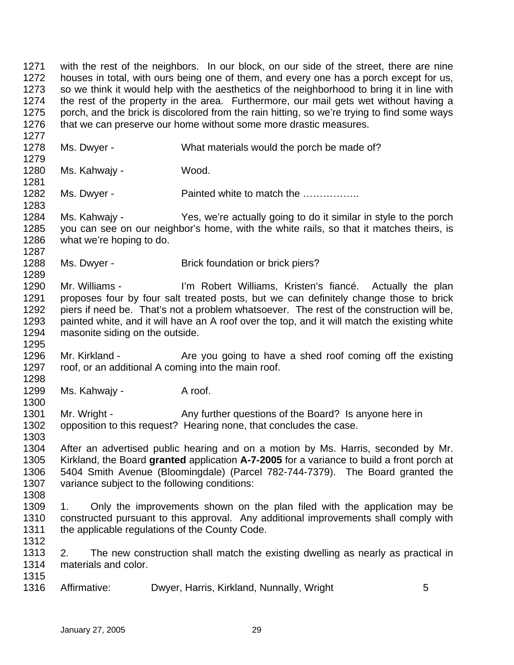1271 1272 1273 1274 1275 1276 1277 1278 1279 1280 1281 1282 1283 1284 1285 1286 1287 1288 1289 1290 1291 1292 1293 1294 1295 1296 1297 1298 1299 with the rest of the neighbors. In our block, on our side of the street, there are nine houses in total, with ours being one of them, and every one has a porch except for us, so we think it would help with the aesthetics of the neighborhood to bring it in line with the rest of the property in the area. Furthermore, our mail gets wet without having a porch, and the brick is discolored from the rain hitting, so we're trying to find some ways that we can preserve our home without some more drastic measures. Ms. Dwyer - What materials would the porch be made of? Ms. Kahwaiy - Wood. Ms. Dwyer - Painted white to match the ................ Ms. Kahwajy - Yes, we're actually going to do it similar in style to the porch you can see on our neighbor's home, with the white rails, so that it matches theirs, is what we're hoping to do. Ms. Dwyer - Brick foundation or brick piers? Mr. Williams - I'm Robert Williams, Kristen's fiancé. Actually the plan proposes four by four salt treated posts, but we can definitely change those to brick piers if need be. That's not a problem whatsoever. The rest of the construction will be, painted white, and it will have an A roof over the top, and it will match the existing white masonite siding on the outside. Mr. Kirkland - The you going to have a shed roof coming off the existing roof, or an additional A coming into the main roof. Ms. Kahwajy - A roof.

1301 1302 Mr. Wright - Any further questions of the Board? Is anyone here in opposition to this request? Hearing none, that concludes the case.

1303 1304 1305 1306 1307 After an advertised public hearing and on a motion by Ms. Harris, seconded by Mr. Kirkland, the Board **granted** application **A-7-2005** for a variance to build a front porch at 5404 Smith Avenue (Bloomingdale) (Parcel 782-744-7379). The Board granted the variance subject to the following conditions:

1308

1300

1309 1310 1311 1312 1. Only the improvements shown on the plan filed with the application may be constructed pursuant to this approval. Any additional improvements shall comply with the applicable regulations of the County Code.

1313 1314 2. The new construction shall match the existing dwelling as nearly as practical in materials and color.

- 1315 1316
	- Affirmative: Dwyer, Harris, Kirkland, Nunnally, Wright 5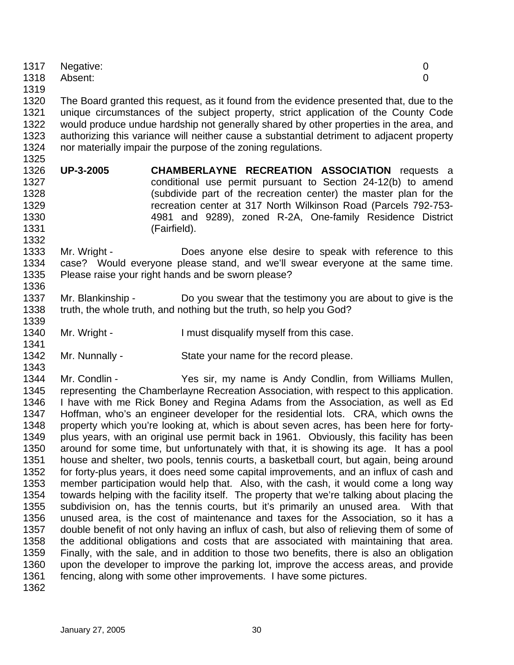|      | 1317 Negative: |  |
|------|----------------|--|
|      | 1318 Absent:   |  |
| 1319 |                |  |

1320 1321 1322 1323 1324 The Board granted this request, as it found from the evidence presented that, due to the unique circumstances of the subject property, strict application of the County Code would produce undue hardship not generally shared by other properties in the area, and authorizing this variance will neither cause a substantial detriment to adjacent property nor materially impair the purpose of the zoning regulations.

1326 1327 1328 1329 1330 1331 **UP-3-2005 CHAMBERLAYNE RECREATION ASSOCIATION** requests a conditional use permit pursuant to Section 24-12(b) to amend (subdivide part of the recreation center) the master plan for the recreation center at 317 North Wilkinson Road (Parcels 792-753- 4981 and 9289), zoned R-2A, One-family Residence District (Fairfield).

1333 1334 1335 1336 Mr. Wright - Does anyone else desire to speak with reference to this case? Would everyone please stand, and we'll swear everyone at the same time. Please raise your right hands and be sworn please?

- 1337 1338 Mr. Blankinship - Do you swear that the testimony you are about to give is the truth, the whole truth, and nothing but the truth, so help you God?
- 1340 Mr. Wright - The Unit disqualify myself from this case.
- 1342 Mr. Nunnally - State your name for the record please.

1344 1345 1346 1347 1348 1349 1350 1351 1352 1353 1354 1355 1356 1357 1358 1359 1360 1361 Mr. Condlin - The Yes sir, my name is Andy Condlin, from Williams Mullen, representing the Chamberlayne Recreation Association, with respect to this application. I have with me Rick Boney and Regina Adams from the Association, as well as Ed Hoffman, who's an engineer developer for the residential lots. CRA, which owns the property which you're looking at, which is about seven acres, has been here for fortyplus years, with an original use permit back in 1961. Obviously, this facility has been around for some time, but unfortunately with that, it is showing its age. It has a pool house and shelter, two pools, tennis courts, a basketball court, but again, being around for forty-plus years, it does need some capital improvements, and an influx of cash and member participation would help that. Also, with the cash, it would come a long way towards helping with the facility itself. The property that we're talking about placing the subdivision on, has the tennis courts, but it's primarily an unused area. With that unused area, is the cost of maintenance and taxes for the Association, so it has a double benefit of not only having an influx of cash, but also of relieving them of some of the additional obligations and costs that are associated with maintaining that area. Finally, with the sale, and in addition to those two benefits, there is also an obligation upon the developer to improve the parking lot, improve the access areas, and provide fencing, along with some other improvements. I have some pictures.

1362

1325

1332

1339

1341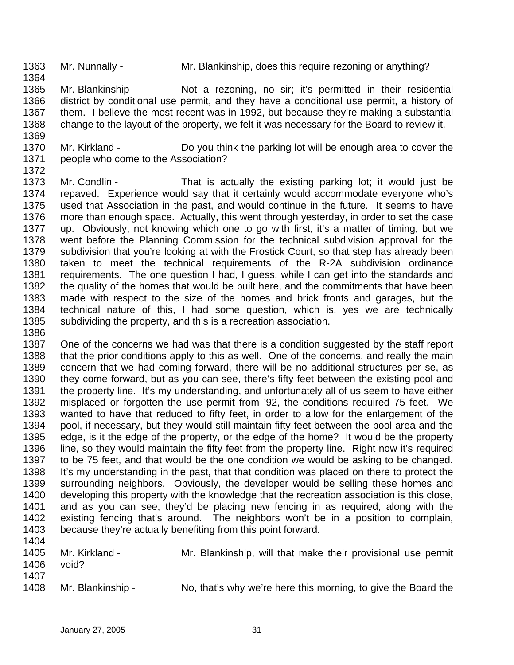1363 Mr. Nunnally - Mr. Blankinship, does this require rezoning or anything?

1365 1366 1367 1368 1369 Mr. Blankinship - Not a rezoning, no sir; it's permitted in their residential district by conditional use permit, and they have a conditional use permit, a history of them. I believe the most recent was in 1992, but because they're making a substantial change to the layout of the property, we felt it was necessary for the Board to review it.

1370 1371 1372 Mr. Kirkland - Do you think the parking lot will be enough area to cover the people who come to the Association?

1373 1374 1375 1376 1377 1378 1379 1380 1381 1382 1383 1384 1385 Mr. Condlin - That is actually the existing parking lot; it would just be repaved. Experience would say that it certainly would accommodate everyone who's used that Association in the past, and would continue in the future. It seems to have more than enough space. Actually, this went through yesterday, in order to set the case up. Obviously, not knowing which one to go with first, it's a matter of timing, but we went before the Planning Commission for the technical subdivision approval for the subdivision that you're looking at with the Frostick Court, so that step has already been taken to meet the technical requirements of the R-2A subdivision ordinance requirements. The one question I had, I guess, while I can get into the standards and the quality of the homes that would be built here, and the commitments that have been made with respect to the size of the homes and brick fronts and garages, but the technical nature of this, I had some question, which is, yes we are technically subdividing the property, and this is a recreation association.

1386

1364

1387 1388 1389 1390 1391 1392 1393 1394 1395 1396 1397 1398 1399 1400 1401 1402 1403 1404 One of the concerns we had was that there is a condition suggested by the staff report that the prior conditions apply to this as well. One of the concerns, and really the main concern that we had coming forward, there will be no additional structures per se, as they come forward, but as you can see, there's fifty feet between the existing pool and the property line. It's my understanding, and unfortunately all of us seem to have either misplaced or forgotten the use permit from '92, the conditions required 75 feet. We wanted to have that reduced to fifty feet, in order to allow for the enlargement of the pool, if necessary, but they would still maintain fifty feet between the pool area and the edge, is it the edge of the property, or the edge of the home? It would be the property line, so they would maintain the fifty feet from the property line. Right now it's required to be 75 feet, and that would be the one condition we would be asking to be changed. It's my understanding in the past, that that condition was placed on there to protect the surrounding neighbors. Obviously, the developer would be selling these homes and developing this property with the knowledge that the recreation association is this close, and as you can see, they'd be placing new fencing in as required, along with the existing fencing that's around. The neighbors won't be in a position to complain, because they're actually benefiting from this point forward.

1405 1406 1407 Mr. Kirkland - Mr. Blankinship, will that make their provisional use permit void?

1408 Mr. Blankinship - No, that's why we're here this morning, to give the Board the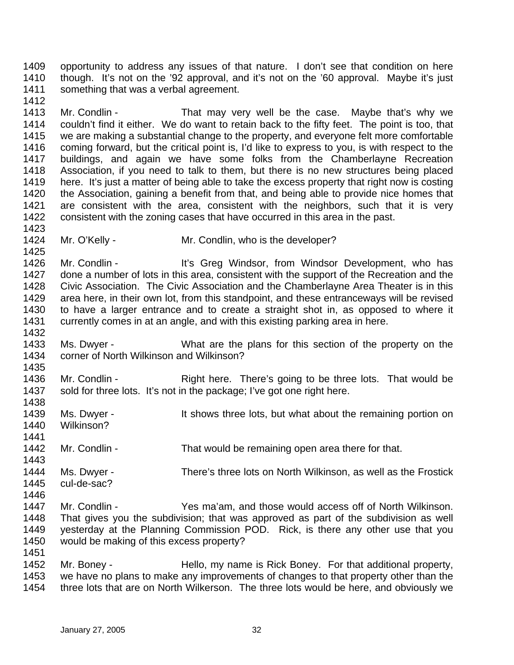1409 1410 1411 opportunity to address any issues of that nature. I don't see that condition on here though. It's not on the '92 approval, and it's not on the '60 approval. Maybe it's just something that was a verbal agreement.

1413 1414 1415 1416 1417 1418 1419 1420 1421 1422 1423 Mr. Condlin - That may very well be the case. Maybe that's why we couldn't find it either. We do want to retain back to the fifty feet. The point is too, that we are making a substantial change to the property, and everyone felt more comfortable coming forward, but the critical point is, I'd like to express to you, is with respect to the buildings, and again we have some folks from the Chamberlayne Recreation Association, if you need to talk to them, but there is no new structures being placed here. It's just a matter of being able to take the excess property that right now is costing the Association, gaining a benefit from that, and being able to provide nice homes that are consistent with the area, consistent with the neighbors, such that it is very consistent with the zoning cases that have occurred in this area in the past.

1424 Mr. O'Kelly - Mr. Condlin, who is the developer?

1426 1427 1428 1429 1430 1431 1432 Mr. Condlin - It's Greg Windsor, from Windsor Development, who has done a number of lots in this area, consistent with the support of the Recreation and the Civic Association. The Civic Association and the Chamberlayne Area Theater is in this area here, in their own lot, from this standpoint, and these entranceways will be revised to have a larger entrance and to create a straight shot in, as opposed to where it currently comes in at an angle, and with this existing parking area in here.

- 1433 1434 Ms. Dwyer - What are the plans for this section of the property on the corner of North Wilkinson and Wilkinson?
- 1436 1437 Mr. Condlin - Right here. There's going to be three lots. That would be sold for three lots. It's not in the package; I've got one right here.
- 1438 1439 1440 1441 1442 1443 1444 1445 Ms. Dwyer - It shows three lots, but what about the remaining portion on Wilkinson? Mr. Condlin - That would be remaining open area there for that. Ms. Dwyer - There's three lots on North Wilkinson, as well as the Frostick cul-de-sac?
- 1446 1447 1448 1449 1450 Mr. Condlin - Yes ma'am, and those would access off of North Wilkinson. That gives you the subdivision; that was approved as part of the subdivision as well yesterday at the Planning Commission POD. Rick, is there any other use that you would be making of this excess property?

1452 1453 1454 Mr. Boney - Thello, my name is Rick Boney. For that additional property, we have no plans to make any improvements of changes to that property other than the three lots that are on North Wilkerson. The three lots would be here, and obviously we

1412

1425

1435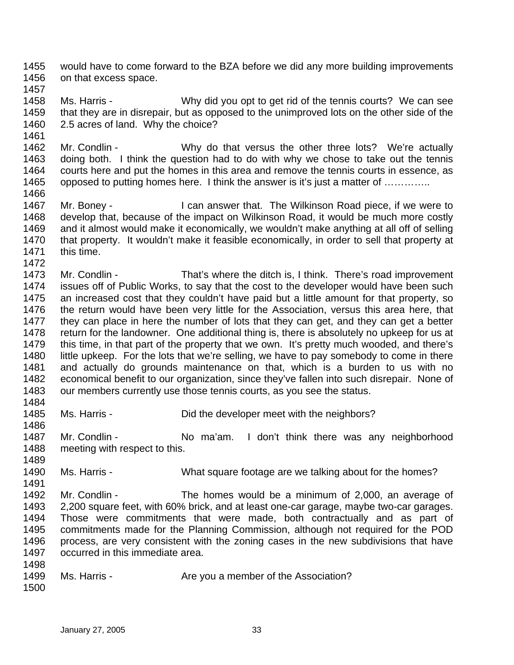1455 1456 would have to come forward to the BZA before we did any more building improvements on that excess space.

1457 1458 1459 1460 Ms. Harris - Why did you opt to get rid of the tennis courts? We can see that they are in disrepair, but as opposed to the unimproved lots on the other side of the 2.5 acres of land. Why the choice?

1462 1463 1464 1465 1466 Mr. Condlin - Why do that versus the other three lots? We're actually doing both. I think the question had to do with why we chose to take out the tennis courts here and put the homes in this area and remove the tennis courts in essence, as opposed to putting homes here. I think the answer is it's just a matter of …………..

1467 1468 1469 1470 1471 1472 Mr. Boney - The Milkinson Road piece, if we were to develop that, because of the impact on Wilkinson Road, it would be much more costly and it almost would make it economically, we wouldn't make anything at all off of selling that property. It wouldn't make it feasible economically, in order to sell that property at this time.

1473 1474 1475 1476 1477 1478 1479 1480 1481 1482 1483 1484 Mr. Condlin - That's where the ditch is, I think. There's road improvement issues off of Public Works, to say that the cost to the developer would have been such an increased cost that they couldn't have paid but a little amount for that property, so the return would have been very little for the Association, versus this area here, that they can place in here the number of lots that they can get, and they can get a better return for the landowner. One additional thing is, there is absolutely no upkeep for us at this time, in that part of the property that we own. It's pretty much wooded, and there's little upkeep. For the lots that we're selling, we have to pay somebody to come in there and actually do grounds maintenance on that, which is a burden to us with no economical benefit to our organization, since they've fallen into such disrepair. None of our members currently use those tennis courts, as you see the status.

1485 1486 Ms. Harris - Did the developer meet with the neighbors?

1487 1488 1489 Mr. Condlin - No ma'am. I don't think there was any neighborhood meeting with respect to this.

1490 Ms. Harris - What square footage are we talking about for the homes?

1492 1493 1494 1495 1496 1497 Mr. Condlin - The homes would be a minimum of 2,000, an average of 2,200 square feet, with 60% brick, and at least one-car garage, maybe two-car garages. Those were commitments that were made, both contractually and as part of commitments made for the Planning Commission, although not required for the POD process, are very consistent with the zoning cases in the new subdivisions that have occurred in this immediate area.

1498

1491

1461

1499 Ms. Harris - The Vou a member of the Association?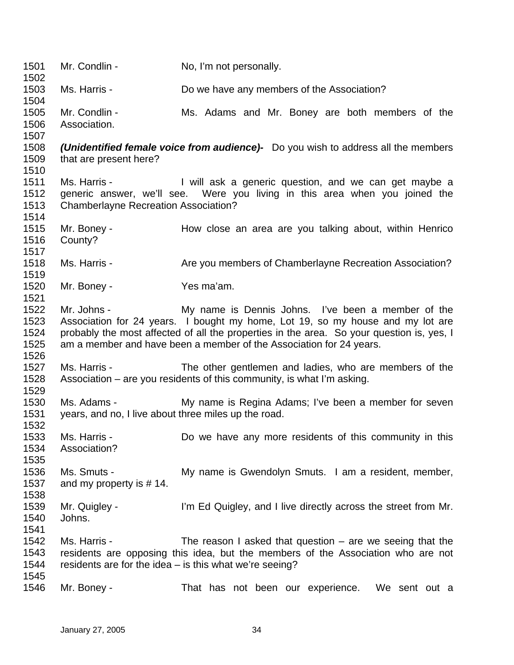1501 1502 1503 1504 1505 1506 1507 1508 1509 1510 1511 1512 1513 1514 1515 1516 1517 1518 1519 1520 1521 1522 1523 1524 1525 1526 1527 1528 1529 1530 1531 1532 1533 1534 1535 1536 1537 1538 1539 1540 1541 1542 1543 1544 1545 1546 Mr. Condlin - No, I'm not personally. Ms. Harris - Do we have any members of the Association? Mr. Condlin - The Ms. Adams and Mr. Boney are both members of the Association. *(Unidentified female voice from audience)-* Do you wish to address all the members that are present here? Ms. Harris - The Mull ask a generic question, and we can get maybe a generic answer, we'll see. Were you living in this area when you joined the Chamberlayne Recreation Association? Mr. Boney - The How close an area are you talking about, within Henrico County? Ms. Harris - Are you members of Chamberlayne Recreation Association? Mr. Boney - Yes ma'am. Mr. Johns - My name is Dennis Johns. I've been a member of the Association for 24 years. I bought my home, Lot 19, so my house and my lot are probably the most affected of all the properties in the area. So your question is, yes, I am a member and have been a member of the Association for 24 years. Ms. Harris - The other gentlemen and ladies, who are members of the Association – are you residents of this community, is what I'm asking. Ms. Adams - The My name is Regina Adams; I've been a member for seven years, and no, I live about three miles up the road. Ms. Harris - **Do** we have any more residents of this community in this Association? Ms. Smuts - My name is Gwendolyn Smuts. I am a resident, member, and my property is # 14. Mr. Quigley - I'm Ed Quigley, and I live directly across the street from Mr. Johns. Ms. Harris - The reason I asked that question – are we seeing that the residents are opposing this idea, but the members of the Association who are not residents are for the idea – is this what we're seeing? Mr. Boney - That has not been our experience. We sent out a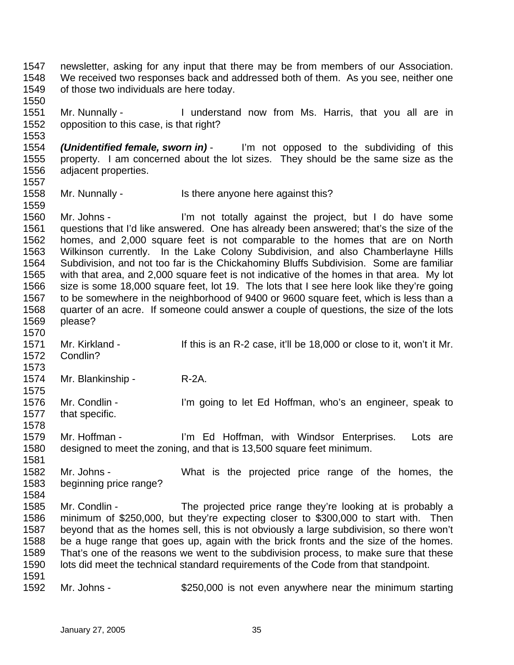1547 1548 1549 newsletter, asking for any input that there may be from members of our Association. We received two responses back and addressed both of them. As you see, neither one of those two individuals are here today.

1551 1552 Mr. Nunnally - I understand now from Ms. Harris, that you all are in opposition to this case, is that right?

1554 1555 1556 1557 *(Unidentified female, sworn in)* - I'm not opposed to the subdividing of this property. I am concerned about the lot sizes. They should be the same size as the adjacent properties.

1558 Mr. Nunnally - Is there anyone here against this?

1560 1561 1562 1563 1564 1565 1566 1567 1568 1569 Mr. Johns - I'm not totally against the project, but I do have some questions that I'd like answered. One has already been answered; that's the size of the homes, and 2,000 square feet is not comparable to the homes that are on North Wilkinson currently. In the Lake Colony Subdivision, and also Chamberlayne Hills Subdivision, and not too far is the Chickahominy Bluffs Subdivision. Some are familiar with that area, and 2,000 square feet is not indicative of the homes in that area. My lot size is some 18,000 square feet, lot 19. The lots that I see here look like they're going to be somewhere in the neighborhood of 9400 or 9600 square feet, which is less than a quarter of an acre. If someone could answer a couple of questions, the size of the lots please?

- 1571 1572 Mr. Kirkland - This is an R-2 case, it'll be 18,000 or close to it, won't it Mr. Condlin?
- 1573 1574

1550

1553

1559

1570

1575

Mr. Blankinship - R-2A.

1576 1577 1578 Mr. Condlin - I'm going to let Ed Hoffman, who's an engineer, speak to that specific.

1579 1580 1581 Mr. Hoffman - I'm Ed Hoffman, with Windsor Enterprises. Lots are designed to meet the zoning, and that is 13,500 square feet minimum.

1582 1583 Mr. Johns - What is the projected price range of the homes, the beginning price range?

- 1584 1585 1586 1587 1588 1589 1590 1591 Mr. Condlin - The projected price range they're looking at is probably a minimum of \$250,000, but they're expecting closer to \$300,000 to start with. Then beyond that as the homes sell, this is not obviously a large subdivision, so there won't be a huge range that goes up, again with the brick fronts and the size of the homes. That's one of the reasons we went to the subdivision process, to make sure that these lots did meet the technical standard requirements of the Code from that standpoint.
- 1592 Mr. Johns - \$250,000 is not even anywhere near the minimum starting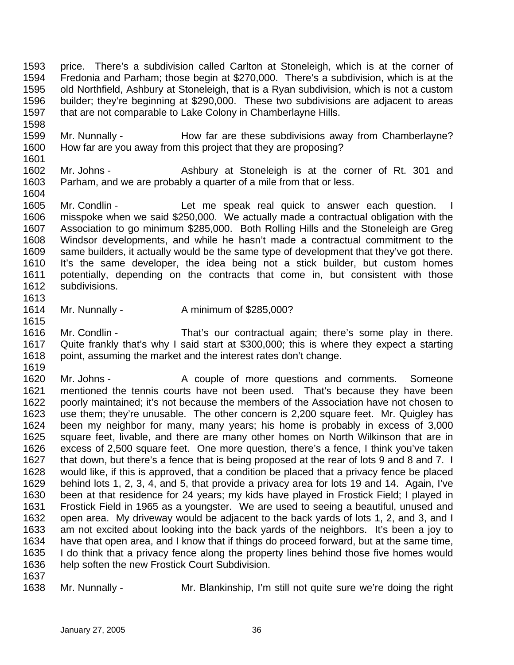1593 1594 1595 1596 1597 price. There's a subdivision called Carlton at Stoneleigh, which is at the corner of Fredonia and Parham; those begin at \$270,000. There's a subdivision, which is at the old Northfield, Ashbury at Stoneleigh, that is a Ryan subdivision, which is not a custom builder; they're beginning at \$290,000. These two subdivisions are adjacent to areas that are not comparable to Lake Colony in Chamberlayne Hills.

- 1599 1600 1601 Mr. Nunnally - The How far are these subdivisions away from Chamberlayne? How far are you away from this project that they are proposing?
- 1602 1603 Mr. Johns - Ashbury at Stoneleigh is at the corner of Rt. 301 and Parham, and we are probably a quarter of a mile from that or less.
- 1605 1606 1607 1608 1609 1610 1611 1612 1613 Mr. Condlin - The Let me speak real quick to answer each question. I misspoke when we said \$250,000. We actually made a contractual obligation with the Association to go minimum \$285,000. Both Rolling Hills and the Stoneleigh are Greg Windsor developments, and while he hasn't made a contractual commitment to the same builders, it actually would be the same type of development that they've got there. It's the same developer, the idea being not a stick builder, but custom homes potentially, depending on the contracts that come in, but consistent with those subdivisions.
- 1614 Mr. Nunnally - Aminimum of \$285,000?
- 1616 1617 1618 Mr. Condlin - That's our contractual again; there's some play in there. Quite frankly that's why I said start at \$300,000; this is where they expect a starting point, assuming the market and the interest rates don't change.
- 1619

1615

1598

1604

- 1620 1621 1622 1623 1624 1625 1626 1627 1628 1629 1630 1631 1632 1633 1634 1635 1636 Mr. Johns - The A couple of more questions and comments. Someone mentioned the tennis courts have not been used. That's because they have been poorly maintained; it's not because the members of the Association have not chosen to use them; they're unusable. The other concern is 2,200 square feet. Mr. Quigley has been my neighbor for many, many years; his home is probably in excess of 3,000 square feet, livable, and there are many other homes on North Wilkinson that are in excess of 2,500 square feet. One more question, there's a fence, I think you've taken that down, but there's a fence that is being proposed at the rear of lots 9 and 8 and 7. I would like, if this is approved, that a condition be placed that a privacy fence be placed behind lots 1, 2, 3, 4, and 5, that provide a privacy area for lots 19 and 14. Again, I've been at that residence for 24 years; my kids have played in Frostick Field; I played in Frostick Field in 1965 as a youngster. We are used to seeing a beautiful, unused and open area. My driveway would be adjacent to the back yards of lots 1, 2, and 3, and I am not excited about looking into the back yards of the neighbors. It's been a joy to have that open area, and I know that if things do proceed forward, but at the same time, I do think that a privacy fence along the property lines behind those five homes would help soften the new Frostick Court Subdivision.
- 1637

1638

Mr. Nunnally - Mr. Blankinship, I'm still not quite sure we're doing the right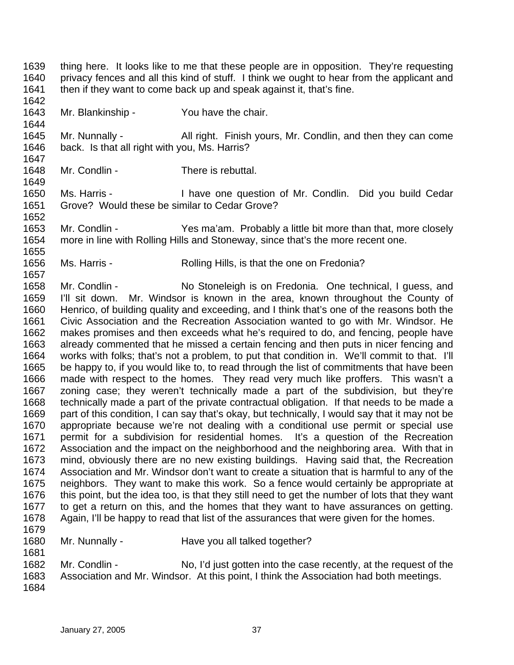1642 1643 1644 1645 1646 1647 1648 1649 1650 1651 1652 1653 1654 1655 1656 1657 1658 1659 1660 1661 1662 1663 1664 1665 1666 1667 1668 1669 1670 1671 1672 1673 1674 1675 1676 1677 1678 1679 1680 1681 1682 1683 1684 Mr. Blankinship - You have the chair. Mr. Nunnally - All right. Finish yours, Mr. Condlin, and then they can come back. Is that all right with you, Ms. Harris? Mr. Condlin - There is rebuttal. Ms. Harris - Thave one question of Mr. Condlin. Did you build Cedar Grove? Would these be similar to Cedar Grove? Mr. Condlin - Yes ma'am. Probably a little bit more than that, more closely more in line with Rolling Hills and Stoneway, since that's the more recent one. Ms. Harris - The Rolling Hills, is that the one on Fredonia? Mr. Condlin - No Stoneleigh is on Fredonia. One technical, I guess, and I'll sit down. Mr. Windsor is known in the area, known throughout the County of Henrico, of building quality and exceeding, and I think that's one of the reasons both the Civic Association and the Recreation Association wanted to go with Mr. Windsor. He makes promises and then exceeds what he's required to do, and fencing, people have already commented that he missed a certain fencing and then puts in nicer fencing and works with folks; that's not a problem, to put that condition in. We'll commit to that. I'll be happy to, if you would like to, to read through the list of commitments that have been made with respect to the homes. They read very much like proffers. This wasn't a zoning case; they weren't technically made a part of the subdivision, but they're technically made a part of the private contractual obligation. If that needs to be made a part of this condition, I can say that's okay, but technically, I would say that it may not be appropriate because we're not dealing with a conditional use permit or special use permit for a subdivision for residential homes. It's a question of the Recreation Association and the impact on the neighborhood and the neighboring area. With that in mind, obviously there are no new existing buildings. Having said that, the Recreation Association and Mr. Windsor don't want to create a situation that is harmful to any of the neighbors. They want to make this work. So a fence would certainly be appropriate at this point, but the idea too, is that they still need to get the number of lots that they want to get a return on this, and the homes that they want to have assurances on getting. Again, I'll be happy to read that list of the assurances that were given for the homes. Mr. Nunnally - Have you all talked together? Mr. Condlin - No, I'd just gotten into the case recently, at the request of the Association and Mr. Windsor. At this point, I think the Association had both meetings. January 27, 2005 37

thing here. It looks like to me that these people are in opposition. They're requesting privacy fences and all this kind of stuff. I think we ought to hear from the applicant and

then if they want to come back up and speak against it, that's fine.

1639 1640 1641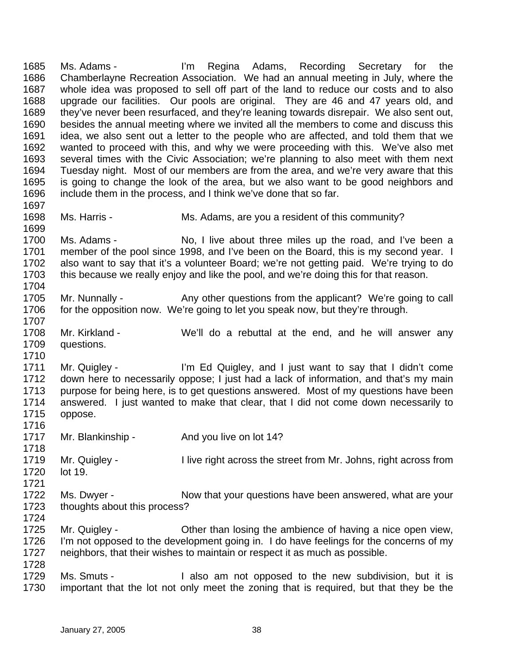1685 1686 1687 1688 1689 1690 1691 1692 1693 1694 1695 1696 1697 1698 1699 1700 1701 1702 1703 1704 1705 1706 1707 1708 1709 1710 1711 1712 1713 1714 1715 1716 1717 1718 1719 1720 1721 1722 1723 1724 1725 1726 1727 1728 1729 1730 Ms. Adams - I'm Regina Adams, Recording Secretary for the Chamberlayne Recreation Association. We had an annual meeting in July, where the whole idea was proposed to sell off part of the land to reduce our costs and to also upgrade our facilities. Our pools are original. They are 46 and 47 years old, and they've never been resurfaced, and they're leaning towards disrepair. We also sent out, besides the annual meeting where we invited all the members to come and discuss this idea, we also sent out a letter to the people who are affected, and told them that we wanted to proceed with this, and why we were proceeding with this. We've also met several times with the Civic Association; we're planning to also meet with them next Tuesday night. Most of our members are from the area, and we're very aware that this is going to change the look of the area, but we also want to be good neighbors and include them in the process, and I think we've done that so far. Ms. Harris - Ms. Adams, are you a resident of this community? Ms. Adams - No, I live about three miles up the road, and I've been a member of the pool since 1998, and I've been on the Board, this is my second year. I also want to say that it's a volunteer Board; we're not getting paid. We're trying to do this because we really enjoy and like the pool, and we're doing this for that reason. Mr. Nunnally - Any other questions from the applicant? We're going to call for the opposition now. We're going to let you speak now, but they're through. Mr. Kirkland - We'll do a rebuttal at the end, and he will answer any questions. Mr. Quigley - I'm Ed Quigley, and I just want to say that I didn't come down here to necessarily oppose; I just had a lack of information, and that's my main purpose for being here, is to get questions answered. Most of my questions have been answered. I just wanted to make that clear, that I did not come down necessarily to oppose. Mr. Blankinship - And you live on lot 14? Mr. Quigley - The right across the street from Mr. Johns, right across from lot 19. Ms. Dwyer - Now that your questions have been answered, what are your thoughts about this process? Mr. Quigley - Other than losing the ambience of having a nice open view, I'm not opposed to the development going in. I do have feelings for the concerns of my neighbors, that their wishes to maintain or respect it as much as possible. Ms. Smuts - I also am not opposed to the new subdivision, but it is important that the lot not only meet the zoning that is required, but that they be the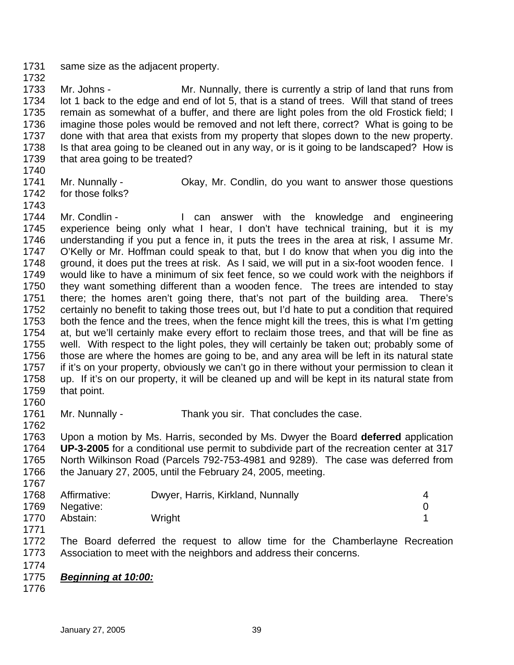1731 1732 same size as the adjacent property.

1733 1734 1735 1736 1737 1738 1739 Mr. Johns - Mr. Nunnally, there is currently a strip of land that runs from lot 1 back to the edge and end of lot 5, that is a stand of trees. Will that stand of trees remain as somewhat of a buffer, and there are light poles from the old Frostick field; I imagine those poles would be removed and not left there, correct? What is going to be done with that area that exists from my property that slopes down to the new property. Is that area going to be cleaned out in any way, or is it going to be landscaped? How is that area going to be treated?

- 1740
- 1741

Mr. Nunnally - Okay, Mr. Condlin, do you want to answer those questions

- 1742 for those folks?
- 1743 1744

1745 1746 1747 1748 1749 1750 1751 1752 1753 1754 1755 1756 1757 1758 1759 1760 Mr. Condlin - The Can answer with the knowledge and engineering experience being only what I hear, I don't have technical training, but it is my understanding if you put a fence in, it puts the trees in the area at risk, I assume Mr. O'Kelly or Mr. Hoffman could speak to that, but I do know that when you dig into the ground, it does put the trees at risk. As I said, we will put in a six-foot wooden fence. I would like to have a minimum of six feet fence, so we could work with the neighbors if they want something different than a wooden fence. The trees are intended to stay there; the homes aren't going there, that's not part of the building area. There's certainly no benefit to taking those trees out, but I'd hate to put a condition that required both the fence and the trees, when the fence might kill the trees, this is what I'm getting at, but we'll certainly make every effort to reclaim those trees, and that will be fine as well. With respect to the light poles, they will certainly be taken out; probably some of those are where the homes are going to be, and any area will be left in its natural state if it's on your property, obviously we can't go in there without your permission to clean it up. If it's on our property, it will be cleaned up and will be kept in its natural state from that point.

1761 1762 Mr. Nunnally - Thank you sir. That concludes the case.

1763 1764 1765 1766 1767 Upon a motion by Ms. Harris, seconded by Ms. Dwyer the Board **deferred** application **UP-3-2005** for a conditional use permit to subdivide part of the recreation center at 317 North Wilkinson Road (Parcels 792-753-4981 and 9289). The case was deferred from the January 27, 2005, until the February 24, 2005, meeting.

| 1768 | Affirmative:   | Dwyer, Harris, Kirkland, Nunnally |  |
|------|----------------|-----------------------------------|--|
|      | 1769 Negative: |                                   |  |
| 1770 | Abstain:       | Wright                            |  |

1772 1773 The Board deferred the request to allow time for the Chamberlayne Recreation Association to meet with the neighbors and address their concerns.

1774

- 1775 *Beginning at 10:00:*
- 1776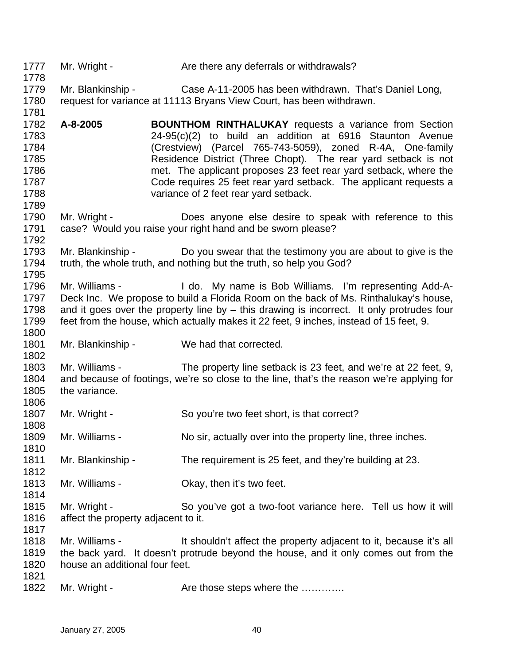1777 1778 1779 1780 1781 1782 1783 1784 1785 1786 1787 1788 1789 1790 1791 1792 1793 1794 1795 1796 1797 1798 1799 1800 1801 1802 1803 1804 1805 1806 1807 1808 1809 1810 1811 1812 1813 1814 1815 1816 1817 1818 1819 1820 1821 1822 Mr. Wright - Are there any deferrals or withdrawals? Mr. Blankinship - Case A-11-2005 has been withdrawn. That's Daniel Long, request for variance at 11113 Bryans View Court, has been withdrawn. **A-8-2005 BOUNTHOM RINTHALUKAY** requests a variance from Section 24-95(c)(2) to build an addition at 6916 Staunton Avenue (Crestview) (Parcel 765-743-5059), zoned R-4A, One-family Residence District (Three Chopt). The rear yard setback is not met. The applicant proposes 23 feet rear yard setback, where the Code requires 25 feet rear yard setback. The applicant requests a variance of 2 feet rear yard setback. Mr. Wright - **Does anyone else desire to speak with reference to this** case? Would you raise your right hand and be sworn please? Mr. Blankinship - Do you swear that the testimony you are about to give is the truth, the whole truth, and nothing but the truth, so help you God? Mr. Williams - I do. My name is Bob Williams. I'm representing Add-A-Deck Inc. We propose to build a Florida Room on the back of Ms. Rinthalukay's house, and it goes over the property line by  $-$  this drawing is incorrect. It only protrudes four feet from the house, which actually makes it 22 feet, 9 inches, instead of 15 feet, 9. Mr. Blankinship - We had that corrected. Mr. Williams - The property line setback is 23 feet, and we're at 22 feet, 9, and because of footings, we're so close to the line, that's the reason we're applying for the variance. Mr. Wright - So you're two feet short, is that correct? Mr. Williams - No sir, actually over into the property line, three inches. Mr. Blankinship - The requirement is 25 feet, and they're building at 23. Mr. Williams - Ckay, then it's two feet. Mr. Wright - So you've got a two-foot variance here. Tell us how it will affect the property adjacent to it. Mr. Williams - It shouldn't affect the property adjacent to it, because it's all the back yard. It doesn't protrude beyond the house, and it only comes out from the house an additional four feet. Mr. Wright - The Are those steps where the .............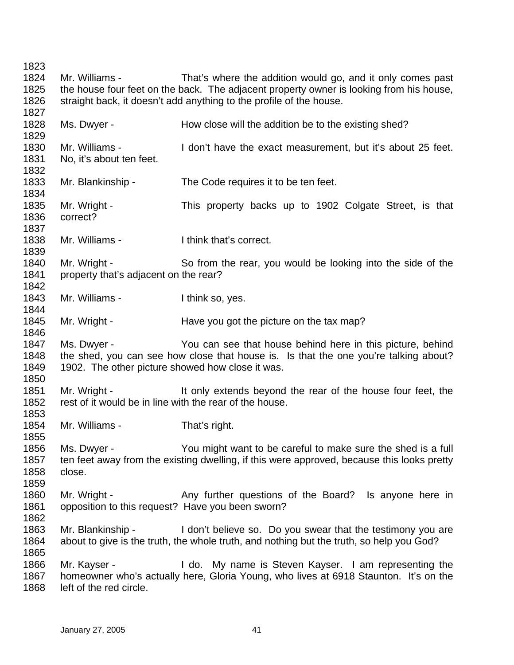1823 1824 1825 1826 1827 1828 1829 1830 1831 1832 1833 1834 1835 1836 1837 1838 1839 1840 1841 1842 1843 1844 1845 1846 1847 1848 1849 1850 1851 1852 1853 1854 1855 1856 1857 1858 1859 1860 1861 1862 1863 1864 1865 1866 1867 1868 Mr. Williams - That's where the addition would go, and it only comes past the house four feet on the back. The adjacent property owner is looking from his house, straight back, it doesn't add anything to the profile of the house. Ms. Dwyer - **How close will the addition be to the existing shed?** Mr. Williams - I don't have the exact measurement, but it's about 25 feet. No, it's about ten feet. Mr. Blankinship - The Code requires it to be ten feet. Mr. Wright - This property backs up to 1902 Colgate Street, is that correct? Mr. Williams - Think that's correct. Mr. Wright - So from the rear, you would be looking into the side of the property that's adjacent on the rear? Mr. Williams - Think so, yes. Mr. Wright - The Have you got the picture on the tax map? Ms. Dwyer - You can see that house behind here in this picture, behind the shed, you can see how close that house is. Is that the one you're talking about? 1902. The other picture showed how close it was. Mr. Wright - It only extends beyond the rear of the house four feet, the rest of it would be in line with the rear of the house. Mr. Williams - That's right. Ms. Dwyer - You might want to be careful to make sure the shed is a full ten feet away from the existing dwelling, if this were approved, because this looks pretty close. Mr. Wright - The Any further questions of the Board? Is anyone here in opposition to this request? Have you been sworn? Mr. Blankinship - I don't believe so. Do you swear that the testimony you are about to give is the truth, the whole truth, and nothing but the truth, so help you God? Mr. Kayser - The My name is Steven Kayser. I am representing the homeowner who's actually here, Gloria Young, who lives at 6918 Staunton. It's on the left of the red circle.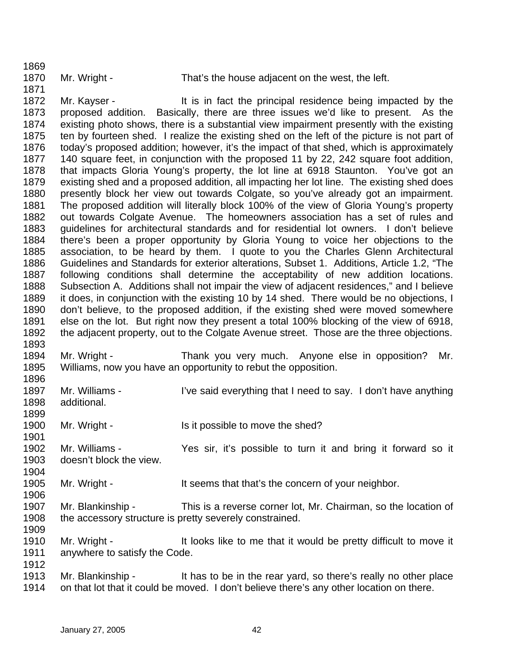1896

1899

1901

1906

1909

Mr. Wright - That's the house adjacent on the west, the left.

1871 1872 1873 1874 1875 1876 1877 1878 1879 1880 1881 1882 1883 1884 1885 1886 1887 1888 1889 1890 1891 1892 1893 Mr. Kayser - It is in fact the principal residence being impacted by the proposed addition. Basically, there are three issues we'd like to present. As the existing photo shows, there is a substantial view impairment presently with the existing ten by fourteen shed. I realize the existing shed on the left of the picture is not part of today's proposed addition; however, it's the impact of that shed, which is approximately 140 square feet, in conjunction with the proposed 11 by 22, 242 square foot addition, that impacts Gloria Young's property, the lot line at 6918 Staunton. You've got an existing shed and a proposed addition, all impacting her lot line. The existing shed does presently block her view out towards Colgate, so you've already got an impairment. The proposed addition will literally block 100% of the view of Gloria Young's property out towards Colgate Avenue. The homeowners association has a set of rules and guidelines for architectural standards and for residential lot owners. I don't believe there's been a proper opportunity by Gloria Young to voice her objections to the association, to be heard by them. I quote to you the Charles Glenn Architectural Guidelines and Standards for exterior alterations, Subset 1. Additions, Article 1.2, "The following conditions shall determine the acceptability of new addition locations. Subsection A. Additions shall not impair the view of adjacent residences," and I believe it does, in conjunction with the existing 10 by 14 shed. There would be no objections, I don't believe, to the proposed addition, if the existing shed were moved somewhere else on the lot. But right now they present a total 100% blocking of the view of 6918, the adjacent property, out to the Colgate Avenue street. Those are the three objections.

1894 1895 Mr. Wright - Thank you very much. Anyone else in opposition? Mr. Williams, now you have an opportunity to rebut the opposition.

- 1897 1898 Mr. Williams - I've said everything that I need to say. I don't have anything additional.
- 1900 Mr. Wright - Is it possible to move the shed?
- 1902 1903 1904 Mr. Williams - The Yes sir, it's possible to turn it and bring it forward so it doesn't block the view.
- 1905 Mr. Wright - The State State State is that that's the concern of your neighbor.
- 1907 1908 Mr. Blankinship - This is a reverse corner lot, Mr. Chairman, so the location of the accessory structure is pretty severely constrained.
- 1910 1911 1912 Mr. Wright - It looks like to me that it would be pretty difficult to move it anywhere to satisfy the Code.
- 1913 1914 Mr. Blankinship - It has to be in the rear yard, so there's really no other place on that lot that it could be moved. I don't believe there's any other location on there.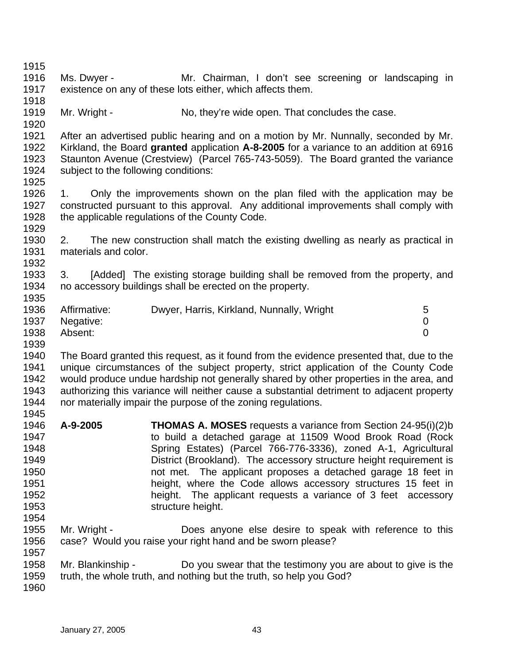| 1915 |                                      |                                                                                           |                |
|------|--------------------------------------|-------------------------------------------------------------------------------------------|----------------|
| 1916 | Ms. Dwyer -                          | Mr. Chairman, I don't see screening or landscaping in                                     |                |
| 1917 |                                      | existence on any of these lots either, which affects them.                                |                |
| 1918 |                                      |                                                                                           |                |
| 1919 | Mr. Wright -                         | No, they're wide open. That concludes the case.                                           |                |
| 1920 |                                      |                                                                                           |                |
| 1921 |                                      | After an advertised public hearing and on a motion by Mr. Nunnally, seconded by Mr.       |                |
| 1922 |                                      | Kirkland, the Board granted application A-8-2005 for a variance to an addition at 6916    |                |
| 1923 |                                      | Staunton Avenue (Crestview) (Parcel 765-743-5059). The Board granted the variance         |                |
| 1924 | subject to the following conditions: |                                                                                           |                |
| 1925 |                                      |                                                                                           |                |
| 1926 |                                      | Only the improvements shown on the plan filed with the application may be                 |                |
|      | 1.                                   |                                                                                           |                |
| 1927 |                                      | constructed pursuant to this approval. Any additional improvements shall comply with      |                |
| 1928 |                                      | the applicable regulations of the County Code.                                            |                |
| 1929 |                                      |                                                                                           |                |
| 1930 | 2.                                   | The new construction shall match the existing dwelling as nearly as practical in          |                |
| 1931 | materials and color.                 |                                                                                           |                |
| 1932 |                                      |                                                                                           |                |
| 1933 | 3.                                   | [Added] The existing storage building shall be removed from the property, and             |                |
| 1934 |                                      | no accessory buildings shall be erected on the property.                                  |                |
| 1935 |                                      |                                                                                           |                |
| 1936 | Affirmative:                         | Dwyer, Harris, Kirkland, Nunnally, Wright                                                 | 5              |
| 1937 | Negative:                            |                                                                                           | 0              |
| 1938 | Absent:                              |                                                                                           | $\overline{0}$ |
| 1939 |                                      |                                                                                           |                |
| 1940 |                                      | The Board granted this request, as it found from the evidence presented that, due to the  |                |
| 1941 |                                      | unique circumstances of the subject property, strict application of the County Code       |                |
| 1942 |                                      | would produce undue hardship not generally shared by other properties in the area, and    |                |
| 1943 |                                      | authorizing this variance will neither cause a substantial detriment to adjacent property |                |
| 1944 |                                      | nor materially impair the purpose of the zoning regulations.                              |                |
| 1945 |                                      |                                                                                           |                |
| 1946 | A-9-2005                             | <b>THOMAS A. MOSES</b> requests a variance from Section 24-95(i)(2)b                      |                |
| 1947 |                                      | to build a detached garage at 11509 Wood Brook Road (Rock                                 |                |
| 1948 |                                      | Spring Estates) (Parcel 766-776-3336), zoned A-1, Agricultural                            |                |
| 1949 |                                      | District (Brookland). The accessory structure height requirement is                       |                |
| 1950 |                                      | not met. The applicant proposes a detached garage 18 feet in                              |                |
| 1951 |                                      | height, where the Code allows accessory structures 15 feet in                             |                |
| 1952 |                                      | height. The applicant requests a variance of 3 feet accessory                             |                |
| 1953 |                                      | structure height.                                                                         |                |
|      |                                      |                                                                                           |                |
| 1954 |                                      |                                                                                           |                |
| 1955 | Mr. Wright -                         | Does anyone else desire to speak with reference to this                                   |                |
| 1956 |                                      | case? Would you raise your right hand and be sworn please?                                |                |
| 1957 |                                      |                                                                                           |                |
| 1958 | Mr. Blankinship -                    | Do you swear that the testimony you are about to give is the                              |                |
| 1959 |                                      | truth, the whole truth, and nothing but the truth, so help you God?                       |                |
| 1960 |                                      |                                                                                           |                |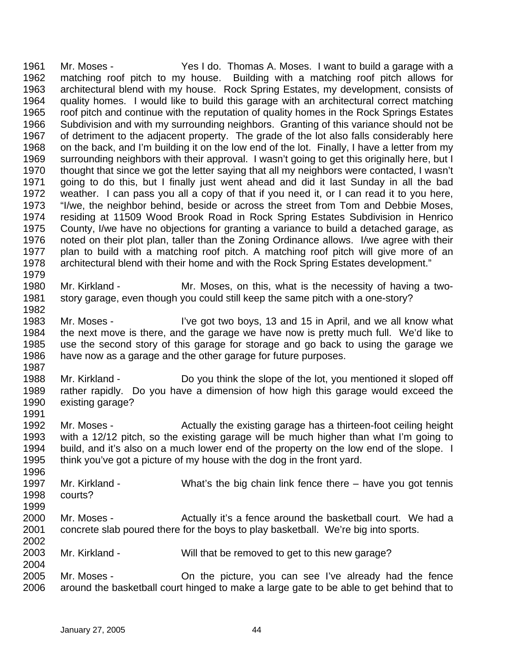1961 1962 1963 1964 1965 1966 1967 1968 1969 1970 1971 1972 1973 1974 1975 1976 1977 1978 1979 Mr. Moses - Yes I do. Thomas A. Moses. I want to build a garage with a matching roof pitch to my house. Building with a matching roof pitch allows for architectural blend with my house. Rock Spring Estates, my development, consists of quality homes. I would like to build this garage with an architectural correct matching roof pitch and continue with the reputation of quality homes in the Rock Springs Estates Subdivision and with my surrounding neighbors. Granting of this variance should not be of detriment to the adjacent property. The grade of the lot also falls considerably here on the back, and I'm building it on the low end of the lot. Finally, I have a letter from my surrounding neighbors with their approval. I wasn't going to get this originally here, but I thought that since we got the letter saying that all my neighbors were contacted, I wasn't going to do this, but I finally just went ahead and did it last Sunday in all the bad weather. I can pass you all a copy of that if you need it, or I can read it to you here, "I/we, the neighbor behind, beside or across the street from Tom and Debbie Moses, residing at 11509 Wood Brook Road in Rock Spring Estates Subdivision in Henrico County, I/we have no objections for granting a variance to build a detached garage, as noted on their plot plan, taller than the Zoning Ordinance allows. I/we agree with their plan to build with a matching roof pitch. A matching roof pitch will give more of an architectural blend with their home and with the Rock Spring Estates development."

- 1980 1981 Mr. Kirkland - Mr. Moses, on this, what is the necessity of having a twostory garage, even though you could still keep the same pitch with a one-story?
- 1983 1984 1985 1986 1987 Mr. Moses - I've got two boys, 13 and 15 in April, and we all know what the next move is there, and the garage we have now is pretty much full. We'd like to use the second story of this garage for storage and go back to using the garage we have now as a garage and the other garage for future purposes.
- 1988 1989 1990 Mr. Kirkland - Do you think the slope of the lot, you mentioned it sloped off rather rapidly. Do you have a dimension of how high this garage would exceed the existing garage?
- 1992 1993 1994 1995 Mr. Moses - Actually the existing garage has a thirteen-foot ceiling height with a 12/12 pitch, so the existing garage will be much higher than what I'm going to build, and it's also on a much lower end of the property on the low end of the slope. I think you've got a picture of my house with the dog in the front yard.
- 1996 1997 1998 Mr. Kirkland - What's the big chain link fence there – have you got tennis courts?
- 1999

2004

1982

- 2000 2001 2002 Mr. Moses - The Actually it's a fence around the basketball court. We had a concrete slab poured there for the boys to play basketball. We're big into sports.
- 2003 Mr. Kirkland - Will that be removed to get to this new garage?
- 2005 2006 Mr. Moses - On the picture, you can see I've already had the fence around the basketball court hinged to make a large gate to be able to get behind that to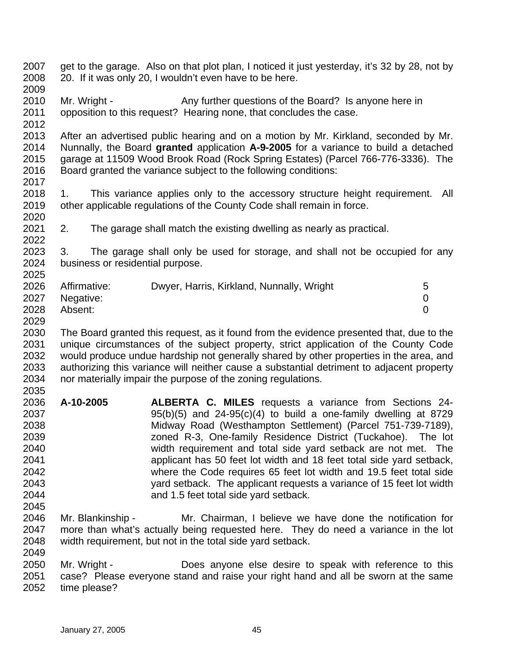- 2007 2008 2009 get to the garage. Also on that plot plan, I noticed it just yesterday, it's 32 by 28, not by 20. If it was only 20, I wouldn't even have to be here.
- 2010 2011 Mr. Wright - Any further questions of the Board? Is anyone here in opposition to this request? Hearing none, that concludes the case.
- 2012 2013 2014 2015 2016 After an advertised public hearing and on a motion by Mr. Kirkland, seconded by Mr. Nunnally, the Board **granted** application **A-9-2005** for a variance to build a detached garage at 11509 Wood Brook Road (Rock Spring Estates) (Parcel 766-776-3336). The Board granted the variance subject to the following conditions:
- 2018 2019 2020 1. This variance applies only to the accessory structure height requirement. All other applicable regulations of the County Code shall remain in force.
- 2021 2. The garage shall match the existing dwelling as nearly as practical.
- 2023 2024 3. The garage shall only be used for storage, and shall not be occupied for any business or residential purpose.

| 2026 | Affirmative:   | Dwyer, Harris, Kirkland, Nunnally, Wright |  |
|------|----------------|-------------------------------------------|--|
|      | 2027 Negative: |                                           |  |
| 2028 | Absent:        |                                           |  |

- 2030 2031 2032 2033 2034 The Board granted this request, as it found from the evidence presented that, due to the unique circumstances of the subject property, strict application of the County Code would produce undue hardship not generally shared by other properties in the area, and authorizing this variance will neither cause a substantial detriment to adjacent property nor materially impair the purpose of the zoning regulations.
- 2036 2037 2038 2039 2040 2041 2042 2043 2044 2045 **A-10-2005 ALBERTA C. MILES** requests a variance from Sections 24-  $95(b)(5)$  and  $24-95(c)(4)$  to build a one-family dwelling at 8729 Midway Road (Westhampton Settlement) (Parcel 751-739-7189), zoned R-3, One-family Residence District (Tuckahoe). The lot width requirement and total side yard setback are not met. The applicant has 50 feet lot width and 18 feet total side yard setback, where the Code requires 65 feet lot width and 19.5 feet total side yard setback. The applicant requests a variance of 15 feet lot width and 1.5 feet total side yard setback.
- 2046 2047 2048 Mr. Blankinship - Mr. Chairman, I believe we have done the notification for more than what's actually being requested here. They do need a variance in the lot width requirement, but not in the total side yard setback.
- 2050 2051 2052 Mr. Wright - **Does anyone else desire to speak with reference to this** case? Please everyone stand and raise your right hand and all be sworn at the same time please?

2022

2025

2029

2035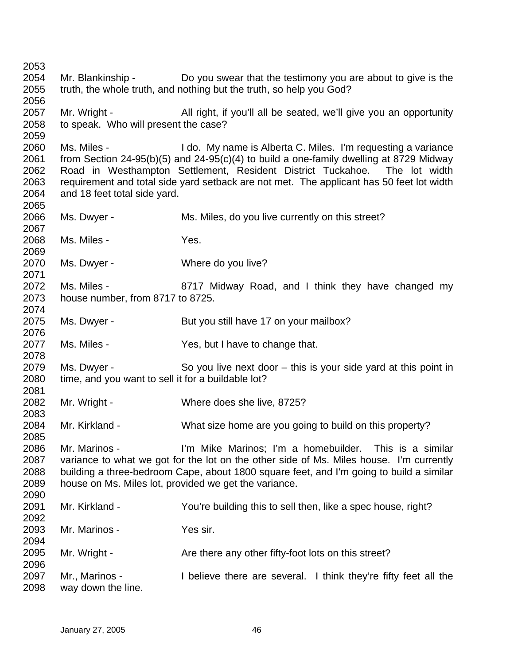Mr. Blankinship - Do you swear that the testimony you are about to give is the truth, the whole truth, and nothing but the truth, so help you God? Mr. Wright - All right, if you'll all be seated, we'll give you an opportunity to speak. Who will present the case? Ms. Miles - I do. My name is Alberta C. Miles. I'm requesting a variance from Section 24-95(b)(5) and 24-95(c)(4) to build a one-family dwelling at 8729 Midway Road in Westhampton Settlement, Resident District Tuckahoe. The lot width requirement and total side yard setback are not met. The applicant has 50 feet lot width and 18 feet total side yard. Ms. Dwyer - Ms. Miles, do you live currently on this street? Ms. Miles - The Yes. Ms. Dwyer - Where do you live? Ms. Miles - 8717 Midway Road, and I think they have changed my house number, from 8717 to 8725. Ms. Dwyer - But you still have 17 on your mailbox? Ms. Miles - Yes, but I have to change that. Ms. Dwyer - So you live next door – this is your side vard at this point in time, and you want to sell it for a buildable lot? Mr. Wright - Where does she live, 8725? Mr. Kirkland - What size home are you going to build on this property? Mr. Marinos - I'm Mike Marinos; I'm a homebuilder. This is a similar variance to what we got for the lot on the other side of Ms. Miles house. I'm currently building a three-bedroom Cape, about 1800 square feet, and I'm going to build a similar house on Ms. Miles lot, provided we get the variance. Mr. Kirkland - You're building this to sell then, like a spec house, right? Mr. Marinos - Yes sir. Mr. Wright - Are there any other fifty-foot lots on this street? Mr., Marinos - I believe there are several. I think they're fifty feet all the way down the line.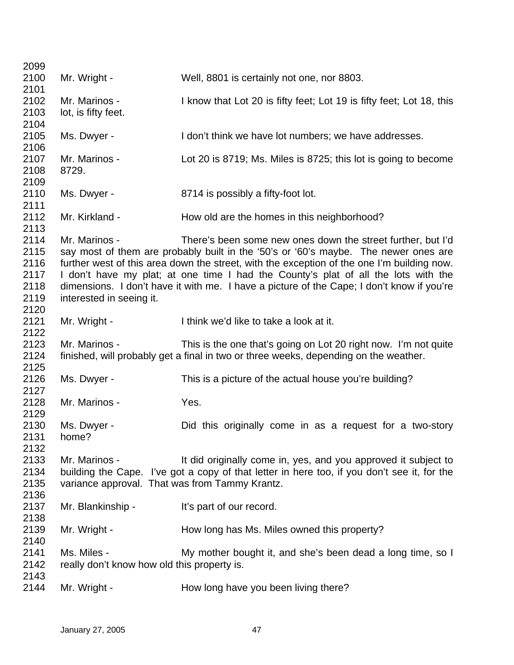| 2099 |                                                |                                                                                             |
|------|------------------------------------------------|---------------------------------------------------------------------------------------------|
| 2100 | Mr. Wright -                                   | Well, 8801 is certainly not one, nor 8803.                                                  |
| 2101 |                                                |                                                                                             |
| 2102 | Mr. Marinos -                                  | I know that Lot 20 is fifty feet; Lot 19 is fifty feet; Lot 18, this                        |
| 2103 | lot, is fifty feet.                            |                                                                                             |
| 2104 |                                                |                                                                                             |
| 2105 | Ms. Dwyer -                                    | I don't think we have lot numbers; we have addresses.                                       |
| 2106 |                                                |                                                                                             |
| 2107 | Mr. Marinos -                                  | Lot 20 is 8719; Ms. Miles is 8725; this lot is going to become                              |
| 2108 | 8729.                                          |                                                                                             |
| 2109 |                                                |                                                                                             |
| 2110 | Ms. Dwyer -                                    | 8714 is possibly a fifty-foot lot.                                                          |
| 2111 |                                                |                                                                                             |
| 2112 | Mr. Kirkland -                                 | How old are the homes in this neighborhood?                                                 |
| 2113 |                                                |                                                                                             |
| 2114 | Mr. Marinos -                                  | There's been some new ones down the street further, but I'd                                 |
| 2115 |                                                | say most of them are probably built in the '50's or '60's maybe. The newer ones are         |
| 2116 |                                                | further west of this area down the street, with the exception of the one I'm building now.  |
| 2117 |                                                | I don't have my plat; at one time I had the County's plat of all the lots with the          |
| 2118 |                                                | dimensions. I don't have it with me. I have a picture of the Cape; I don't know if you're   |
| 2119 | interested in seeing it.                       |                                                                                             |
| 2120 |                                                |                                                                                             |
| 2121 | Mr. Wright -                                   | I think we'd like to take a look at it.                                                     |
| 2122 |                                                |                                                                                             |
| 2123 | Mr. Marinos -                                  | This is the one that's going on Lot 20 right now. I'm not quite                             |
| 2124 |                                                | finished, will probably get a final in two or three weeks, depending on the weather.        |
| 2125 |                                                |                                                                                             |
| 2126 | Ms. Dwyer -                                    | This is a picture of the actual house you're building?                                      |
| 2127 |                                                |                                                                                             |
| 2128 | Mr. Marinos -                                  | Yes.                                                                                        |
| 2129 |                                                |                                                                                             |
| 2130 | Ms. Dwyer -                                    | Did this originally come in as a request for a two-story                                    |
| 2131 | home?                                          |                                                                                             |
| 2132 |                                                |                                                                                             |
| 2133 | Mr. Marinos -                                  | It did originally come in, yes, and you approved it subject to                              |
| 2134 |                                                | building the Cape. I've got a copy of that letter in here too, if you don't see it, for the |
| 2135 | variance approval. That was from Tammy Krantz. |                                                                                             |
| 2136 |                                                |                                                                                             |
| 2137 | Mr. Blankinship -                              | It's part of our record.                                                                    |
| 2138 |                                                |                                                                                             |
| 2139 | Mr. Wright -                                   | How long has Ms. Miles owned this property?                                                 |
| 2140 |                                                |                                                                                             |
| 2141 | Ms. Miles -                                    | My mother bought it, and she's been dead a long time, so I                                  |
| 2142 | really don't know how old this property is.    |                                                                                             |
| 2143 |                                                |                                                                                             |
| 2144 | Mr. Wright -                                   | How long have you been living there?                                                        |
|      |                                                |                                                                                             |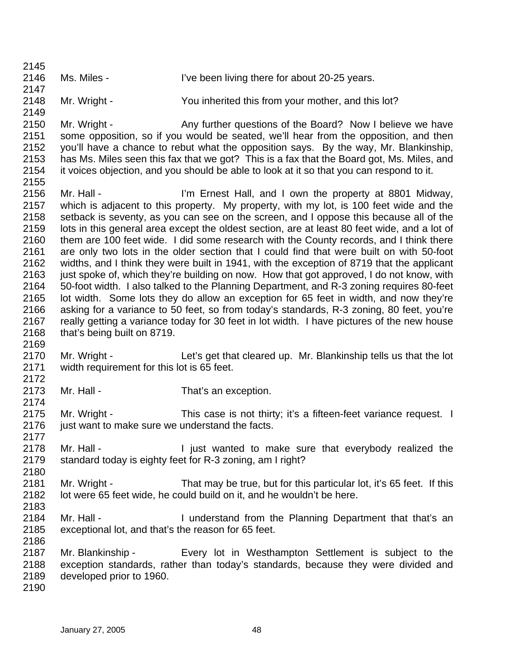2145 2146 2147 2148 2149 2150 2151 2152 2153 2154 2155 2156 2157 2158 2159 2160 2161 2162 2163 2164 2165 2166 2167 2168 2169 2170 2171 2172 2173 2174 2175 2176 2177 2178 2179 2180 2181 2182 2183 2184 2185 2186 2187 2188 2189 2190 Ms. Miles - I've been living there for about 20-25 years. Mr. Wright - You inherited this from your mother, and this lot? Mr. Wright - Any further questions of the Board? Now I believe we have some opposition, so if you would be seated, we'll hear from the opposition, and then you'll have a chance to rebut what the opposition says. By the way, Mr. Blankinship, has Ms. Miles seen this fax that we got? This is a fax that the Board got, Ms. Miles, and it voices objection, and you should be able to look at it so that you can respond to it. Mr. Hall - I'm Ernest Hall, and I own the property at 8801 Midway, which is adjacent to this property. My property, with my lot, is 100 feet wide and the setback is seventy, as you can see on the screen, and I oppose this because all of the lots in this general area except the oldest section, are at least 80 feet wide, and a lot of them are 100 feet wide. I did some research with the County records, and I think there are only two lots in the older section that I could find that were built on with 50-foot widths, and I think they were built in 1941, with the exception of 8719 that the applicant just spoke of, which they're building on now. How that got approved, I do not know, with 50-foot width. I also talked to the Planning Department, and R-3 zoning requires 80-feet lot width. Some lots they do allow an exception for 65 feet in width, and now they're asking for a variance to 50 feet, so from today's standards, R-3 zoning, 80 feet, you're really getting a variance today for 30 feet in lot width. I have pictures of the new house that's being built on 8719. Mr. Wright - Let's get that cleared up. Mr. Blankinship tells us that the lot width requirement for this lot is 65 feet. Mr. Hall - That's an exception. Mr. Wright - This case is not thirty; it's a fifteen-feet variance request. I just want to make sure we understand the facts. Mr. Hall - The I just wanted to make sure that everybody realized the standard today is eighty feet for R-3 zoning, am I right? Mr. Wright - That may be true, but for this particular lot, it's 65 feet. If this lot were 65 feet wide, he could build on it, and he wouldn't be here. Mr. Hall - I understand from the Planning Department that that's an exceptional lot, and that's the reason for 65 feet. Mr. Blankinship - Every lot in Westhampton Settlement is subject to the exception standards, rather than today's standards, because they were divided and developed prior to 1960.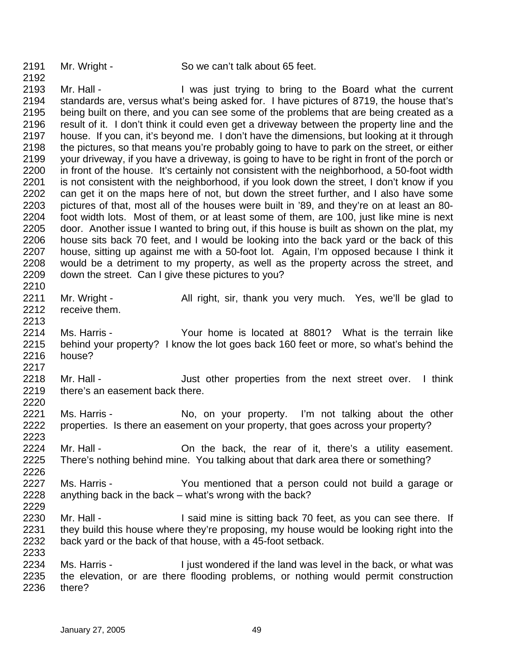2192

2213

2217

2220

2223

2226

2229

2233

Mr. Wright - So we can't talk about 65 feet.

2193 2194 2195 2196 2197 2198 2199 2200 2201 2202 2203 2204 2205 2206 2207 2208 2209 2210 Mr. Hall - The I was just trying to bring to the Board what the current standards are, versus what's being asked for. I have pictures of 8719, the house that's being built on there, and you can see some of the problems that are being created as a result of it. I don't think it could even get a driveway between the property line and the house. If you can, it's beyond me. I don't have the dimensions, but looking at it through the pictures, so that means you're probably going to have to park on the street, or either your driveway, if you have a driveway, is going to have to be right in front of the porch or in front of the house. It's certainly not consistent with the neighborhood, a 50-foot width is not consistent with the neighborhood, if you look down the street, I don't know if you can get it on the maps here of not, but down the street further, and I also have some pictures of that, most all of the houses were built in '89, and they're on at least an 80 foot width lots. Most of them, or at least some of them, are 100, just like mine is next door. Another issue I wanted to bring out, if this house is built as shown on the plat, my house sits back 70 feet, and I would be looking into the back yard or the back of this house, sitting up against me with a 50-foot lot. Again, I'm opposed because I think it would be a detriment to my property, as well as the property across the street, and down the street. Can I give these pictures to you?

- 2211 2212 Mr. Wright - All right, sir, thank you very much. Yes, we'll be glad to receive them.
- 2214 2215 2216 Ms. Harris - Your home is located at 8801? What is the terrain like behind your property? I know the lot goes back 160 feet or more, so what's behind the house?
- 2218 2219 Mr. Hall - The Just other properties from the next street over. I think there's an easement back there.
- 2221 2222 Ms. Harris - No, on your property. I'm not talking about the other properties. Is there an easement on your property, that goes across your property?
- 2224 2225 Mr. Hall - Chall the back, the rear of it, there's a utility easement. There's nothing behind mine. You talking about that dark area there or something?
- 2227 2228 Ms. Harris - The You mentioned that a person could not build a garage or anything back in the back – what's wrong with the back?
- 2230 2231 2232 Mr. Hall - I said mine is sitting back 70 feet, as you can see there. If they build this house where they're proposing, my house would be looking right into the back yard or the back of that house, with a 45-foot setback.
- 2234 2235 2236 Ms. Harris - I just wondered if the land was level in the back, or what was the elevation, or are there flooding problems, or nothing would permit construction there?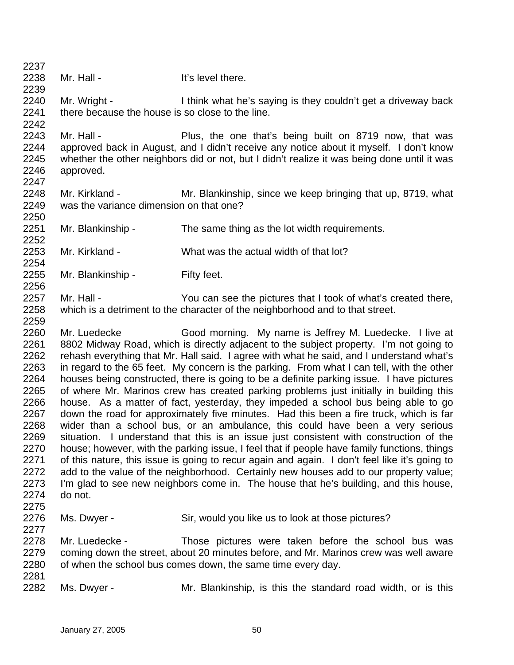- 2238 2239 2240 2241 2242 2243 2244 2245 2246 2247 2248 2249 2250 2251 2252 2253 2254 2255 2256 2257 2258 2259 2260 2261 2262 2263 2264 2265 2266 2267 2268 2269 2270 2271 2272 2273 2274 2275 2276 2277 2278 2279 2280 2281 Mr. Hall - The Music Hit's level there. Mr. Wright - I think what he's saying is they couldn't get a driveway back there because the house is so close to the line. Mr. Hall - Plus, the one that's being built on 8719 now, that was approved back in August, and I didn't receive any notice about it myself. I don't know whether the other neighbors did or not, but I didn't realize it was being done until it was approved. Mr. Kirkland - Mr. Blankinship, since we keep bringing that up, 8719, what was the variance dimension on that one? Mr. Blankinship - The same thing as the lot width requirements. Mr. Kirkland - What was the actual width of that lot? Mr. Blankinship - Fifty feet. Mr. Hall - You can see the pictures that I took of what's created there, which is a detriment to the character of the neighborhood and to that street. Mr. Luedecke Good morning. My name is Jeffrey M. Luedecke. I live at 8802 Midway Road, which is directly adjacent to the subject property. I'm not going to rehash everything that Mr. Hall said. I agree with what he said, and I understand what's in regard to the 65 feet. My concern is the parking. From what I can tell, with the other houses being constructed, there is going to be a definite parking issue. I have pictures of where Mr. Marinos crew has created parking problems just initially in building this house. As a matter of fact, yesterday, they impeded a school bus being able to go down the road for approximately five minutes. Had this been a fire truck, which is far wider than a school bus, or an ambulance, this could have been a very serious situation. I understand that this is an issue just consistent with construction of the house; however, with the parking issue, I feel that if people have family functions, things of this nature, this issue is going to recur again and again. I don't feel like it's going to add to the value of the neighborhood. Certainly new houses add to our property value; I'm glad to see new neighbors come in. The house that he's building, and this house, do not. Ms. Dwyer - Sir, would you like us to look at those pictures? Mr. Luedecke - Those pictures were taken before the school bus was coming down the street, about 20 minutes before, and Mr. Marinos crew was well aware of when the school bus comes down, the same time every day.
- 2282 Ms. Dwyer - Mr. Blankinship, is this the standard road width, or is this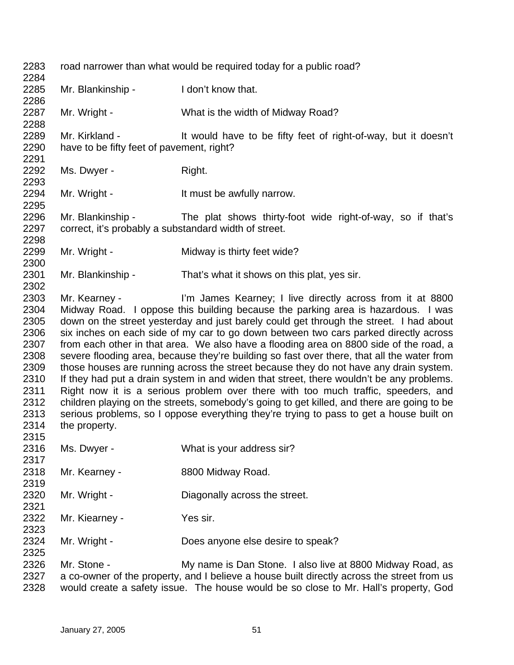| 2283<br>2284                                                                                         | road narrower than what would be required today for a public road?                                                                                                                                                                                                                                                                                                                                                                                                                                                                                                                                                                                                                                                                                                                                                                                                                                                                                                                                                           |                                                                                                                                                                                                                                                 |  |
|------------------------------------------------------------------------------------------------------|------------------------------------------------------------------------------------------------------------------------------------------------------------------------------------------------------------------------------------------------------------------------------------------------------------------------------------------------------------------------------------------------------------------------------------------------------------------------------------------------------------------------------------------------------------------------------------------------------------------------------------------------------------------------------------------------------------------------------------------------------------------------------------------------------------------------------------------------------------------------------------------------------------------------------------------------------------------------------------------------------------------------------|-------------------------------------------------------------------------------------------------------------------------------------------------------------------------------------------------------------------------------------------------|--|
| 2285<br>2286                                                                                         | Mr. Blankinship -                                                                                                                                                                                                                                                                                                                                                                                                                                                                                                                                                                                                                                                                                                                                                                                                                                                                                                                                                                                                            | I don't know that.                                                                                                                                                                                                                              |  |
| 2287<br>2288                                                                                         | Mr. Wright -                                                                                                                                                                                                                                                                                                                                                                                                                                                                                                                                                                                                                                                                                                                                                                                                                                                                                                                                                                                                                 | What is the width of Midway Road?                                                                                                                                                                                                               |  |
| 2289<br>2290<br>2291                                                                                 | Mr. Kirkland -<br>have to be fifty feet of pavement, right?                                                                                                                                                                                                                                                                                                                                                                                                                                                                                                                                                                                                                                                                                                                                                                                                                                                                                                                                                                  | It would have to be fifty feet of right-of-way, but it doesn't                                                                                                                                                                                  |  |
| 2292<br>2293                                                                                         | Ms. Dwyer -                                                                                                                                                                                                                                                                                                                                                                                                                                                                                                                                                                                                                                                                                                                                                                                                                                                                                                                                                                                                                  | Right.                                                                                                                                                                                                                                          |  |
| 2294<br>2295                                                                                         | Mr. Wright -                                                                                                                                                                                                                                                                                                                                                                                                                                                                                                                                                                                                                                                                                                                                                                                                                                                                                                                                                                                                                 | It must be awfully narrow.                                                                                                                                                                                                                      |  |
| 2296<br>2297<br>2298                                                                                 | Mr. Blankinship -<br>correct, it's probably a substandard width of street.                                                                                                                                                                                                                                                                                                                                                                                                                                                                                                                                                                                                                                                                                                                                                                                                                                                                                                                                                   | The plat shows thirty-foot wide right-of-way, so if that's                                                                                                                                                                                      |  |
| 2299<br>2300                                                                                         | Mr. Wright -                                                                                                                                                                                                                                                                                                                                                                                                                                                                                                                                                                                                                                                                                                                                                                                                                                                                                                                                                                                                                 | Midway is thirty feet wide?                                                                                                                                                                                                                     |  |
| 2301<br>2302                                                                                         | Mr. Blankinship -                                                                                                                                                                                                                                                                                                                                                                                                                                                                                                                                                                                                                                                                                                                                                                                                                                                                                                                                                                                                            | That's what it shows on this plat, yes sir.                                                                                                                                                                                                     |  |
| 2303<br>2304<br>2305<br>2306<br>2307<br>2308<br>2309<br>2310<br>2311<br>2312<br>2313<br>2314<br>2315 | I'm James Kearney; I live directly across from it at 8800<br>Mr. Kearney -<br>Midway Road. I oppose this building because the parking area is hazardous. I was<br>down on the street yesterday and just barely could get through the street. I had about<br>six inches on each side of my car to go down between two cars parked directly across<br>from each other in that area. We also have a flooding area on 8800 side of the road, a<br>severe flooding area, because they're building so fast over there, that all the water from<br>those houses are running across the street because they do not have any drain system.<br>If they had put a drain system in and widen that street, there wouldn't be any problems.<br>Right now it is a serious problem over there with too much traffic, speeders, and<br>children playing on the streets, somebody's going to get killed, and there are going to be<br>serious problems, so I oppose everything they're trying to pass to get a house built on<br>the property. |                                                                                                                                                                                                                                                 |  |
| 2316<br>2317                                                                                         | Ms. Dwyer -                                                                                                                                                                                                                                                                                                                                                                                                                                                                                                                                                                                                                                                                                                                                                                                                                                                                                                                                                                                                                  | What is your address sir?                                                                                                                                                                                                                       |  |
| 2318<br>2319                                                                                         | Mr. Kearney -                                                                                                                                                                                                                                                                                                                                                                                                                                                                                                                                                                                                                                                                                                                                                                                                                                                                                                                                                                                                                | 8800 Midway Road.                                                                                                                                                                                                                               |  |
| 2320<br>2321                                                                                         | Mr. Wright -                                                                                                                                                                                                                                                                                                                                                                                                                                                                                                                                                                                                                                                                                                                                                                                                                                                                                                                                                                                                                 | Diagonally across the street.                                                                                                                                                                                                                   |  |
| 2322<br>2323                                                                                         | Mr. Kiearney -                                                                                                                                                                                                                                                                                                                                                                                                                                                                                                                                                                                                                                                                                                                                                                                                                                                                                                                                                                                                               | Yes sir.                                                                                                                                                                                                                                        |  |
| 2324<br>2325                                                                                         | Mr. Wright -                                                                                                                                                                                                                                                                                                                                                                                                                                                                                                                                                                                                                                                                                                                                                                                                                                                                                                                                                                                                                 | Does anyone else desire to speak?                                                                                                                                                                                                               |  |
| 2326<br>2327<br>2328                                                                                 | Mr. Stone -                                                                                                                                                                                                                                                                                                                                                                                                                                                                                                                                                                                                                                                                                                                                                                                                                                                                                                                                                                                                                  | My name is Dan Stone. I also live at 8800 Midway Road, as<br>a co-owner of the property, and I believe a house built directly across the street from us<br>would create a safety issue. The house would be so close to Mr. Hall's property, God |  |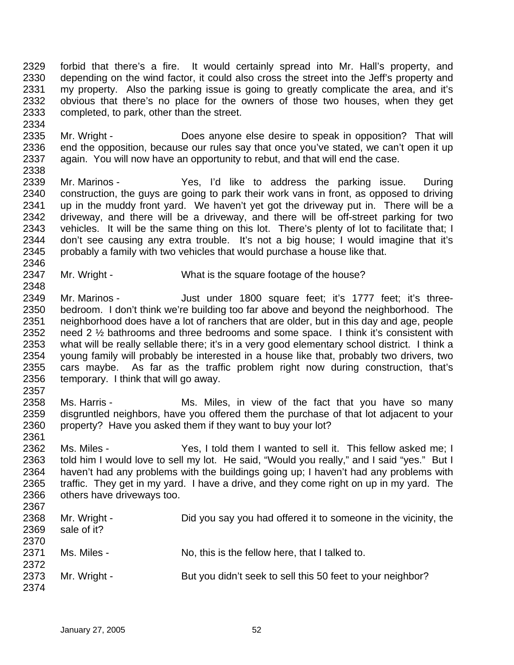2329 2330 2331 2332 2333 forbid that there's a fire. It would certainly spread into Mr. Hall's property, and depending on the wind factor, it could also cross the street into the Jeff's property and my property. Also the parking issue is going to greatly complicate the area, and it's obvious that there's no place for the owners of those two houses, when they get completed, to park, other than the street.

2335 2336 2337 2338 Mr. Wright - **Does anyone else desire to speak in opposition?** That will end the opposition, because our rules say that once you've stated, we can't open it up again. You will now have an opportunity to rebut, and that will end the case.

2339 2340 2341 2342 2343 2344 2345 2346 Mr. Marinos - Yes, I'd like to address the parking issue. During construction, the guys are going to park their work vans in front, as opposed to driving up in the muddy front yard. We haven't yet got the driveway put in. There will be a driveway, and there will be a driveway, and there will be off-street parking for two vehicles. It will be the same thing on this lot. There's plenty of lot to facilitate that; I don't see causing any extra trouble. It's not a big house; I would imagine that it's probably a family with two vehicles that would purchase a house like that.

2347 Mr. Wright - What is the square footage of the house?

2349 2350 2351 2352 2353 2354 2355 2356 2357 Mr. Marinos - Just under 1800 square feet; it's 1777 feet; it's threebedroom. I don't think we're building too far above and beyond the neighborhood. The neighborhood does have a lot of ranchers that are older, but in this day and age, people need 2 ½ bathrooms and three bedrooms and some space. I think it's consistent with what will be really sellable there; it's in a very good elementary school district. I think a young family will probably be interested in a house like that, probably two drivers, two cars maybe. As far as the traffic problem right now during construction, that's temporary. I think that will go away.

- 2358 2359 2360 Ms. Harris - The Ms. Miles, in view of the fact that you have so many disgruntled neighbors, have you offered them the purchase of that lot adjacent to your property? Have you asked them if they want to buy your lot?
- 2361 2362 2363 2364 2365 2366 2367 Ms. Miles - Yes, I told them I wanted to sell it. This fellow asked me; I told him I would love to sell my lot. He said, "Would you really," and I said "yes." But I haven't had any problems with the buildings going up; I haven't had any problems with traffic. They get in my yard. I have a drive, and they come right on up in my yard. The others have driveways too.

| <b>LUUI</b> |              |                                                                |
|-------------|--------------|----------------------------------------------------------------|
| 2368        | Mr. Wright - | Did you say you had offered it to someone in the vicinity, the |
| 2369        | sale of it?  |                                                                |
| 2370        |              |                                                                |
| 2371        | Ms. Miles -  | No, this is the fellow here, that I talked to.                 |
| 2372        |              |                                                                |
| 2373        | Mr. Wright - | But you didn't seek to sell this 50 feet to your neighbor?     |
| 2374        |              |                                                                |

2334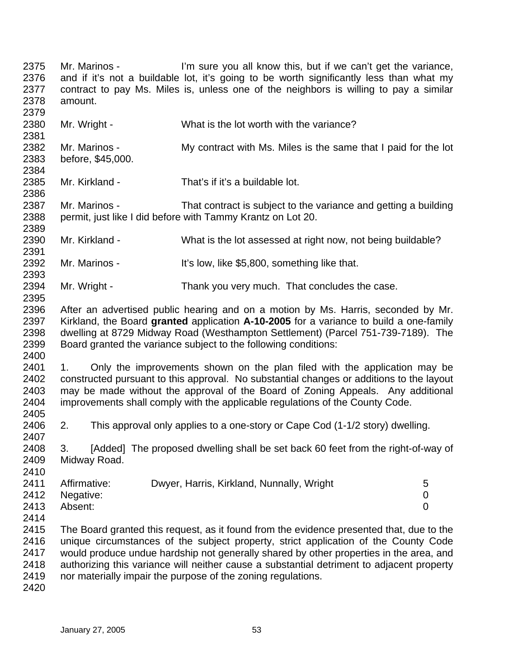2375 2376 2377 2378 2379 2380 2381 2382 2383 2384 2385 2386 2387 2388 2389 2390 2391 2392 2393 2394 2395 2396 2397 2398 2399 2400 2401 2402 2403 2404 2405 2406 2407 2408 2409 2410 2411 2412 2413 2414 2415 2416 2417 2418 2419 2420 Mr. Marinos - **I'm sure you all know this, but if we can't get the variance,** and if it's not a buildable lot, it's going to be worth significantly less than what my contract to pay Ms. Miles is, unless one of the neighbors is willing to pay a similar amount. Mr. Wright - What is the lot worth with the variance? Mr. Marinos - My contract with Ms. Miles is the same that I paid for the lot before, \$45,000. Mr. Kirkland - That's if it's a buildable lot. Mr. Marinos - That contract is subject to the variance and getting a building permit, just like I did before with Tammy Krantz on Lot 20. Mr. Kirkland - What is the lot assessed at right now, not being buildable? Mr. Marinos - It's low, like \$5,800, something like that. Mr. Wright - Thank you very much. That concludes the case. After an advertised public hearing and on a motion by Ms. Harris, seconded by Mr. Kirkland, the Board **granted** application **A-10-2005** for a variance to build a one-family dwelling at 8729 Midway Road (Westhampton Settlement) (Parcel 751-739-7189). The Board granted the variance subject to the following conditions: 1. Only the improvements shown on the plan filed with the application may be constructed pursuant to this approval. No substantial changes or additions to the layout may be made without the approval of the Board of Zoning Appeals. Any additional improvements shall comply with the applicable regulations of the County Code. 2. This approval only applies to a one-story or Cape Cod (1-1/2 story) dwelling. 3. [Added] The proposed dwelling shall be set back 60 feet from the right-of-way of Midway Road. Affirmative: Dwyer, Harris, Kirkland, Nunnally, Wright 5 Negative: 0 Absent: 0 The Board granted this request, as it found from the evidence presented that, due to the unique circumstances of the subject property, strict application of the County Code would produce undue hardship not generally shared by other properties in the area, and authorizing this variance will neither cause a substantial detriment to adjacent property nor materially impair the purpose of the zoning regulations.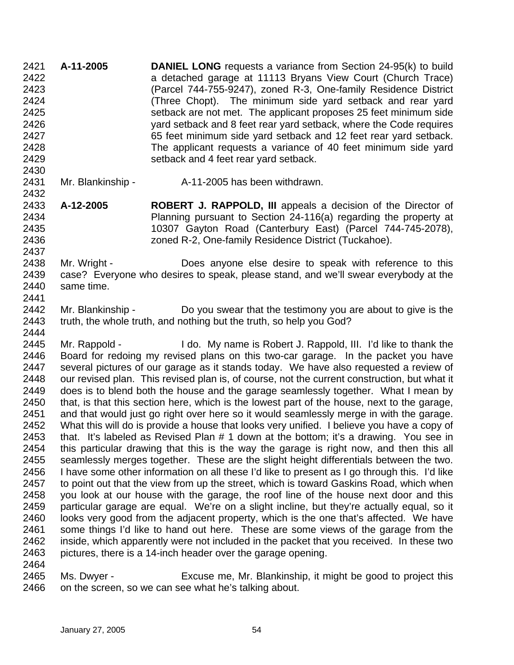**A-11-2005 DANIEL LONG** requests a variance from Section 24-95(k) to build a detached garage at 11113 Bryans View Court (Church Trace) (Parcel 744-755-9247), zoned R-3, One-family Residence District (Three Chopt). The minimum side yard setback and rear yard setback are not met. The applicant proposes 25 feet minimum side yard setback and 8 feet rear yard setback, where the Code requires 65 feet minimum side yard setback and 12 feet rear yard setback. The applicant requests a variance of 40 feet minimum side yard setback and 4 feet rear yard setback. 2421 2422 2423 2424 2425 2426 2427 2428 2429 2430

2431 Mr. Blankinship - A-11-2005 has been withdrawn.

2432

2437

2433 2434 2435 2436 **A-12-2005 ROBERT J. RAPPOLD, III** appeals a decision of the Director of Planning pursuant to Section 24-116(a) regarding the property at 10307 Gayton Road (Canterbury East) (Parcel 744-745-2078), zoned R-2, One-family Residence District (Tuckahoe).

2438 2439 2440 2441 Mr. Wright - **Does anyone else desire to speak with reference to this** case? Everyone who desires to speak, please stand, and we'll swear everybody at the same time.

2442 2443 2444 Mr. Blankinship - Do you swear that the testimony you are about to give is the truth, the whole truth, and nothing but the truth, so help you God?

2445 2446 2447 2448 2449 2450 2451 2452 2453 2454 2455 2456 2457 2458 2459 2460 2461 2462 2463 2464 Mr. Rappold - I do. My name is Robert J. Rappold, III. I'd like to thank the Board for redoing my revised plans on this two-car garage. In the packet you have several pictures of our garage as it stands today. We have also requested a review of our revised plan. This revised plan is, of course, not the current construction, but what it does is to blend both the house and the garage seamlessly together. What I mean by that, is that this section here, which is the lowest part of the house, next to the garage, and that would just go right over here so it would seamlessly merge in with the garage. What this will do is provide a house that looks very unified. I believe you have a copy of that. It's labeled as Revised Plan # 1 down at the bottom; it's a drawing. You see in this particular drawing that this is the way the garage is right now, and then this all seamlessly merges together. These are the slight height differentials between the two. I have some other information on all these I'd like to present as I go through this. I'd like to point out that the view from up the street, which is toward Gaskins Road, which when you look at our house with the garage, the roof line of the house next door and this particular garage are equal. We're on a slight incline, but they're actually equal, so it looks very good from the adjacent property, which is the one that's affected. We have some things I'd like to hand out here. These are some views of the garage from the inside, which apparently were not included in the packet that you received. In these two pictures, there is a 14-inch header over the garage opening.

2465 2466 Ms. Dwyer - Excuse me, Mr. Blankinship, it might be good to project this on the screen, so we can see what he's talking about.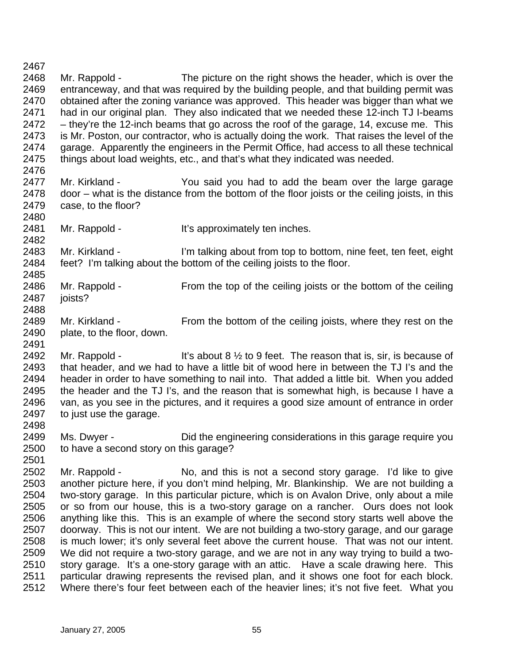2467 2468 2469 2470 2471 2472 2473 2474 2475 2476 Mr. Rappold - The picture on the right shows the header, which is over the entranceway, and that was required by the building people, and that building permit was obtained after the zoning variance was approved. This header was bigger than what we had in our original plan. They also indicated that we needed these 12-inch TJ I-beams – they're the 12-inch beams that go across the roof of the garage, 14, excuse me. This is Mr. Poston, our contractor, who is actually doing the work. That raises the level of the garage. Apparently the engineers in the Permit Office, had access to all these technical things about load weights, etc., and that's what they indicated was needed.

- 2477 2478 2479 Mr. Kirkland - You said you had to add the beam over the large garage door – what is the distance from the bottom of the floor joists or the ceiling joists, in this case, to the floor?
- 2481 Mr. Rappold - It's approximately ten inches.

2480

2482

2488

2501

2483 2484 2485 Mr. Kirkland - I'm talking about from top to bottom, nine feet, ten feet, eight feet? I'm talking about the bottom of the ceiling joists to the floor.

- 2486 2487 Mr. Rappold - From the top of the ceiling joists or the bottom of the ceiling joists?
- 2489 2490 2491 Mr. Kirkland - From the bottom of the ceiling joists, where they rest on the plate, to the floor, down.

2492 2493 2494 2495 2496 2497 2498 Mr. Rappold - It's about 8  $\frac{1}{2}$  to 9 feet. The reason that is, sir, is because of that header, and we had to have a little bit of wood here in between the TJ I's and the header in order to have something to nail into. That added a little bit. When you added the header and the TJ I's, and the reason that is somewhat high, is because I have a van, as you see in the pictures, and it requires a good size amount of entrance in order to just use the garage.

2499 2500 Ms. Dwyer - This Did the engineering considerations in this garage require you to have a second story on this garage?

2502 2503 2504 2505 2506 2507 2508 2509 2510 2511 2512 Mr. Rappold - No, and this is not a second story garage. I'd like to give another picture here, if you don't mind helping, Mr. Blankinship. We are not building a two-story garage. In this particular picture, which is on Avalon Drive, only about a mile or so from our house, this is a two-story garage on a rancher. Ours does not look anything like this. This is an example of where the second story starts well above the doorway. This is not our intent. We are not building a two-story garage, and our garage is much lower; it's only several feet above the current house. That was not our intent. We did not require a two-story garage, and we are not in any way trying to build a twostory garage. It's a one-story garage with an attic. Have a scale drawing here. This particular drawing represents the revised plan, and it shows one foot for each block. Where there's four feet between each of the heavier lines; it's not five feet. What you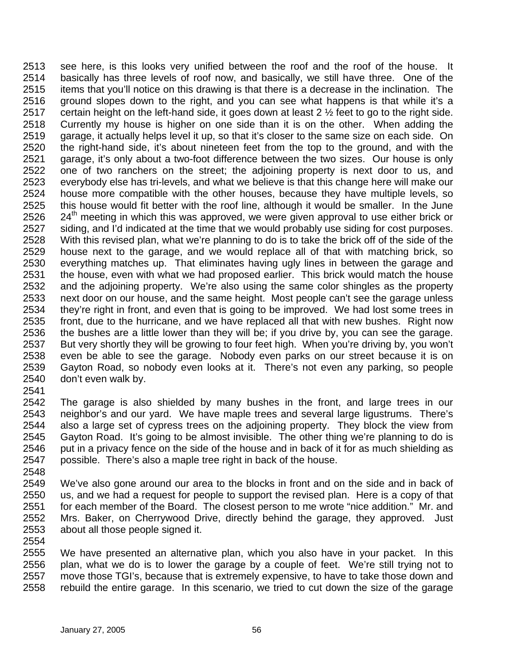see here, is this looks very unified between the roof and the roof of the house. It basically has three levels of roof now, and basically, we still have three. One of the items that you'll notice on this drawing is that there is a decrease in the inclination. The ground slopes down to the right, and you can see what happens is that while it's a certain height on the left-hand side, it goes down at least 2 ½ feet to go to the right side. Currently my house is higher on one side than it is on the other. When adding the garage, it actually helps level it up, so that it's closer to the same size on each side. On the right-hand side, it's about nineteen feet from the top to the ground, and with the garage, it's only about a two-foot difference between the two sizes. Our house is only one of two ranchers on the street; the adjoining property is next door to us, and everybody else has tri-levels, and what we believe is that this change here will make our house more compatible with the other houses, because they have multiple levels, so this house would fit better with the roof line, although it would be smaller. In the June 24<sup>th</sup> meeting in which this was approved, we were given approval to use either brick or 2513 2514 2515 2516 2517 2518 2519 2520 2521 2522 2523 2524 2525 2526 2527 2528 2529 2530 2531 2532 2533 2534 2535 2536 2537 2538 2539 2540 siding, and I'd indicated at the time that we would probably use siding for cost purposes. With this revised plan, what we're planning to do is to take the brick off of the side of the house next to the garage, and we would replace all of that with matching brick, so everything matches up. That eliminates having ugly lines in between the garage and the house, even with what we had proposed earlier. This brick would match the house and the adjoining property. We're also using the same color shingles as the property next door on our house, and the same height. Most people can't see the garage unless they're right in front, and even that is going to be improved. We had lost some trees in front, due to the hurricane, and we have replaced all that with new bushes. Right now the bushes are a little lower than they will be; if you drive by, you can see the garage. But very shortly they will be growing to four feet high. When you're driving by, you won't even be able to see the garage. Nobody even parks on our street because it is on Gayton Road, so nobody even looks at it. There's not even any parking, so people don't even walk by.

2541

2542 2543 2544 2545 2546 2547 The garage is also shielded by many bushes in the front, and large trees in our neighbor's and our yard. We have maple trees and several large ligustrums. There's also a large set of cypress trees on the adjoining property. They block the view from Gayton Road. It's going to be almost invisible. The other thing we're planning to do is put in a privacy fence on the side of the house and in back of it for as much shielding as possible. There's also a maple tree right in back of the house.

2548

2549 2550 2551 2552 2553 We've also gone around our area to the blocks in front and on the side and in back of us, and we had a request for people to support the revised plan. Here is a copy of that for each member of the Board. The closest person to me wrote "nice addition." Mr. and Mrs. Baker, on Cherrywood Drive, directly behind the garage, they approved. Just about all those people signed it.

2554

2555 2556 2557 2558 We have presented an alternative plan, which you also have in your packet. In this plan, what we do is to lower the garage by a couple of feet. We're still trying not to move those TGI's, because that is extremely expensive, to have to take those down and rebuild the entire garage. In this scenario, we tried to cut down the size of the garage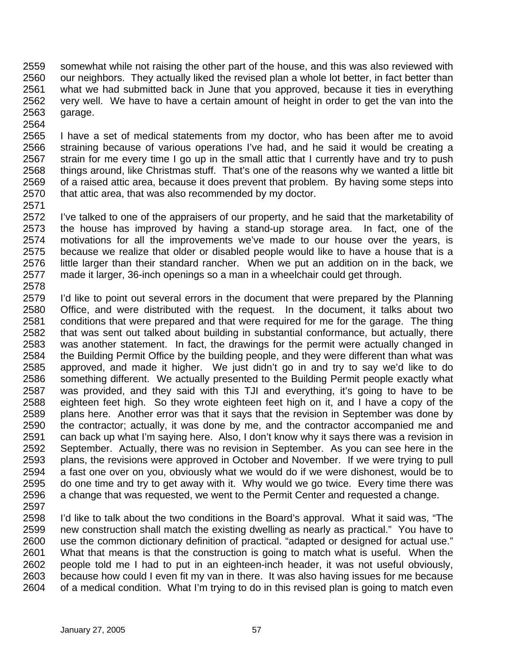2559 2560 2561 2562 2563 2564 somewhat while not raising the other part of the house, and this was also reviewed with our neighbors. They actually liked the revised plan a whole lot better, in fact better than what we had submitted back in June that you approved, because it ties in everything very well. We have to have a certain amount of height in order to get the van into the garage.

2565 2566 2567 2568 2569 2570 I have a set of medical statements from my doctor, who has been after me to avoid straining because of various operations I've had, and he said it would be creating a strain for me every time I go up in the small attic that I currently have and try to push things around, like Christmas stuff. That's one of the reasons why we wanted a little bit of a raised attic area, because it does prevent that problem. By having some steps into that attic area, that was also recommended by my doctor.

2571

2572 2573 2574 2575 2576 2577 I've talked to one of the appraisers of our property, and he said that the marketability of the house has improved by having a stand-up storage area. In fact, one of the motivations for all the improvements we've made to our house over the years, is because we realize that older or disabled people would like to have a house that is a little larger than their standard rancher. When we put an addition on in the back, we made it larger, 36-inch openings so a man in a wheelchair could get through.

2578

2579 2580 2581 2582 2583 2584 2585 2586 2587 2588 2589 2590 2591 2592 2593 2594 2595 2596 2597 I'd like to point out several errors in the document that were prepared by the Planning Office, and were distributed with the request. In the document, it talks about two conditions that were prepared and that were required for me for the garage. The thing that was sent out talked about building in substantial conformance, but actually, there was another statement. In fact, the drawings for the permit were actually changed in the Building Permit Office by the building people, and they were different than what was approved, and made it higher. We just didn't go in and try to say we'd like to do something different. We actually presented to the Building Permit people exactly what was provided, and they said with this TJI and everything, it's going to have to be eighteen feet high. So they wrote eighteen feet high on it, and I have a copy of the plans here. Another error was that it says that the revision in September was done by the contractor; actually, it was done by me, and the contractor accompanied me and can back up what I'm saying here. Also, I don't know why it says there was a revision in September. Actually, there was no revision in September. As you can see here in the plans, the revisions were approved in October and November. If we were trying to pull a fast one over on you, obviously what we would do if we were dishonest, would be to do one time and try to get away with it. Why would we go twice. Every time there was a change that was requested, we went to the Permit Center and requested a change.

2598 2599 2600 2601 2602 2603 2604 I'd like to talk about the two conditions in the Board's approval. What it said was, "The new construction shall match the existing dwelling as nearly as practical." You have to use the common dictionary definition of practical. "adapted or designed for actual use." What that means is that the construction is going to match what is useful. When the people told me I had to put in an eighteen-inch header, it was not useful obviously, because how could I even fit my van in there. It was also having issues for me because of a medical condition. What I'm trying to do in this revised plan is going to match even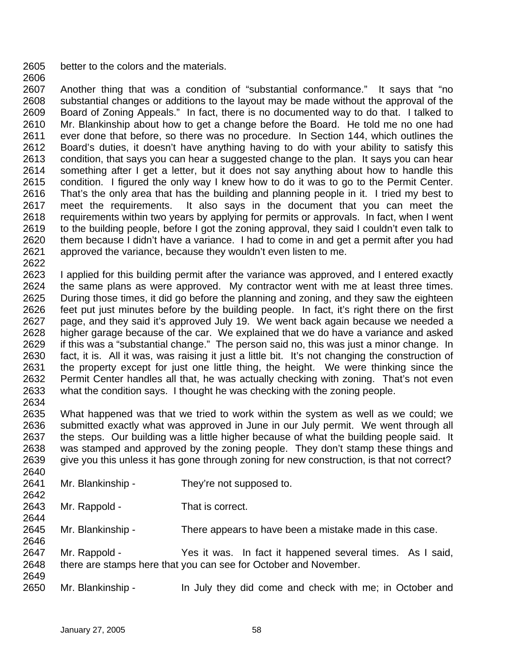2605 better to the colors and the materials.

2607 2608 2609 2610 2611 2612 2613 2614 2615 2616 2617 2618 2619 2620 2621 Another thing that was a condition of "substantial conformance." It says that "no substantial changes or additions to the layout may be made without the approval of the Board of Zoning Appeals." In fact, there is no documented way to do that. I talked to Mr. Blankinship about how to get a change before the Board. He told me no one had ever done that before, so there was no procedure. In Section 144, which outlines the Board's duties, it doesn't have anything having to do with your ability to satisfy this condition, that says you can hear a suggested change to the plan. It says you can hear something after I get a letter, but it does not say anything about how to handle this condition. I figured the only way I knew how to do it was to go to the Permit Center. That's the only area that has the building and planning people in it. I tried my best to meet the requirements. It also says in the document that you can meet the requirements within two years by applying for permits or approvals. In fact, when I went to the building people, before I got the zoning approval, they said I couldn't even talk to them because I didn't have a variance. I had to come in and get a permit after you had approved the variance, because they wouldn't even listen to me.

2622

2606

2623 2624 2625 2626 2627 2628 2629 2630 2631 2632 2633 2634 I applied for this building permit after the variance was approved, and I entered exactly the same plans as were approved. My contractor went with me at least three times. During those times, it did go before the planning and zoning, and they saw the eighteen feet put just minutes before by the building people. In fact, it's right there on the first page, and they said it's approved July 19. We went back again because we needed a higher garage because of the car. We explained that we do have a variance and asked if this was a "substantial change." The person said no, this was just a minor change. In fact, it is. All it was, was raising it just a little bit. It's not changing the construction of the property except for just one little thing, the height. We were thinking since the Permit Center handles all that, he was actually checking with zoning. That's not even what the condition says. I thought he was checking with the zoning people.

- 2635 2636 2637 2638 2639 What happened was that we tried to work within the system as well as we could; we submitted exactly what was approved in June in our July permit. We went through all the steps. Our building was a little higher because of what the building people said. It was stamped and approved by the zoning people. They don't stamp these things and give you this unless it has gone through zoning for new construction, is that not correct?
- 2640 2641 2642 2643 2644 2645 2646 2647 2648 2649 2650 Mr. Blankinship - They're not supposed to. Mr. Rappold - That is correct. Mr. Blankinship - There appears to have been a mistake made in this case. Mr. Rappold - Yes it was. In fact it happened several times. As I said, there are stamps here that you can see for October and November. Mr. Blankinship - In July they did come and check with me; in October and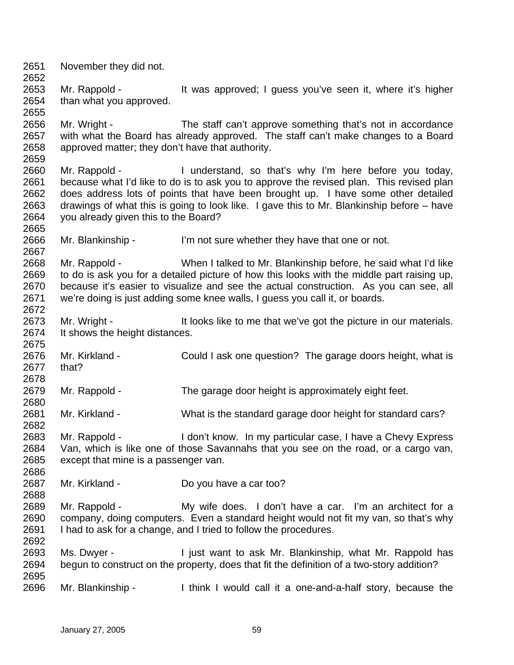2651 2652 2653 2654 2655 2656 2657 2658 2659 2660 2661 2662 2663 2664 2665 2666 2667 2668 2669 2670 2671 2672 2673 2674 2675 2676 2677 2678 2679 2680 2681 2682 2683 2684 2685 2686 2687 2688 2689 2690 2691 2692 2693 2694 2695 2696 November they did not. Mr. Rappold - It was approved; I guess you've seen it, where it's higher than what you approved. Mr. Wright - The staff can't approve something that's not in accordance with what the Board has already approved. The staff can't make changes to a Board approved matter; they don't have that authority. Mr. Rappold - I understand, so that's why I'm here before you today, because what I'd like to do is to ask you to approve the revised plan. This revised plan does address lots of points that have been brought up. I have some other detailed drawings of what this is going to look like. I gave this to Mr. Blankinship before – have you already given this to the Board? Mr. Blankinship - I'm not sure whether they have that one or not. Mr. Rappold - When I talked to Mr. Blankinship before, he said what I'd like to do is ask you for a detailed picture of how this looks with the middle part raising up, because it's easier to visualize and see the actual construction. As you can see, all we're doing is just adding some knee walls, I guess you call it, or boards. Mr. Wright - It looks like to me that we've got the picture in our materials. It shows the height distances. Mr. Kirkland - Could I ask one question? The garage doors height, what is that? Mr. Rappold - The garage door height is approximately eight feet. Mr. Kirkland - What is the standard garage door height for standard cars? Mr. Rappold - I don't know. In my particular case, I have a Chevy Express Van, which is like one of those Savannahs that you see on the road, or a cargo van, except that mine is a passenger van. Mr. Kirkland - Do you have a car too? Mr. Rappold - My wife does. I don't have a car. I'm an architect for a company, doing computers. Even a standard height would not fit my van, so that's why I had to ask for a change, and I tried to follow the procedures. Ms. Dwyer - I just want to ask Mr. Blankinship, what Mr. Rappold has begun to construct on the property, does that fit the definition of a two-story addition? Mr. Blankinship - I think I would call it a one-and-a-half story, because the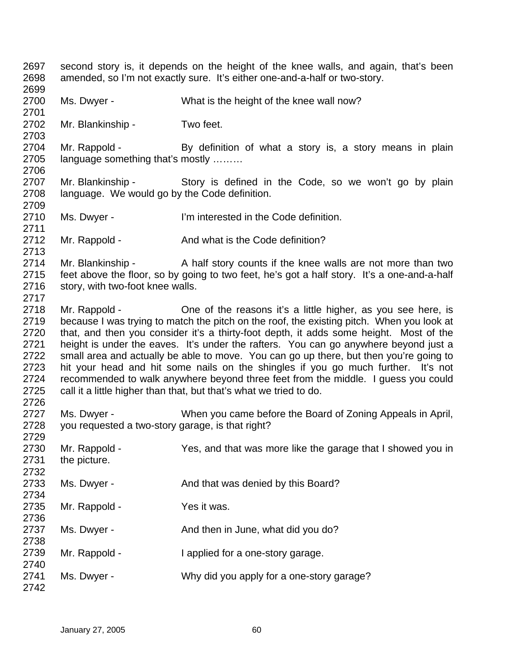2697 2698 2699 2700 2701 2702 2703 2704 2705 2706 2707 2708 2709 2710 2711 2712 2713 2714 2715 2716 2717 2718 2719 2720 2721 2722 2723 2724 2725 2726 2727 2728 2729 2730 2731 2732 2733 2734 2735 2736 2737 2738 2739 2740 2741 2742 second story is, it depends on the height of the knee walls, and again, that's been amended, so I'm not exactly sure. It's either one-and-a-half or two-story. Ms. Dwyer - What is the height of the knee wall now? Mr. Blankinship - Two feet. Mr. Rappold - By definition of what a story is, a story means in plain language something that's mostly ……… Mr. Blankinship - Story is defined in the Code, so we won't go by plain language. We would go by the Code definition. Ms. Dwyer - I'm interested in the Code definition. Mr. Rappold - And what is the Code definition? Mr. Blankinship - A half story counts if the knee walls are not more than two feet above the floor, so by going to two feet, he's got a half story. It's a one-and-a-half story, with two-foot knee walls. Mr. Rappold - Che of the reasons it's a little higher, as you see here, is because I was trying to match the pitch on the roof, the existing pitch. When you look at that, and then you consider it's a thirty-foot depth, it adds some height. Most of the height is under the eaves. It's under the rafters. You can go anywhere beyond just a small area and actually be able to move. You can go up there, but then you're going to hit your head and hit some nails on the shingles if you go much further. It's not recommended to walk anywhere beyond three feet from the middle. I guess you could call it a little higher than that, but that's what we tried to do. Ms. Dwyer - When you came before the Board of Zoning Appeals in April, you requested a two-story garage, is that right? Mr. Rappold - Yes, and that was more like the garage that I showed you in the picture. Ms. Dwyer - The And that was denied by this Board? Mr. Rappold - Yes it was. Ms. Dwyer - The And then in June, what did you do? Mr. Rappold - I applied for a one-story garage. Ms. Dwyer - Why did you apply for a one-story garage?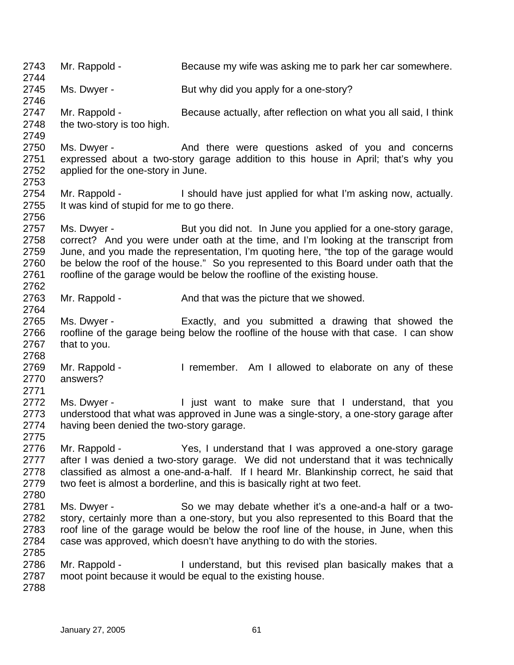2743 2744 2745 2746 2747 2748 2749 2750 2751 2752 2753 2754 2755 2756 2757 2758 2759 2760 2761 2762 2763 2764 2765 2766 2767 2768 2769 2770 2771 2772 2773 2774 2775 2776 2777 2778 2779 2780 2781 2782 2783 2784 2785 2786 2787 2788 Mr. Rappold - Because my wife was asking me to park her car somewhere. Ms. Dwyer - But why did you apply for a one-story? Mr. Rappold - Because actually, after reflection on what you all said, I think the two-story is too high. Ms. Dwyer - The And there were questions asked of you and concerns expressed about a two-story garage addition to this house in April; that's why you applied for the one-story in June. Mr. Rappold - I should have just applied for what I'm asking now, actually. It was kind of stupid for me to go there. Ms. Dwyer - But you did not. In June you applied for a one-story garage, correct? And you were under oath at the time, and I'm looking at the transcript from June, and you made the representation, I'm quoting here, "the top of the garage would be below the roof of the house." So you represented to this Board under oath that the roofline of the garage would be below the roofline of the existing house. Mr. Rappold - And that was the picture that we showed. Ms. Dwyer - Exactly, and you submitted a drawing that showed the roofline of the garage being below the roofline of the house with that case. I can show that to you. Mr. Rappold - The Muslim Communication Channel Am I allowed to elaborate on any of these answers? Ms. Dwyer - The instructure in the make sure that I understand, that you understood that what was approved in June was a single-story, a one-story garage after having been denied the two-story garage. Mr. Rappold - Yes, I understand that I was approved a one-story garage after I was denied a two-story garage. We did not understand that it was technically classified as almost a one-and-a-half. If I heard Mr. Blankinship correct, he said that two feet is almost a borderline, and this is basically right at two feet. Ms. Dwyer - So we may debate whether it's a one-and-a half or a twostory, certainly more than a one-story, but you also represented to this Board that the roof line of the garage would be below the roof line of the house, in June, when this case was approved, which doesn't have anything to do with the stories. Mr. Rappold - I understand, but this revised plan basically makes that a moot point because it would be equal to the existing house.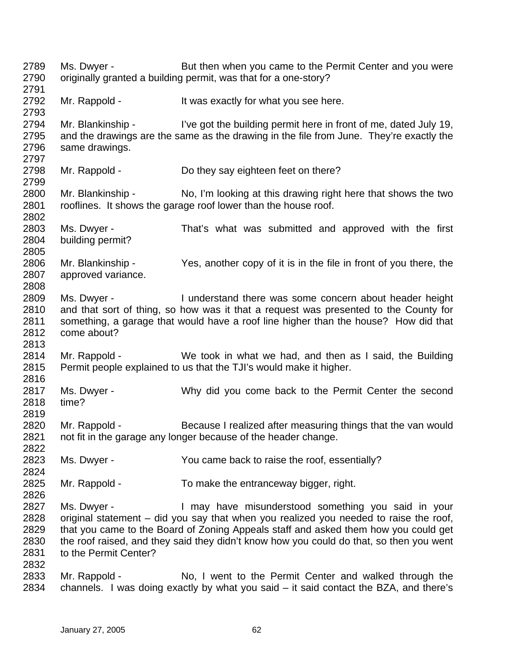2789 2790 2791 2792 2793 2794 2795 2796 2797 2798 2799 2800 2801 2802 2803 2804 2805 2806 2807 2808 2809 2810 2811 2812 2813 2814 2815 2816 2817 2818 2819 2820 2821 2822 2823 2824 2825 2826 2827 2828 2829 2830 2831 2832 2833 2834 Ms. Dwyer - But then when you came to the Permit Center and you were originally granted a building permit, was that for a one-story? Mr. Rappold - It was exactly for what you see here. Mr. Blankinship - I've got the building permit here in front of me, dated July 19, and the drawings are the same as the drawing in the file from June. They're exactly the same drawings. Mr. Rappold - Do they say eighteen feet on there? Mr. Blankinship - No, I'm looking at this drawing right here that shows the two rooflines. It shows the garage roof lower than the house roof. Ms. Dwyer - That's what was submitted and approved with the first building permit? Mr. Blankinship - Yes, another copy of it is in the file in front of you there, the approved variance. Ms. Dwyer - I understand there was some concern about header height and that sort of thing, so how was it that a request was presented to the County for something, a garage that would have a roof line higher than the house? How did that come about? Mr. Rappold - We took in what we had, and then as I said, the Building Permit people explained to us that the TJI's would make it higher. Ms. Dwyer - Why did you come back to the Permit Center the second time? Mr. Rappold - Because I realized after measuring things that the van would not fit in the garage any longer because of the header change. Ms. Dwyer - You came back to raise the roof, essentially? Mr. Rappold - To make the entranceway bigger, right. Ms. Dwyer - I may have misunderstood something you said in your original statement – did you say that when you realized you needed to raise the roof, that you came to the Board of Zoning Appeals staff and asked them how you could get the roof raised, and they said they didn't know how you could do that, so then you went to the Permit Center? Mr. Rappold - No, I went to the Permit Center and walked through the channels. I was doing exactly by what you said – it said contact the BZA, and there's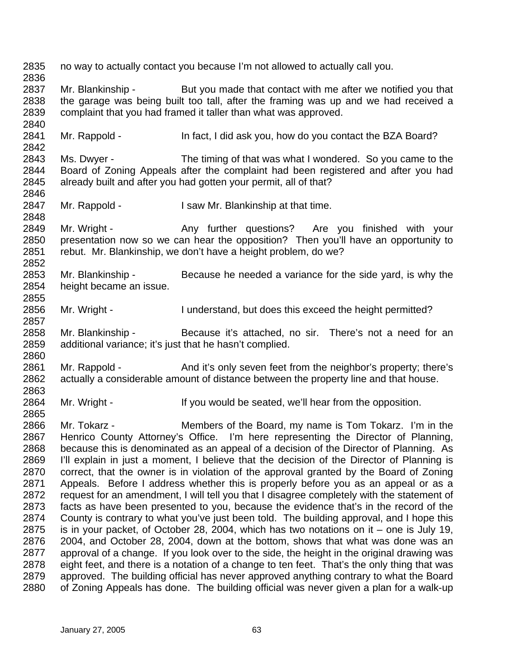2835 2836 2837 2838 2839 2840 2841 2842 2843 2844 2845 2846 2847 2848 2849 2850 2851 2852 2853 2854 2855 2856 2857 2858 2859 2860 2861 2862 2863 2864 2865 2866 2867 2868 2869 2870 2871 2872 2873 2874 2875 2876 2877 2878 2879 2880 no way to actually contact you because I'm not allowed to actually call you. Mr. Blankinship - But you made that contact with me after we notified you that the garage was being built too tall, after the framing was up and we had received a complaint that you had framed it taller than what was approved. Mr. Rappold - In fact, I did ask you, how do you contact the BZA Board? Ms. Dwyer - The timing of that was what I wondered. So you came to the Board of Zoning Appeals after the complaint had been registered and after you had already built and after you had gotten your permit, all of that? Mr. Rappold - I saw Mr. Blankinship at that time. Mr. Wright - The Any further questions? Are you finished with your presentation now so we can hear the opposition? Then you'll have an opportunity to rebut. Mr. Blankinship, we don't have a height problem, do we? Mr. Blankinship - Because he needed a variance for the side yard, is why the height became an issue. Mr. Wright - I understand, but does this exceed the height permitted? Mr. Blankinship - Because it's attached, no sir. There's not a need for an additional variance; it's just that he hasn't complied. Mr. Rappold - And it's only seven feet from the neighbor's property; there's actually a considerable amount of distance between the property line and that house. Mr. Wright - If you would be seated, we'll hear from the opposition. Mr. Tokarz - **Members of the Board, my name is Tom Tokarz.** I'm in the Henrico County Attorney's Office. I'm here representing the Director of Planning, because this is denominated as an appeal of a decision of the Director of Planning. As I'll explain in just a moment, I believe that the decision of the Director of Planning is correct, that the owner is in violation of the approval granted by the Board of Zoning Appeals. Before I address whether this is properly before you as an appeal or as a request for an amendment, I will tell you that I disagree completely with the statement of facts as have been presented to you, because the evidence that's in the record of the County is contrary to what you've just been told. The building approval, and I hope this is in your packet, of October 28, 2004, which has two notations on it – one is July 19, 2004, and October 28, 2004, down at the bottom, shows that what was done was an approval of a change. If you look over to the side, the height in the original drawing was eight feet, and there is a notation of a change to ten feet. That's the only thing that was approved. The building official has never approved anything contrary to what the Board of Zoning Appeals has done. The building official was never given a plan for a walk-up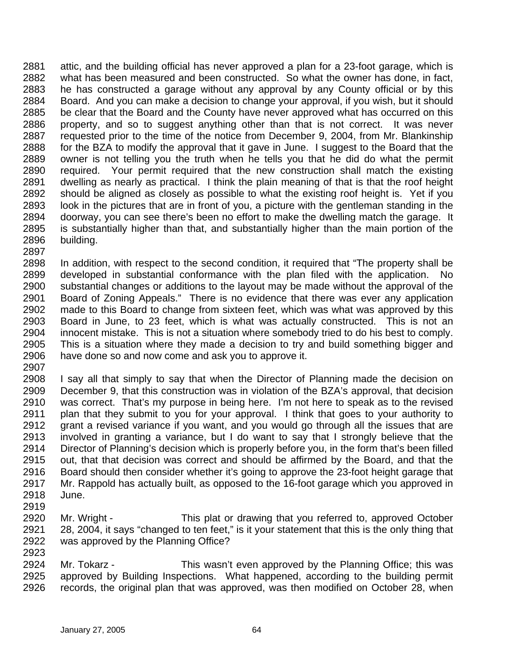2881 2882 2883 2884 2885 2886 2887 2888 2889 2890 2891 2892 2893 2894 2895 2896 attic, and the building official has never approved a plan for a 23-foot garage, which is what has been measured and been constructed. So what the owner has done, in fact, he has constructed a garage without any approval by any County official or by this Board. And you can make a decision to change your approval, if you wish, but it should be clear that the Board and the County have never approved what has occurred on this property, and so to suggest anything other than that is not correct. It was never requested prior to the time of the notice from December 9, 2004, from Mr. Blankinship for the BZA to modify the approval that it gave in June. I suggest to the Board that the owner is not telling you the truth when he tells you that he did do what the permit required. Your permit required that the new construction shall match the existing dwelling as nearly as practical. I think the plain meaning of that is that the roof height should be aligned as closely as possible to what the existing roof height is. Yet if you look in the pictures that are in front of you, a picture with the gentleman standing in the doorway, you can see there's been no effort to make the dwelling match the garage. It is substantially higher than that, and substantially higher than the main portion of the building.

2898 2899 2900 2901 2902 2903 2904 2905 2906 2907 In addition, with respect to the second condition, it required that "The property shall be developed in substantial conformance with the plan filed with the application. No substantial changes or additions to the layout may be made without the approval of the Board of Zoning Appeals." There is no evidence that there was ever any application made to this Board to change from sixteen feet, which was what was approved by this Board in June, to 23 feet, which is what was actually constructed. This is not an innocent mistake. This is not a situation where somebody tried to do his best to comply. This is a situation where they made a decision to try and build something bigger and have done so and now come and ask you to approve it.

- 2908 2909 2910 2911 2912 2913 2914 2915 2916 2917 2918 I say all that simply to say that when the Director of Planning made the decision on December 9, that this construction was in violation of the BZA's approval, that decision was correct. That's my purpose in being here. I'm not here to speak as to the revised plan that they submit to you for your approval. I think that goes to your authority to grant a revised variance if you want, and you would go through all the issues that are involved in granting a variance, but I do want to say that I strongly believe that the Director of Planning's decision which is properly before you, in the form that's been filled out, that that decision was correct and should be affirmed by the Board, and that the Board should then consider whether it's going to approve the 23-foot height garage that Mr. Rappold has actually built, as opposed to the 16-foot garage which you approved in June.
- 2919

- 2920 2921 2922 2923 Mr. Wright - This plat or drawing that you referred to, approved October 28, 2004, it says "changed to ten feet," is it your statement that this is the only thing that was approved by the Planning Office?
- 2924 2925 2926 Mr. Tokarz - This wasn't even approved by the Planning Office; this was approved by Building Inspections. What happened, according to the building permit records, the original plan that was approved, was then modified on October 28, when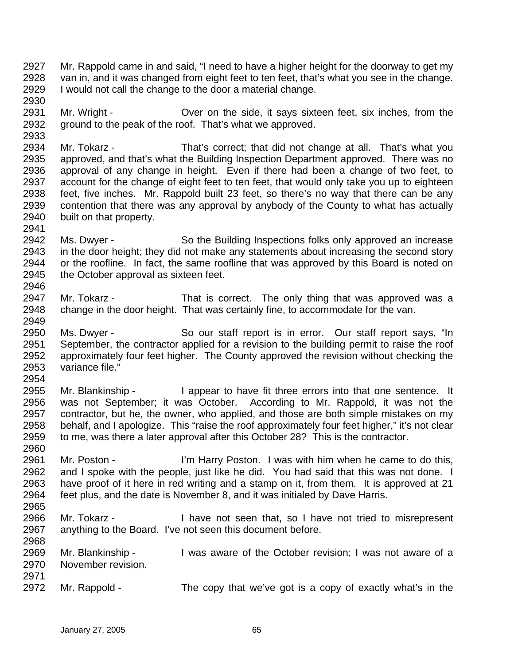- 2927 2928 2929 2930 Mr. Rappold came in and said, "I need to have a higher height for the doorway to get my van in, and it was changed from eight feet to ten feet, that's what you see in the change. I would not call the change to the door a material change.
- 2931 2932 Mr. Wright - Cover on the side, it says sixteen feet, six inches, from the ground to the peak of the roof. That's what we approved.
- 2934 2935 2936 2937 2938 2939 2940 Mr. Tokarz - That's correct; that did not change at all. That's what you approved, and that's what the Building Inspection Department approved. There was no approval of any change in height. Even if there had been a change of two feet, to account for the change of eight feet to ten feet, that would only take you up to eighteen feet, five inches. Mr. Rappold built 23 feet, so there's no way that there can be any contention that there was any approval by anybody of the County to what has actually built on that property.
- 2942 2943 2944 2945 2946 Ms. Dwyer - So the Building Inspections folks only approved an increase in the door height; they did not make any statements about increasing the second story or the roofline. In fact, the same roofline that was approved by this Board is noted on the October approval as sixteen feet.
- 2947 2948 Mr. Tokarz - That is correct. The only thing that was approved was a change in the door height. That was certainly fine, to accommodate for the van.
- 2950 2951 2952 2953 Ms. Dwyer - So our staff report is in error. Our staff report says, "In September, the contractor applied for a revision to the building permit to raise the roof approximately four feet higher. The County approved the revision without checking the variance file."
- 2955 2956 2957 2958 2959 Mr. Blankinship - I appear to have fit three errors into that one sentence. It was not September; it was October. According to Mr. Rappold, it was not the contractor, but he, the owner, who applied, and those are both simple mistakes on my behalf, and I apologize. This "raise the roof approximately four feet higher," it's not clear to me, was there a later approval after this October 28? This is the contractor.
- 2960 2961 2962 2963 2964 Mr. Poston - I'm Harry Poston. I was with him when he came to do this, and I spoke with the people, just like he did. You had said that this was not done. I have proof of it here in red writing and a stamp on it, from them. It is approved at 21 feet plus, and the date is November 8, and it was initialed by Dave Harris.
- 2965

2941

2949

- 2966 2967 2968 Mr. Tokarz - I have not seen that, so I have not tried to misrepresent anything to the Board. I've not seen this document before.
- 2969 2970 2971 Mr. Blankinship - I was aware of the October revision; I was not aware of a November revision.
- 2972 Mr. Rappold - The copy that we've got is a copy of exactly what's in the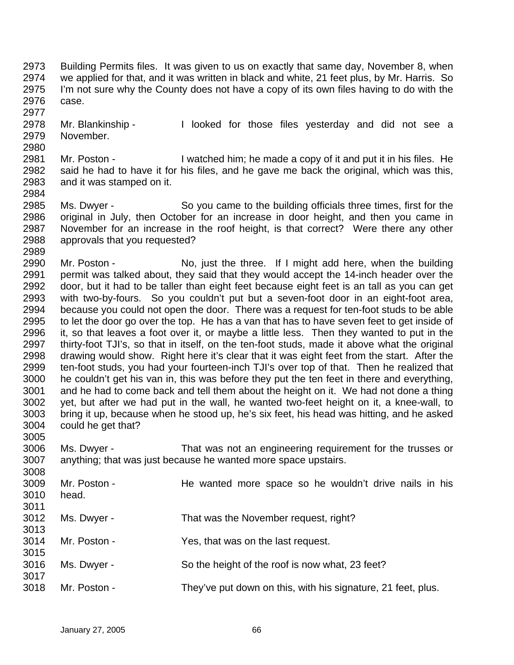- 2973 2974 2975 2976 Building Permits files. It was given to us on exactly that same day, November 8, when we applied for that, and it was written in black and white, 21 feet plus, by Mr. Harris. So I'm not sure why the County does not have a copy of its own files having to do with the case.
- 2978 2979 Mr. Blankinship - The looked for those files yesterday and did not see a November.
- 2981 2982 2983 Mr. Poston - I watched him; he made a copy of it and put it in his files. He said he had to have it for his files, and he gave me back the original, which was this, and it was stamped on it.
- 2985 2986 2987 2988 Ms. Dwyer - So you came to the building officials three times, first for the original in July, then October for an increase in door height, and then you came in November for an increase in the roof height, is that correct? Were there any other approvals that you requested?
- 2990 2991 2992 2993 2994 2995 2996 2997 2998 2999 3000 3001 3002 3003 3004 Mr. Poston - No, just the three. If I might add here, when the building permit was talked about, they said that they would accept the 14-inch header over the door, but it had to be taller than eight feet because eight feet is an tall as you can get with two-by-fours. So you couldn't put but a seven-foot door in an eight-foot area, because you could not open the door. There was a request for ten-foot studs to be able to let the door go over the top. He has a van that has to have seven feet to get inside of it, so that leaves a foot over it, or maybe a little less. Then they wanted to put in the thirty-foot TJI's, so that in itself, on the ten-foot studs, made it above what the original drawing would show. Right here it's clear that it was eight feet from the start. After the ten-foot studs, you had your fourteen-inch TJI's over top of that. Then he realized that he couldn't get his van in, this was before they put the ten feet in there and everything, and he had to come back and tell them about the height on it. We had not done a thing yet, but after we had put in the wall, he wanted two-feet height on it, a knee-wall, to bring it up, because when he stood up, he's six feet, his head was hitting, and he asked could he get that?
- 3006 3007 Ms. Dwyer - That was not an engineering requirement for the trusses or anything; that was just because he wanted more space upstairs.
- 3008 3009 3010 3011 3012 3013 3014 3015 3016 3017 3018 Mr. Poston - The wanted more space so he wouldn't drive nails in his head. Ms. Dwyer - That was the November request, right? Mr. Poston - Yes, that was on the last request. Ms. Dwyer - So the height of the roof is now what, 23 feet? Mr. Poston - They've put down on this, with his signature, 21 feet, plus.

2980

2984

2989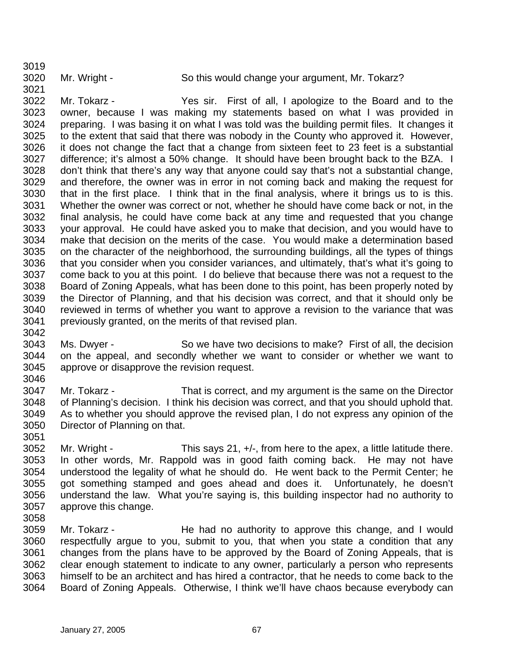3021

Mr. Wright - So this would change your argument, Mr. Tokarz?

3022 3023 3024 3025 3026 3027 3028 3029 3030 3031 3032 3033 3034 3035 3036 3037 3038 3039 3040 3041 Mr. Tokarz - Yes sir. First of all, I apologize to the Board and to the owner, because I was making my statements based on what I was provided in preparing. I was basing it on what I was told was the building permit files. It changes it to the extent that said that there was nobody in the County who approved it. However, it does not change the fact that a change from sixteen feet to 23 feet is a substantial difference; it's almost a 50% change. It should have been brought back to the BZA. I don't think that there's any way that anyone could say that's not a substantial change, and therefore, the owner was in error in not coming back and making the request for that in the first place. I think that in the final analysis, where it brings us to is this. Whether the owner was correct or not, whether he should have come back or not, in the final analysis, he could have come back at any time and requested that you change your approval. He could have asked you to make that decision, and you would have to make that decision on the merits of the case. You would make a determination based on the character of the neighborhood, the surrounding buildings, all the types of things that you consider when you consider variances, and ultimately, that's what it's going to come back to you at this point. I do believe that because there was not a request to the Board of Zoning Appeals, what has been done to this point, has been properly noted by the Director of Planning, and that his decision was correct, and that it should only be reviewed in terms of whether you want to approve a revision to the variance that was previously granted, on the merits of that revised plan.

3043 3044 3045 Ms. Dwyer - So we have two decisions to make? First of all, the decision on the appeal, and secondly whether we want to consider or whether we want to approve or disapprove the revision request.

3046 3047 3048 3049 3050 Mr. Tokarz - That is correct, and my argument is the same on the Director of Planning's decision. I think his decision was correct, and that you should uphold that. As to whether you should approve the revised plan, I do not express any opinion of the Director of Planning on that.

3051

3042

3052 3053 3054 3055 3056 3057 Mr. Wright - This says 21,  $+/-$ , from here to the apex, a little latitude there. In other words, Mr. Rappold was in good faith coming back. He may not have understood the legality of what he should do. He went back to the Permit Center; he got something stamped and goes ahead and does it. Unfortunately, he doesn't understand the law. What you're saying is, this building inspector had no authority to approve this change.

3058

3059 3060 3061 3062 3063 3064 Mr. Tokarz - The had no authority to approve this change, and I would respectfully argue to you, submit to you, that when you state a condition that any changes from the plans have to be approved by the Board of Zoning Appeals, that is clear enough statement to indicate to any owner, particularly a person who represents himself to be an architect and has hired a contractor, that he needs to come back to the Board of Zoning Appeals. Otherwise, I think we'll have chaos because everybody can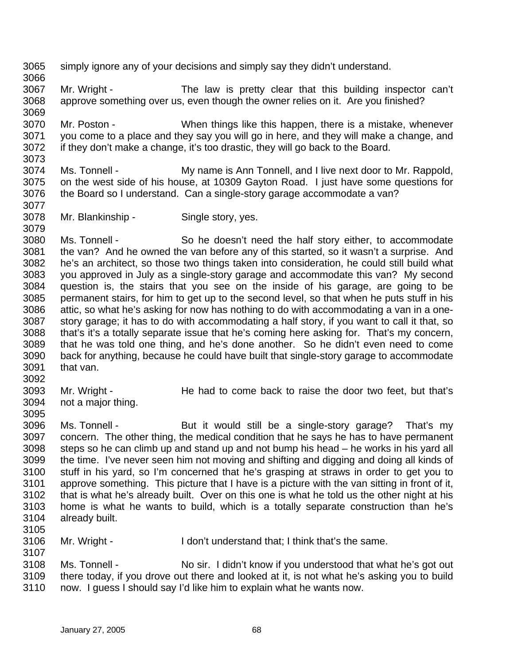- 3065 simply ignore any of your decisions and simply say they didn't understand.
- 3067 3068 3069 Mr. Wright - The law is pretty clear that this building inspector can't approve something over us, even though the owner relies on it. Are you finished?
- 3070 3071 3072 3073 Mr. Poston - When things like this happen, there is a mistake, whenever you come to a place and they say you will go in here, and they will make a change, and if they don't make a change, it's too drastic, they will go back to the Board.
- 3074 3075 3076 Ms. Tonnell - My name is Ann Tonnell, and I live next door to Mr. Rappold, on the west side of his house, at 10309 Gayton Road. I just have some questions for the Board so I understand. Can a single-story garage accommodate a van?
- 3078 Mr. Blankinship - Single story, yes.
- 3080 3081 3082 3083 3084 3085 3086 3087 3088 3089 3090 3091 Ms. Tonnell - So he doesn't need the half story either, to accommodate the van? And he owned the van before any of this started, so it wasn't a surprise. And he's an architect, so those two things taken into consideration, he could still build what you approved in July as a single-story garage and accommodate this van? My second question is, the stairs that you see on the inside of his garage, are going to be permanent stairs, for him to get up to the second level, so that when he puts stuff in his attic, so what he's asking for now has nothing to do with accommodating a van in a onestory garage; it has to do with accommodating a half story, if you want to call it that, so that's it's a totally separate issue that he's coming here asking for. That's my concern, that he was told one thing, and he's done another. So he didn't even need to come back for anything, because he could have built that single-story garage to accommodate that van.
- 3092

3107

3066

3077

- 3093 3094 Mr. Wright - The had to come back to raise the door two feet, but that's not a major thing.
- 3096 3097 3098 3099 3100 3101 3102 3103 3104 3105 Ms. Tonnell - But it would still be a single-story garage? That's my concern. The other thing, the medical condition that he says he has to have permanent steps so he can climb up and stand up and not bump his head – he works in his yard all the time. I've never seen him not moving and shifting and digging and doing all kinds of stuff in his yard, so I'm concerned that he's grasping at straws in order to get you to approve something. This picture that I have is a picture with the van sitting in front of it, that is what he's already built. Over on this one is what he told us the other night at his home is what he wants to build, which is a totally separate construction than he's already built.
- 3106 Mr. Wright - The I don't understand that; I think that's the same.
- 3108 3109 3110 Ms. Tonnell - No sir. I didn't know if you understood that what he's got out there today, if you drove out there and looked at it, is not what he's asking you to build now. I guess I should say I'd like him to explain what he wants now.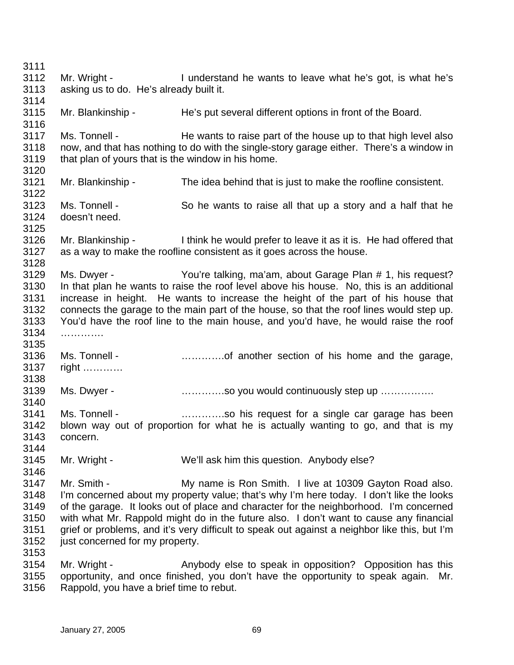3111 3112 3113 3114 3115 3116 3117 3118 3119 3120 3121 3122 3123 3124 3125 3126 3127 3128 3129 3130 3131 3132 3133 3134 3135 3136 3137 3138 3139 3140 3141 3142 3143 3144 3145 3146 3147 3148 3149 3150 3151 3152 3153 3154 3155 Mr. Wright - I understand he wants to leave what he's got, is what he's asking us to do. He's already built it. Mr. Blankinship - He's put several different options in front of the Board. Ms. Tonnell - He wants to raise part of the house up to that high level also now, and that has nothing to do with the single-story garage either. There's a window in that plan of yours that is the window in his home. Mr. Blankinship - The idea behind that is just to make the roofline consistent. Ms. Tonnell - So he wants to raise all that up a story and a half that he doesn't need. Mr. Blankinship - I think he would prefer to leave it as it is. He had offered that as a way to make the roofline consistent as it goes across the house. Ms. Dwyer - You're talking, ma'am, about Garage Plan # 1, his request? In that plan he wants to raise the roof level above his house. No, this is an additional increase in height. He wants to increase the height of the part of his house that connects the garage to the main part of the house, so that the roof lines would step up. You'd have the roof line to the main house, and you'd have, he would raise the roof …………… Ms. Tonnell - **Example 20** meta..................of another section of his home and the garage, right ………… Ms. Dwyer - **with all act in the state of the continuously step up** ................ Ms. Tonnell - **Example 20** mand controller is request for a single car garage has been blown way out of proportion for what he is actually wanting to go, and that is my concern. Mr. Wright - We'll ask him this question. Anybody else? Mr. Smith - **My name is Ron Smith.** I live at 10309 Gayton Road also. I'm concerned about my property value; that's why I'm here today. I don't like the looks of the garage. It looks out of place and character for the neighborhood. I'm concerned with what Mr. Rappold might do in the future also. I don't want to cause any financial grief or problems, and it's very difficult to speak out against a neighbor like this, but I'm just concerned for my property. Mr. Wright - Anybody else to speak in opposition? Opposition has this opportunity, and once finished, you don't have the opportunity to speak again. Mr.

3156 Rappold, you have a brief time to rebut.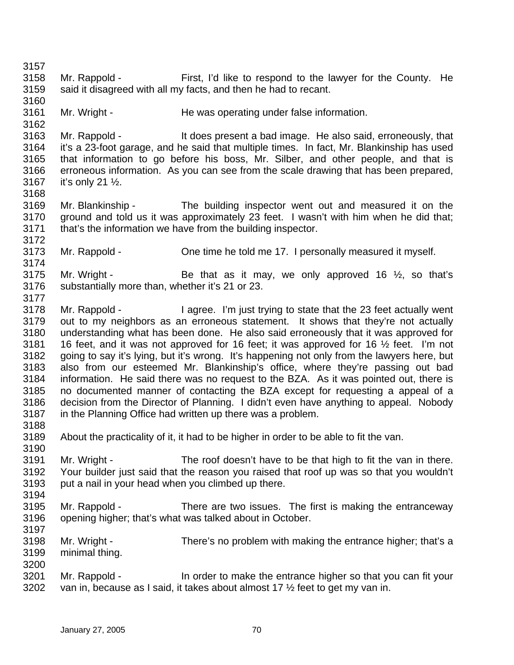3157 3158 3159 3160 3161 3162 3163 3164 3165 3166 3167 3168 3169 3170 3171 3172 3173 3174 3175 3176 3177 3178 3179 3180 3181 3182 3183 3184 3185 3186 3187 3188 3189 3190 3191 3192 3193 3194 3195 3196 3197 3198 3199 3200 3201 3202 Mr. Rappold - First, I'd like to respond to the lawyer for the County. He said it disagreed with all my facts, and then he had to recant. Mr. Wright - The was operating under false information. Mr. Rappold - It does present a bad image. He also said, erroneously, that it's a 23-foot garage, and he said that multiple times. In fact, Mr. Blankinship has used that information to go before his boss, Mr. Silber, and other people, and that is erroneous information. As you can see from the scale drawing that has been prepared, it's only 21 ½. Mr. Blankinship - The building inspector went out and measured it on the ground and told us it was approximately 23 feet. I wasn't with him when he did that; that's the information we have from the building inspector. Mr. Rappold - Che time he told me 17. I personally measured it myself. Mr. Wright - Be that as it may, we only approved 16  $\frac{1}{2}$ , so that's substantially more than, whether it's 21 or 23. Mr. Rappold - I agree. I'm just trying to state that the 23 feet actually went out to my neighbors as an erroneous statement. It shows that they're not actually understanding what has been done. He also said erroneously that it was approved for 16 feet, and it was not approved for 16 feet; it was approved for 16 ½ feet. I'm not going to say it's lying, but it's wrong. It's happening not only from the lawyers here, but also from our esteemed Mr. Blankinship's office, where they're passing out bad information. He said there was no request to the BZA. As it was pointed out, there is no documented manner of contacting the BZA except for requesting a appeal of a decision from the Director of Planning. I didn't even have anything to appeal. Nobody in the Planning Office had written up there was a problem. About the practicality of it, it had to be higher in order to be able to fit the van. Mr. Wright - The roof doesn't have to be that high to fit the van in there. Your builder just said that the reason you raised that roof up was so that you wouldn't put a nail in your head when you climbed up there. Mr. Rappold - There are two issues. The first is making the entranceway opening higher; that's what was talked about in October. Mr. Wright - There's no problem with making the entrance higher; that's a minimal thing. Mr. Rappold - In order to make the entrance higher so that you can fit your van in, because as I said, it takes about almost 17 ½ feet to get my van in.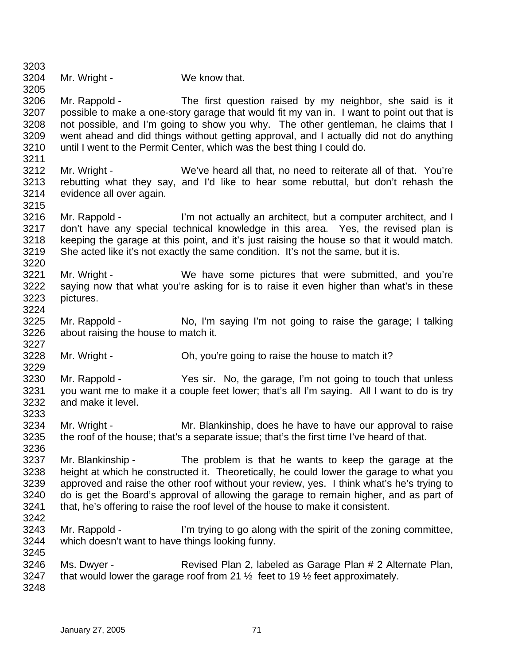| 3204 | Mr. Wright - | We know that. |
|------|--------------|---------------|

3215

3220

3227

3229

3245

3205 3206 3207 3208 3209 3210 3211 Mr. Rappold - The first question raised by my neighbor, she said is it possible to make a one-story garage that would fit my van in. I want to point out that is not possible, and I'm going to show you why. The other gentleman, he claims that I went ahead and did things without getting approval, and I actually did not do anything until I went to the Permit Center, which was the best thing I could do.

- 3212 3213 3214 Mr. Wright - We've heard all that, no need to reiterate all of that. You're rebutting what they say, and I'd like to hear some rebuttal, but don't rehash the evidence all over again.
- 3216 3217 3218 3219 Mr. Rappold - I'm not actually an architect, but a computer architect, and I don't have any special technical knowledge in this area. Yes, the revised plan is keeping the garage at this point, and it's just raising the house so that it would match. She acted like it's not exactly the same condition. It's not the same, but it is.
- 3221 3222 3223 3224 Mr. Wright - We have some pictures that were submitted, and you're saying now that what you're asking for is to raise it even higher than what's in these pictures.
- 3225 3226 Mr. Rappold - No, I'm saying I'm not going to raise the garage; I talking about raising the house to match it.
- 3228 Mr. Wright - Ch, you're going to raise the house to match it?
- 3230 3231 3232 3233 Mr. Rappold - Yes sir. No, the garage, I'm not going to touch that unless you want me to make it a couple feet lower; that's all I'm saying. All I want to do is try and make it level.
- 3234 3235 3236 Mr. Wright - Mr. Blankinship, does he have to have our approval to raise the roof of the house; that's a separate issue; that's the first time I've heard of that.
- 3237 3238 3239 3240 3241 3242 Mr. Blankinship - The problem is that he wants to keep the garage at the height at which he constructed it. Theoretically, he could lower the garage to what you approved and raise the other roof without your review, yes. I think what's he's trying to do is get the Board's approval of allowing the garage to remain higher, and as part of that, he's offering to raise the roof level of the house to make it consistent.
- 3243 3244 Mr. Rappold - I'm trying to go along with the spirit of the zoning committee, which doesn't want to have things looking funny.
- 3246 3247 3248 Ms. Dwyer - Revised Plan 2, labeled as Garage Plan # 2 Alternate Plan, that would lower the garage roof from 21  $\frac{1}{2}$  feet to 19  $\frac{1}{2}$  feet approximately.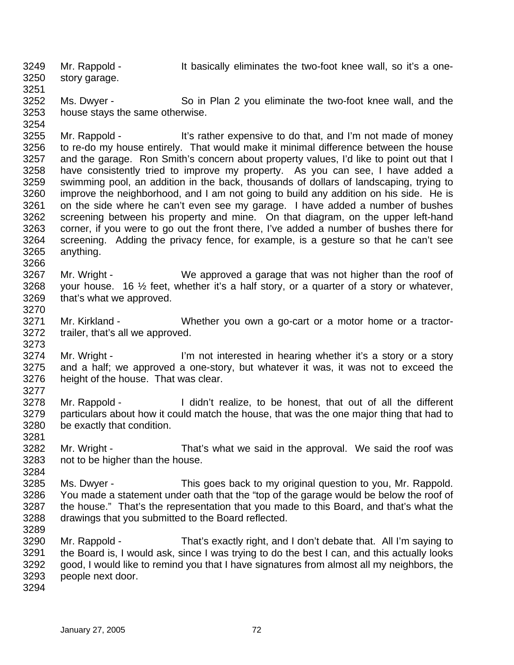3249 3250 Mr. Rappold - The Society eliminates the two-foot knee wall, so it's a onestory garage.

3252 3253 Ms. Dwyer - So in Plan 2 you eliminate the two-foot knee wall, and the house stays the same otherwise.

3255 3256 3257 3258 3259 3260 3261 3262 3263 3264 3265 3266 Mr. Rappold - It's rather expensive to do that, and I'm not made of money to re-do my house entirely. That would make it minimal difference between the house and the garage. Ron Smith's concern about property values, I'd like to point out that I have consistently tried to improve my property. As you can see, I have added a swimming pool, an addition in the back, thousands of dollars of landscaping, trying to improve the neighborhood, and I am not going to build any addition on his side. He is on the side where he can't even see my garage. I have added a number of bushes screening between his property and mine. On that diagram, on the upper left-hand corner, if you were to go out the front there, I've added a number of bushes there for screening. Adding the privacy fence, for example, is a gesture so that he can't see anything.

- 3267 3268 3269 Mr. Wright - We approved a garage that was not higher than the roof of your house. 16 ½ feet, whether it's a half story, or a quarter of a story or whatever, that's what we approved.
- 3271 3272 Mr. Kirkland - Whether you own a go-cart or a motor home or a tractortrailer, that's all we approved.
- 3274 3275 3276 3277 Mr. Wright - I'm not interested in hearing whether it's a story or a story and a half; we approved a one-story, but whatever it was, it was not to exceed the height of the house. That was clear.
- 3278 3279 3280 Mr. Rappold - I didn't realize, to be honest, that out of all the different particulars about how it could match the house, that was the one major thing that had to be exactly that condition.
- 3282 3283 Mr. Wright - That's what we said in the approval. We said the roof was not to be higher than the house.
- 3285 3286 3287 3288 Ms. Dwyer - This goes back to my original question to you, Mr. Rappold. You made a statement under oath that the "top of the garage would be below the roof of the house." That's the representation that you made to this Board, and that's what the drawings that you submitted to the Board reflected.
- 3290 3291 3292 3293 Mr. Rappold - That's exactly right, and I don't debate that. All I'm saying to the Board is, I would ask, since I was trying to do the best I can, and this actually looks good, I would like to remind you that I have signatures from almost all my neighbors, the people next door.
- 3294

3251

3254

3270

3273

3281

3284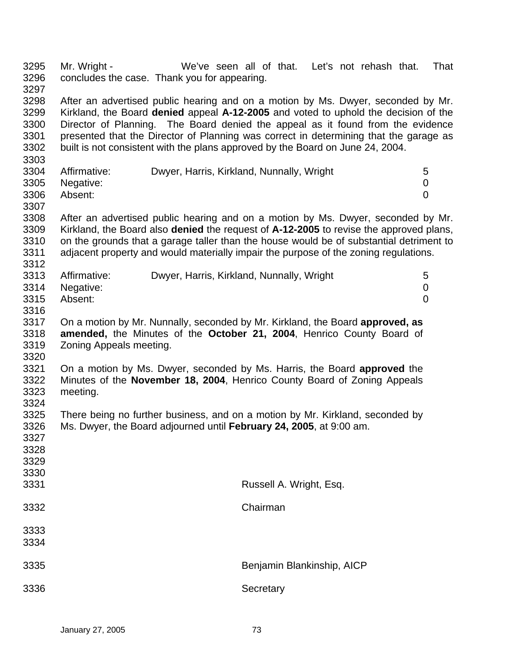3295 3296 3297 Mr. Wright - We've seen all of that. Let's not rehash that. That concludes the case. Thank you for appearing.

3298 3299 3300 3301 3302 After an advertised public hearing and on a motion by Ms. Dwyer, seconded by Mr. Kirkland, the Board **denied** appeal **A-12-2005** and voted to uphold the decision of the Director of Planning. The Board denied the appeal as it found from the evidence presented that the Director of Planning was correct in determining that the garage as built is not consistent with the plans approved by the Board on June 24, 2004.

| 3304 | Affirmative:   | Dwyer, Harris, Kirkland, Nunnally, Wright |  |
|------|----------------|-------------------------------------------|--|
|      | 3305 Negative: |                                           |  |
| 3306 | Absent:        |                                           |  |

3307

3303

3308 3309 3310 3311 After an advertised public hearing and on a motion by Ms. Dwyer, seconded by Mr. Kirkland, the Board also **denied** the request of **A-12-2005** to revise the approved plans, on the grounds that a garage taller than the house would be of substantial detriment to adjacent property and would materially impair the purpose of the zoning regulations.

|      | 3313 Affirmative: | Dwyer, Harris, Kirkland, Nunnally, Wright |  |
|------|-------------------|-------------------------------------------|--|
|      | 3314 Negative:    |                                           |  |
| 3315 | Absent:           |                                           |  |

3316

3312

3317 3318 3319 3320 On a motion by Mr. Nunnally, seconded by Mr. Kirkland, the Board **approved, as amended,** the Minutes of the **October 21, 2004**, Henrico County Board of Zoning Appeals meeting.

3321 3322 3323 3324 On a motion by Ms. Dwyer, seconded by Ms. Harris, the Board **approved** the Minutes of the **November 18, 2004**, Henrico County Board of Zoning Appeals meeting.

3325 3326 3327 There being no further business, and on a motion by Mr. Kirkland, seconded by Ms. Dwyer, the Board adjourned until **February 24, 2005**, at 9:00 am.

| 3328<br>3329 |                            |
|--------------|----------------------------|
| 3330<br>3331 | Russell A. Wright, Esq.    |
| 3332         | Chairman                   |
| 3333<br>3334 |                            |
| 3335         | Benjamin Blankinship, AICP |
| 3336         | Secretary                  |
|              |                            |